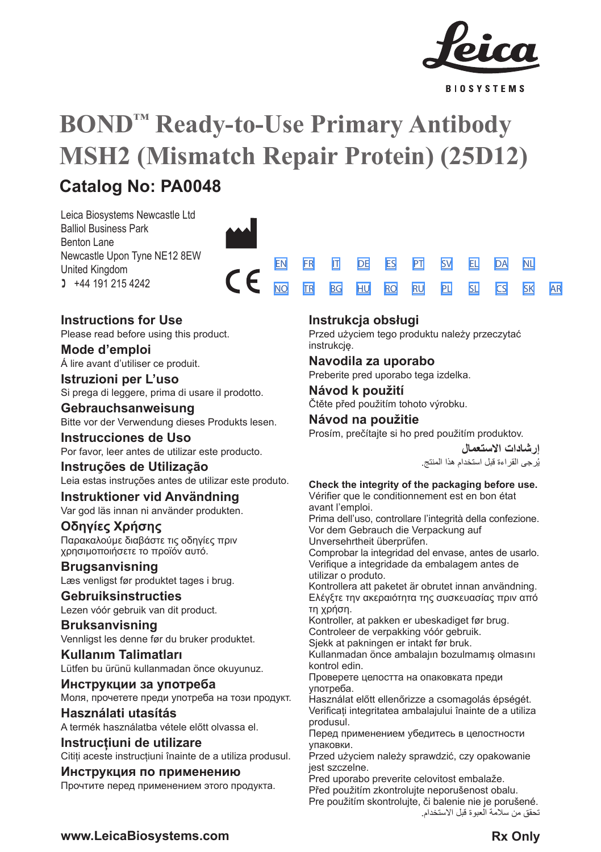

**BIOSYSTEMS** 

# **BOND™ Ready-to-Use Primary Antibody MSH2 (Mismatch Repair Protein) (25D12) Catalog No: PA0048**

Leica Biosystems Newcastle Ltd Balliol Business Park Benton Lane Newcastle Upon Tyne NE12 8EW United Kingdom  $1 +44 191 215 4242$ 



# **Instructions for Use**

Please read before using this product.

**Mode d'emploi** Á lire avant d'utiliser ce produit.

**Istruzioni per L'uso** Si prega di leggere, prima di usare il prodotto.

# **Gebrauchsanweisung**

Bitte vor der Verwendung dieses Produkts lesen.

# **Instrucciones de Uso** Por favor, leer antes de utilizar este producto.

**Instruções de Utilização** Leia estas instruções antes de utilizar este produto.

# **Instruktioner vid Användning** Var god läs innan ni använder produkten.

**Οδηγίες Χρήσης** Παρακαλούμε διαβάστε τις οδηγίες πριν χρησιμοποιήσετε το προϊόν αυτό.

# **Brugsanvisning** Læs venligst før produktet tages i brug.

**Gebruiksinstructies** Lezen vóór gebruik van dit product.

# **Bruksanvisning** Vennligst les denne før du bruker produktet.

**Kullanım Talimatları** Lütfen bu ürünü kullanmadan önce okuyunuz.

**Инструкции за употреба** Моля, прочетете преди употреба на този продукт.

# **Használati utasítás**

A termék használatba vétele előtt olvassa el.

# **Instrucțiuni de utilizare**

Cititi aceste instructiuni înainte de a utiliza produsul.

# **Инструкция по применению**

Прочтите перед применением этого продукта.

# **Instrukcja obsługi**

Przed użyciem tego produktu należy przeczytać instrukcie.

# **Navodila za uporabo**

Preberite pred uporabo tega izdelka.

# **Návod k použití** Čtěte před použitím tohoto výrobku.

**Návod na použitie**

Prosím, prečítajte si ho pred použitím produktov.

**إرشادات االستعمال** ُرجى القراءة قبل استخدام هذا المنتج. ي

[SV](#page-14-0) [EL](#page-16-0) [DA](#page-18-0) [PL](#page-34-0) [SL](#page-36-0) [CS](#page-38-0) [NL](#page-20-0)

[SK](#page-40-0) [AR](#page-42-0)

# **Check the integrity of the packaging before use.**

Vérifier que le conditionnement est en bon état avant l'emploi.

Prima dell'uso, controllare l'integrità della confezione. Vor dem Gebrauch die Verpackung auf Unversehrtheit überprüfen.

Comprobar la integridad del envase, antes de usarlo. Verifique a integridade da embalagem antes de utilizar o produto.

Kontrollera att paketet är obrutet innan användning. Ελέγξτε την ακεραιότητα της συσκευασίας πριν από τη χρήση.

Kontroller, at pakken er ubeskadiget før brug. Controleer de verpakking vóór gebruik.

Sjekk at pakningen er intakt før bruk.

Kullanmadan önce ambalajın bozulmamış olmasını kontrol edin.

Проверете целостта на опаковката преди употреба.

Használat előtt ellenőrizze a csomagolás épségét. Verificați integritatea ambalajului înainte de a utiliza produsul.

Перед применением убедитесь в целостности упаковки.

Przed użyciem należy sprawdzić, czy opakowanie jest szczelne.

Pred uporabo preverite celovitost embalaže.

Před použitím zkontrolujte neporušenost obalu. Pre použitím skontrolujte, či balenie nie je porušené. تحقق من سالمة العبوة قبل االستخدام.

**www.LeicaBiosystems.com Rx Only**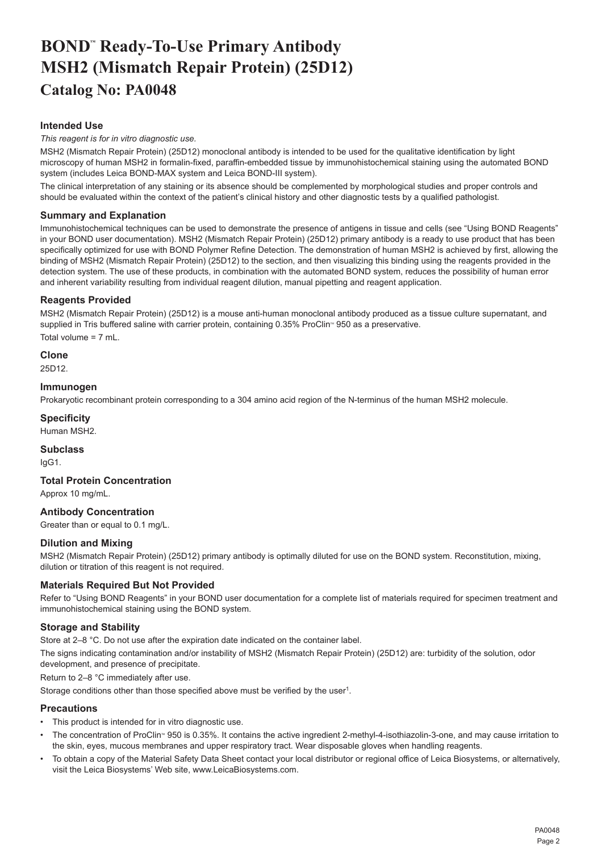# <span id="page-2-0"></span>**BOND™ Ready-To-Use Primary Antibody MSH2 (Mismatch Repair Protein) (25D12) Catalog No: PA0048**

# **Intended Use**

#### *This reagent is for in vitro diagnostic use.*

MSH2 (Mismatch Repair Protein) (25D12) monoclonal antibody is intended to be used for the qualitative identification by light microscopy of human MSH2 in formalin-fixed, paraffin-embedded tissue by immunohistochemical staining using the automated BOND system (includes Leica BOND-MAX system and Leica BOND-III system).

The clinical interpretation of any staining or its absence should be complemented by morphological studies and proper controls and should be evaluated within the context of the patient's clinical history and other diagnostic tests by a qualified pathologist.

# **Summary and Explanation**

Immunohistochemical techniques can be used to demonstrate the presence of antigens in tissue and cells (see "Using BOND Reagents" in your BOND user documentation). MSH2 (Mismatch Repair Protein) (25D12) primary antibody is a ready to use product that has been specifically optimized for use with BOND Polymer Refine Detection. The demonstration of human MSH2 is achieved by first, allowing the binding of MSH2 (Mismatch Repair Protein) (25D12) to the section, and then visualizing this binding using the reagents provided in the detection system. The use of these products, in combination with the automated BOND system, reduces the possibility of human error and inherent variability resulting from individual reagent dilution, manual pipetting and reagent application.

# **Reagents Provided**

MSH2 (Mismatch Repair Protein) (25D12) is a mouse anti-human monoclonal antibody produced as a tissue culture supernatant, and supplied in Tris buffered saline with carrier protein, containing 0.35% ProClin<sup>®</sup> 950 as a preservative. Total volume = 7 mL.

# **Clone**

25D12.

#### **Immunogen**

Prokaryotic recombinant protein corresponding to a 304 amino acid region of the N-terminus of the human MSH2 molecule.

# **Specificity**

Human MSH2.

# **Subclass**

IgG1.

# **Total Protein Concentration**

Approx 10 mg/mL.

# **Antibody Concentration**

Greater than or equal to 0.1 mg/L.

# **Dilution and Mixing**

MSH2 (Mismatch Repair Protein) (25D12) primary antibody is optimally diluted for use on the BOND system. Reconstitution, mixing, dilution or titration of this reagent is not required.

# **Materials Required But Not Provided**

Refer to "Using BOND Reagents" in your BOND user documentation for a complete list of materials required for specimen treatment and immunohistochemical staining using the BOND system.

# **Storage and Stability**

Store at 2–8 °C. Do not use after the expiration date indicated on the container label.

The signs indicating contamination and/or instability of MSH2 (Mismatch Repair Protein) (25D12) are: turbidity of the solution, odor development, and presence of precipitate.

Return to 2–8 °C immediately after use.

Storage conditions other than those specified above must be verified by the user<sup>1</sup>.

# **Precautions**

- This product is intended for in vitro diagnostic use.
- The concentration of ProClin<sup>®</sup> 950 is 0.35%. It contains the active ingredient 2-methyl-4-isothiazolin-3-one, and may cause irritation to the skin, eyes, mucous membranes and upper respiratory tract. Wear disposable gloves when handling reagents.
- To obtain a copy of the Material Safety Data Sheet contact your local distributor or regional office of Leica Biosystems, or alternatively, visit the Leica Biosystems' Web site, www.LeicaBiosystems.com.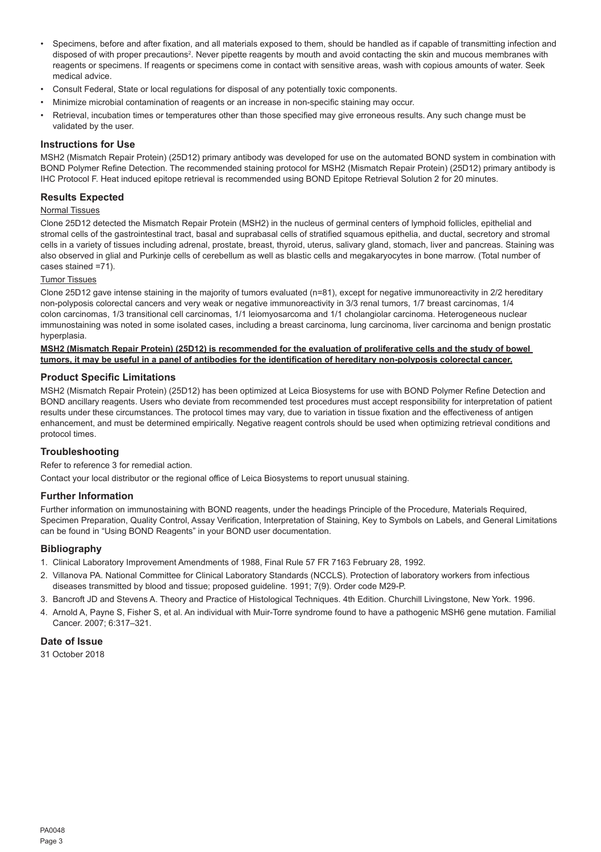- Specimens, before and after fixation, and all materials exposed to them, should be handled as if capable of transmitting infection and disposed of with proper precautions<sup>2</sup>. Never pipette reagents by mouth and avoid contacting the skin and mucous membranes with reagents or specimens. If reagents or specimens come in contact with sensitive areas, wash with copious amounts of water. Seek medical advice.
- Consult Federal, State or local regulations for disposal of any potentially toxic components.
- Minimize microbial contamination of reagents or an increase in non-specific staining may occur.
- Retrieval, incubation times or temperatures other than those specified may give erroneous results. Any such change must be validated by the user.

#### **Instructions for Use**

MSH2 (Mismatch Repair Protein) (25D12) primary antibody was developed for use on the automated BOND system in combination with BOND Polymer Refine Detection. The recommended staining protocol for MSH2 (Mismatch Repair Protein) (25D12) primary antibody is IHC Protocol F. Heat induced epitope retrieval is recommended using BOND Epitope Retrieval Solution 2 for 20 minutes.

# **Results Expected**

# Normal Tissues

Clone 25D12 detected the Mismatch Repair Protein (MSH2) in the nucleus of germinal centers of lymphoid follicles, epithelial and stromal cells of the gastrointestinal tract, basal and suprabasal cells of stratified squamous epithelia, and ductal, secretory and stromal cells in a variety of tissues including adrenal, prostate, breast, thyroid, uterus, salivary gland, stomach, liver and pancreas. Staining was also observed in glial and Purkinje cells of cerebellum as well as blastic cells and megakaryocytes in bone marrow. (Total number of cases stained =71).

#### Tumor Tissues

Clone 25D12 gave intense staining in the majority of tumors evaluated (n=81), except for negative immunoreactivity in 2/2 hereditary non-polyposis colorectal cancers and very weak or negative immunoreactivity in 3/3 renal tumors, 1/7 breast carcinomas, 1/4 colon carcinomas, 1/3 transitional cell carcinomas, 1/1 leiomyosarcoma and 1/1 cholangiolar carcinoma. Heterogeneous nuclear immunostaining was noted in some isolated cases, including a breast carcinoma, lung carcinoma, liver carcinoma and benign prostatic hyperplasia.

#### **MSH2 (Mismatch Repair Protein) (25D12) is recommended for the evaluation of proliferative cells and the study of bowel tumors, it may be useful in a panel of antibodies for the identification of hereditary non-polyposis colorectal cancer.**

#### **Product Specific Limitations**

MSH2 (Mismatch Repair Protein) (25D12) has been optimized at Leica Biosystems for use with BOND Polymer Refine Detection and BOND ancillary reagents. Users who deviate from recommended test procedures must accept responsibility for interpretation of patient results under these circumstances. The protocol times may vary, due to variation in tissue fixation and the effectiveness of antigen enhancement, and must be determined empirically. Negative reagent controls should be used when optimizing retrieval conditions and protocol times.

#### **Troubleshooting**

Refer to reference 3 for remedial action.

Contact your local distributor or the regional office of Leica Biosystems to report unusual staining.

#### **Further Information**

Further information on immunostaining with BOND reagents, under the headings Principle of the Procedure, Materials Required, Specimen Preparation, Quality Control, Assay Verification, Interpretation of Staining, Key to Symbols on Labels, and General Limitations can be found in "Using BOND Reagents" in your BOND user documentation.

#### **Bibliography**

- 1. Clinical Laboratory Improvement Amendments of 1988, Final Rule 57 FR 7163 February 28, 1992.
- 2. Villanova PA. National Committee for Clinical Laboratory Standards (NCCLS). Protection of laboratory workers from infectious diseases transmitted by blood and tissue; proposed guideline. 1991; 7(9). Order code M29-P.
- 3. Bancroft JD and Stevens A. Theory and Practice of Histological Techniques. 4th Edition. Churchill Livingstone, New York. 1996.
- 4. Arnold A, Payne S, Fisher S, et al. An individual with Muir-Torre syndrome found to have a pathogenic MSH6 gene mutation. Familial Cancer. 2007; 6:317–321.

#### **Date of Issue**

31 October 2018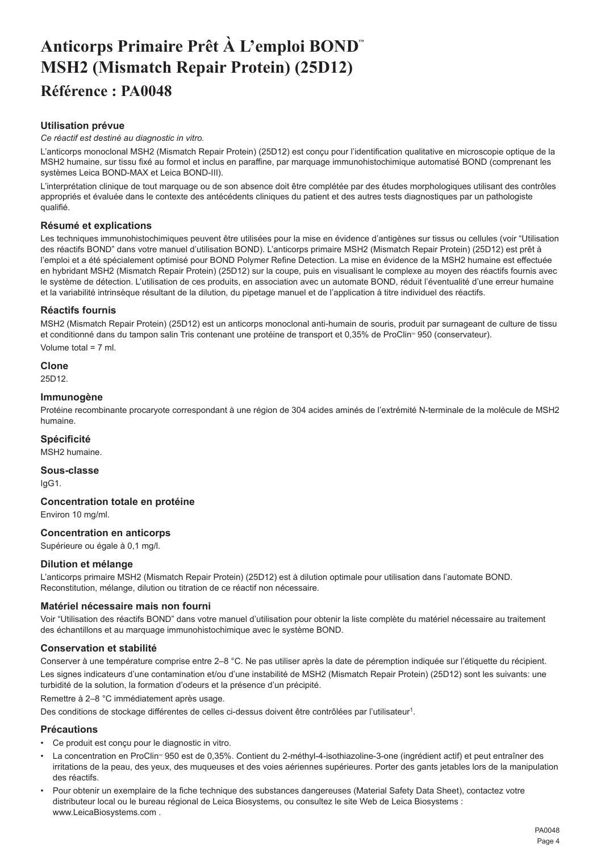# <span id="page-4-0"></span>**Anticorps Primaire Prêt À L'emploi BOND™ MSH2 (Mismatch Repair Protein) (25D12) Référence : PA0048**

# **Utilisation prévue**

*Ce réactif est destiné au diagnostic in vitro.*

L'anticorps monoclonal MSH2 (Mismatch Repair Protein) (25D12) est conçu pour l'identification qualitative en microscopie optique de la MSH2 humaine, sur tissu fixé au formol et inclus en paraffine, par marquage immunohistochimique automatisé BOND (comprenant les systèmes Leica BOND-MAX et Leica BOND-III).

L'interprétation clinique de tout marquage ou de son absence doit être complétée par des études morphologiques utilisant des contrôles appropriés et évaluée dans le contexte des antécédents cliniques du patient et des autres tests diagnostiques par un pathologiste qualifié.

# **Résumé et explications**

Les techniques immunohistochimiques peuvent être utilisées pour la mise en évidence d'antigènes sur tissus ou cellules (voir "Utilisation" des réactifs BOND" dans votre manuel d'utilisation BOND). L'anticorps primaire MSH2 (Mismatch Repair Protein) (25D12) est prêt à l'emploi et a été spécialement optimisé pour BOND Polymer Refine Detection. La mise en évidence de la MSH2 humaine est effectuée en hybridant MSH2 (Mismatch Repair Protein) (25D12) sur la coupe, puis en visualisant le complexe au moyen des réactifs fournis avec le système de détection. L'utilisation de ces produits, en association avec un automate BOND, réduit l'éventualité d'une erreur humaine et la variabilité intrinsèque résultant de la dilution, du pipetage manuel et de l'application à titre individuel des réactifs.

# **Réactifs fournis**

MSH2 (Mismatch Repair Protein) (25D12) est un anticorps monoclonal anti-humain de souris, produit par surnageant de culture de tissu et conditionné dans du tampon salin Tris contenant une protéine de transport et 0,35% de ProClin<sup>®</sup> 950 (conservateur).

Volume total = 7 ml.

#### **Clone**

25D12.

#### **Immunogène**

Protéine recombinante procaryote correspondant à une région de 304 acides aminés de l'extrémité N-terminale de la molécule de MSH2 humaine.

#### **Spécificité**

MSH2 humaine.

**Sous-classe** IgG1.

# **Concentration totale en protéine**

Environ 10 mg/ml.

# **Concentration en anticorps**

Supérieure ou égale à 0,1 mg/l.

#### **Dilution et mélange**

L'anticorps primaire MSH2 (Mismatch Repair Protein) (25D12) est à dilution optimale pour utilisation dans l'automate BOND. Reconstitution, mélange, dilution ou titration de ce réactif non nécessaire.

#### **Matériel nécessaire mais non fourni**

Voir "Utilisation des réactifs BOND" dans votre manuel d'utilisation pour obtenir la liste complète du matériel nécessaire au traitement des échantillons et au marquage immunohistochimique avec le système BOND.

#### **Conservation et stabilité**

Conserver à une température comprise entre 2–8 °C. Ne pas utiliser après la date de péremption indiquée sur l'étiquette du récipient. Les signes indicateurs d'une contamination et/ou d'une instabilité de MSH2 (Mismatch Repair Protein) (25D12) sont les suivants: une turbidité de la solution, la formation d'odeurs et la présence d'un précipité.

Remettre à 2–8 °C immédiatement après usage.

Des conditions de stockage différentes de celles ci-dessus doivent être contrôlées par l'utilisateur<sup>1</sup>.

#### **Précautions**

- Ce produit est conçu pour le diagnostic in vitro.
- La concentration en ProClin® 950 est de 0,35%. Contient du 2-méthyl-4-isothiazoline-3-one (ingrédient actif) et peut entraîner des irritations de la peau, des yeux, des muqueuses et des voies aériennes supérieures. Porter des gants jetables lors de la manipulation des réactifs.
- Pour obtenir un exemplaire de la fiche technique des substances dangereuses (Material Safety Data Sheet), contactez votre distributeur local ou le bureau régional de Leica Biosystems, ou consultez le site Web de Leica Biosystems : www.LeicaBiosystems.com .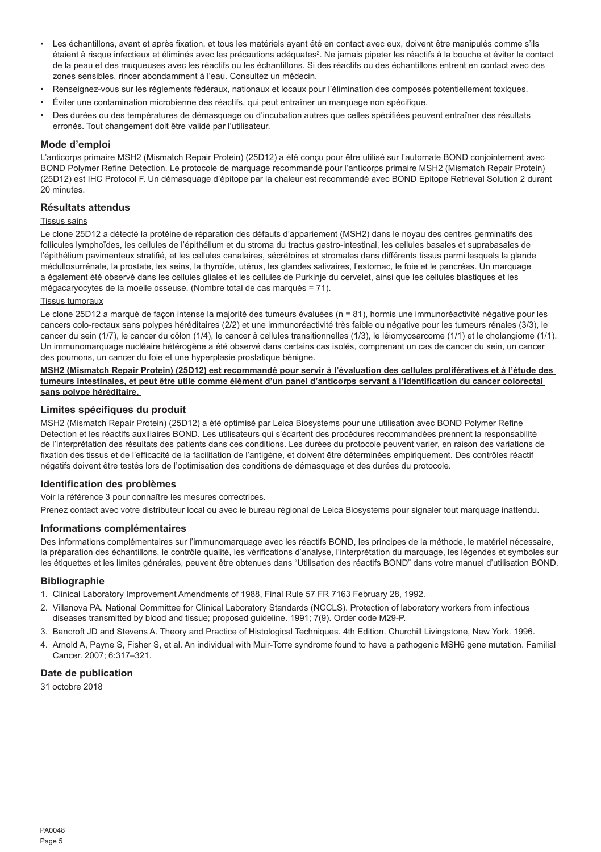- Les échantillons, avant et après fixation, et tous les matériels ayant été en contact avec eux, doivent être manipulés comme s'ils étaient à risque infectieux et éliminés avec les précautions adéquates<sup>2</sup>. Ne jamais pipeter les réactifs à la bouche et éviter le contact de la peau et des muqueuses avec les réactifs ou les échantillons. Si des réactifs ou des échantillons entrent en contact avec des zones sensibles, rincer abondamment à l'eau. Consultez un médecin.
- Renseignez-vous sur les règlements fédéraux, nationaux et locaux pour l'élimination des composés potentiellement toxiques.
- Éviter une contamination microbienne des réactifs, qui peut entraîner un marquage non spécifique.
- Des durées ou des températures de démasquage ou d'incubation autres que celles spécifiées peuvent entraîner des résultats erronés. Tout changement doit être validé par l'utilisateur.

#### **Mode d'emploi**

L'anticorps primaire MSH2 (Mismatch Repair Protein) (25D12) a été conçu pour être utilisé sur l'automate BOND conjointement avec BOND Polymer Refine Detection. Le protocole de marquage recommandé pour l'anticorps primaire MSH2 (Mismatch Repair Protein) (25D12) est IHC Protocol F. Un démasquage d'épitope par la chaleur est recommandé avec BOND Epitope Retrieval Solution 2 durant 20 minutes.

# **Résultats attendus**

#### Tissus sains

Le clone 25D12 a détecté la protéine de réparation des défauts d'appariement (MSH2) dans le noyau des centres germinatifs des follicules lymphoïdes, les cellules de l'épithélium et du stroma du tractus gastro-intestinal, les cellules basales et suprabasales de l'épithélium pavimenteux stratifié, et les cellules canalaires, sécrétoires et stromales dans différents tissus parmi lesquels la glande médullosurrénale, la prostate, les seins, la thyroïde, utérus, les glandes salivaires, l'estomac, le foie et le pancréas. Un marquage a également été observé dans les cellules gliales et les cellules de Purkinje du cervelet, ainsi que les cellules blastiques et les mégacaryocytes de la moelle osseuse. (Nombre total de cas marqués = 71).

#### Tissus tumoraux

Le clone 25D12 a marqué de façon intense la majorité des tumeurs évaluées (n = 81), hormis une immunoréactivité négative pour les cancers colo-rectaux sans polypes héréditaires (2/2) et une immunoréactivité très faible ou négative pour les tumeurs rénales (3/3), le cancer du sein (1/7), le cancer du côlon (1/4), le cancer à cellules transitionnelles (1/3), le léiomyosarcome (1/1) et le cholangiome (1/1). Un immunomarquage nucléaire hétérogène a été observé dans certains cas isolés, comprenant un cas de cancer du sein, un cancer des poumons, un cancer du foie et une hyperplasie prostatique bénigne.

**MSH2 (Mismatch Repair Protein) (25D12) est recommandé pour servir à l'évaluation des cellules prolifératives et à l'étude des tumeurs intestinales, et peut être utile comme élément d'un panel d'anticorps servant à l'identification du cancer colorectal sans polype héréditaire.** 

# **Limites spécifiques du produit**

MSH2 (Mismatch Repair Protein) (25D12) a été optimisé par Leica Biosystems pour une utilisation avec BOND Polymer Refine Detection et les réactifs auxiliaires BOND. Les utilisateurs qui s'écartent des procédures recommandées prennent la responsabilité de l'interprétation des résultats des patients dans ces conditions. Les durées du protocole peuvent varier, en raison des variations de fixation des tissus et de l'efficacité de la facilitation de l'antigène, et doivent être déterminées empiriquement. Des contrôles réactif négatifs doivent être testés lors de l'optimisation des conditions de démasquage et des durées du protocole.

#### **Identification des problèmes**

Voir la référence 3 pour connaître les mesures correctrices.

Prenez contact avec votre distributeur local ou avec le bureau régional de Leica Biosystems pour signaler tout marquage inattendu.

# **Informations complémentaires**

Des informations complémentaires sur l'immunomarquage avec les réactifs BOND, les principes de la méthode, le matériel nécessaire, la préparation des échantillons, le contrôle qualité, les vérifications d'analyse, l'interprétation du marquage, les légendes et symboles sur les étiquettes et les limites générales, peuvent être obtenues dans "Utilisation des réactifs BOND" dans votre manuel d'utilisation BOND.

#### **Bibliographie**

- 1. Clinical Laboratory Improvement Amendments of 1988, Final Rule 57 FR 7163 February 28, 1992.
- 2. Villanova PA. National Committee for Clinical Laboratory Standards (NCCLS). Protection of laboratory workers from infectious diseases transmitted by blood and tissue; proposed guideline. 1991; 7(9). Order code M29-P.
- 3. Bancroft JD and Stevens A. Theory and Practice of Histological Techniques. 4th Edition. Churchill Livingstone, New York. 1996.
- 4. Arnold A, Payne S, Fisher S, et al. An individual with Muir-Torre syndrome found to have a pathogenic MSH6 gene mutation. Familial Cancer. 2007; 6:317–321.

#### **Date de publication**

31 octobre 2018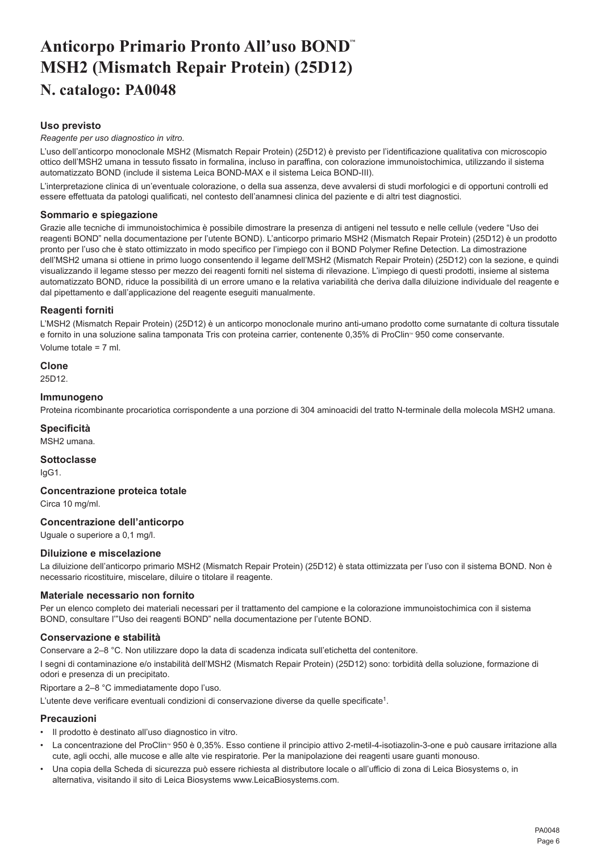# <span id="page-6-0"></span>**Anticorpo Primario Pronto All'uso BOND™ MSH2 (Mismatch Repair Protein) (25D12) N. catalogo: PA0048**

# **Uso previsto**

#### *Reagente per uso diagnostico in vitro.*

L'uso dell'anticorpo monoclonale MSH2 (Mismatch Repair Protein) (25D12) è previsto per l'identificazione qualitativa con microscopio ottico dell'MSH2 umana in tessuto fissato in formalina, incluso in paraffina, con colorazione immunoistochimica, utilizzando il sistema automatizzato BOND (include il sistema Leica BOND-MAX e il sistema Leica BOND-III).

L'interpretazione clinica di un'eventuale colorazione, o della sua assenza, deve avvalersi di studi morfologici e di opportuni controlli ed essere effettuata da patologi qualificati, nel contesto dell'anamnesi clinica del paziente e di altri test diagnostici.

#### **Sommario e spiegazione**

Grazie alle tecniche di immunoistochimica è possibile dimostrare la presenza di antigeni nel tessuto e nelle cellule (vedere "Uso dei reagenti BOND" nella documentazione per l'utente BOND). L'anticorpo primario MSH2 (Mismatch Repair Protein) (25D12) è un prodotto pronto per l'uso che è stato ottimizzato in modo specifico per l'impiego con il BOND Polymer Refine Detection. La dimostrazione dell'MSH2 umana si ottiene in primo luogo consentendo il legame dell'MSH2 (Mismatch Repair Protein) (25D12) con la sezione, e quindi visualizzando il legame stesso per mezzo dei reagenti forniti nel sistema di rilevazione. L'impiego di questi prodotti, insieme al sistema automatizzato BOND, riduce la possibilità di un errore umano e la relativa variabilità che deriva dalla diluizione individuale del reagente e dal pipettamento e dall'applicazione del reagente eseguiti manualmente.

# **Reagenti forniti**

L'MSH2 (Mismatch Repair Protein) (25D12) è un anticorpo monoclonale murino anti-umano prodotto come surnatante di coltura tissutale e fornito in una soluzione salina tamponata Tris con proteina carrier, contenente 0,35% di ProClin<sup>®</sup> 950 come conservante. Volume totale = 7 ml.

**Clone**

25D12.

#### **Immunogeno**

Proteina ricombinante procariotica corrispondente a una porzione di 304 aminoacidi del tratto N-terminale della molecola MSH2 umana.

# **Specificità**

MSH2 umana.

**Sottoclasse** IgG1.

**Concentrazione proteica totale**

Circa 10 mg/ml.

# **Concentrazione dell'anticorpo**

Uguale o superiore a 0,1 mg/l.

#### **Diluizione e miscelazione**

La diluizione dell'anticorpo primario MSH2 (Mismatch Repair Protein) (25D12) è stata ottimizzata per l'uso con il sistema BOND. Non è necessario ricostituire, miscelare, diluire o titolare il reagente.

# **Materiale necessario non fornito**

Per un elenco completo dei materiali necessari per il trattamento del campione e la colorazione immunoistochimica con il sistema BOND, consultare l'"Uso dei reagenti BOND" nella documentazione per l'utente BOND.

#### **Conservazione e stabilità**

Conservare a 2–8 °C. Non utilizzare dopo la data di scadenza indicata sull'etichetta del contenitore.

I segni di contaminazione e/o instabilità dell'MSH2 (Mismatch Repair Protein) (25D12) sono: torbidità della soluzione, formazione di odori e presenza di un precipitato.

Riportare a 2–8 °C immediatamente dopo l'uso.

L'utente deve verificare eventuali condizioni di conservazione diverse da quelle specificate<sup>1</sup>.

# **Precauzioni**

- Il prodotto è destinato all'uso diagnostico in vitro.
- La concentrazione del ProClin<sup>®</sup> 950 è 0,35%. Esso contiene il principio attivo 2-metil-4-isotiazolin-3-one e può causare irritazione alla cute, agli occhi, alle mucose e alle alte vie respiratorie. Per la manipolazione dei reagenti usare guanti monouso.
- Una copia della Scheda di sicurezza può essere richiesta al distributore locale o all'ufficio di zona di Leica Biosystems o, in alternativa, visitando il sito di Leica Biosystems www.LeicaBiosystems.com.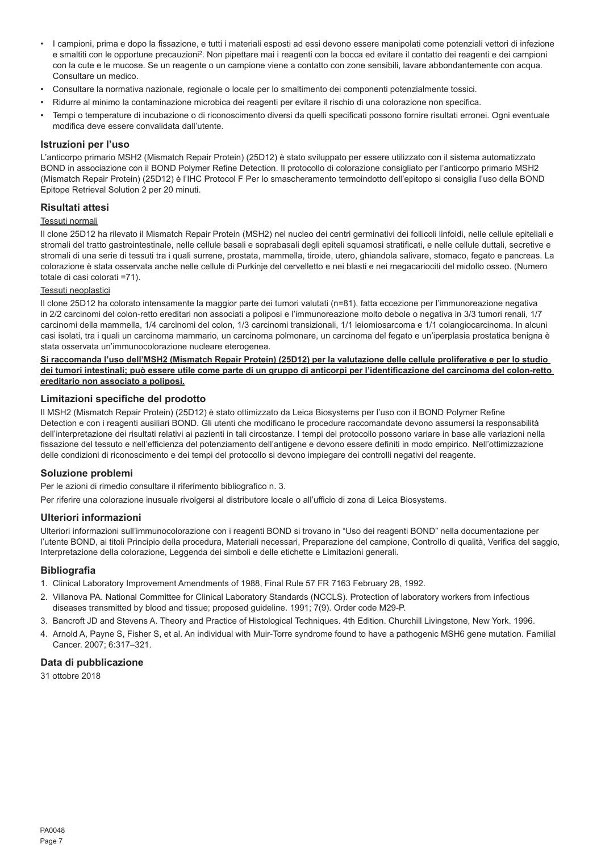- I campioni, prima e dopo la fissazione, e tutti i materiali esposti ad essi devono essere manipolati come potenziali vettori di infezione e smaltiti con le opportune precauzioni<sup>2</sup>. Non pipettare mai i reagenti con la bocca ed evitare il contatto dei reagenti e dei campioni con la cute e le mucose. Se un reagente o un campione viene a contatto con zone sensibili, lavare abbondantemente con acqua. Consultare un medico.
- Consultare la normativa nazionale, regionale o locale per lo smaltimento dei componenti potenzialmente tossici.
- Ridurre al minimo la contaminazione microbica dei reagenti per evitare il rischio di una colorazione non specifica.
- Tempi o temperature di incubazione o di riconoscimento diversi da quelli specificati possono fornire risultati erronei. Ogni eventuale modifica deve essere convalidata dall'utente.

#### **Istruzioni per l'uso**

L'anticorpo primario MSH2 (Mismatch Repair Protein) (25D12) è stato sviluppato per essere utilizzato con il sistema automatizzato BOND in associazione con il BOND Polymer Refine Detection. Il protocollo di colorazione consigliato per l'anticorpo primario MSH2 (Mismatch Repair Protein) (25D12) è l'IHC Protocol F Per lo smascheramento termoindotto dell'epitopo si consiglia l'uso della BOND Epitope Retrieval Solution 2 per 20 minuti.

#### **Risultati attesi**

#### Tessuti normali

Il clone 25D12 ha rilevato il Mismatch Repair Protein (MSH2) nel nucleo dei centri germinativi dei follicoli linfoidi, nelle cellule epiteliali e stromali del tratto gastrointestinale, nelle cellule basali e soprabasali degli epiteli squamosi stratificati, e nelle cellule duttali, secretive e stromali di una serie di tessuti tra i quali surrene, prostata, mammella, tiroide, utero, ghiandola salivare, stomaco, fegato e pancreas. La colorazione è stata osservata anche nelle cellule di Purkinje del cervelletto e nei blasti e nei megacariociti del midollo osseo. (Numero totale di casi colorati =71).

# Tessuti neoplastici

Il clone 25D12 ha colorato intensamente la maggior parte dei tumori valutati (n=81), fatta eccezione per l'immunoreazione negativa in 2/2 carcinomi del colon-retto ereditari non associati a poliposi e l'immunoreazione molto debole o negativa in 3/3 tumori renali, 1/7 carcinomi della mammella, 1/4 carcinomi del colon, 1/3 carcinomi transizionali, 1/1 leiomiosarcoma e 1/1 colangiocarcinoma. In alcuni casi isolati, tra i quali un carcinoma mammario, un carcinoma polmonare, un carcinoma del fegato e un'iperplasia prostatica benigna è stata osservata un'immunocolorazione nucleare eterogenea.

**Si raccomanda l'uso dell'MSH2 (Mismatch Repair Protein) (25D12) per la valutazione delle cellule proliferative e per lo studio dei tumori intestinali; può essere utile come parte di un gruppo di anticorpi per l'identificazione del carcinoma del colon-retto ereditario non associato a poliposi.**

#### **Limitazioni specifiche del prodotto**

Il MSH2 (Mismatch Repair Protein) (25D12) è stato ottimizzato da Leica Biosystems per l'uso con il BOND Polymer Refine Detection e con i reagenti ausiliari BOND. Gli utenti che modificano le procedure raccomandate devono assumersi la responsabilità dell'interpretazione dei risultati relativi ai pazienti in tali circostanze. I tempi del protocollo possono variare in base alle variazioni nella fissazione del tessuto e nell'efficienza del potenziamento dell'antigene e devono essere definiti in modo empirico. Nell'ottimizzazione delle condizioni di riconoscimento e dei tempi del protocollo si devono impiegare dei controlli negativi del reagente.

# **Soluzione problemi**

Per le azioni di rimedio consultare il riferimento bibliografico n. 3.

Per riferire una colorazione inusuale rivolgersi al distributore locale o all'ufficio di zona di Leica Biosystems.

# **Ulteriori informazioni**

Ulteriori informazioni sull'immunocolorazione con i reagenti BOND si trovano in "Uso dei reagenti BOND" nella documentazione per l'utente BOND, ai titoli Principio della procedura, Materiali necessari, Preparazione del campione, Controllo di qualità, Verifica del saggio, Interpretazione della colorazione, Leggenda dei simboli e delle etichette e Limitazioni generali.

#### **Bibliografia**

- 1. Clinical Laboratory Improvement Amendments of 1988, Final Rule 57 FR 7163 February 28, 1992.
- 2. Villanova PA. National Committee for Clinical Laboratory Standards (NCCLS). Protection of laboratory workers from infectious diseases transmitted by blood and tissue; proposed guideline. 1991; 7(9). Order code M29-P.
- 3. Bancroft JD and Stevens A. Theory and Practice of Histological Techniques. 4th Edition. Churchill Livingstone, New York. 1996.
- 4. Arnold A, Payne S, Fisher S, et al. An individual with Muir-Torre syndrome found to have a pathogenic MSH6 gene mutation. Familial Cancer. 2007; 6:317–321.

#### **Data di pubblicazione**

31 ottobre 2018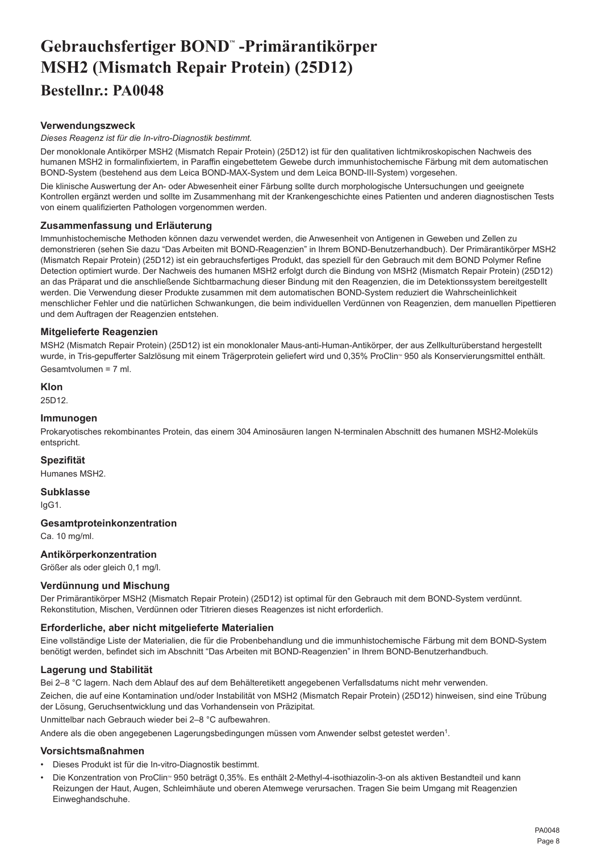# <span id="page-8-0"></span>**Gebrauchsfertiger BOND™ -Primärantikörper MSH2 (Mismatch Repair Protein) (25D12) Bestellnr.: PA0048**

# **Verwendungszweck**

*Dieses Reagenz ist für die In-vitro-Diagnostik bestimmt.*

Der monoklonale Antikörper MSH2 (Mismatch Repair Protein) (25D12) ist für den qualitativen lichtmikroskopischen Nachweis des humanen MSH2 in formalinfixiertem, in Paraffin eingebettetem Gewebe durch immunhistochemische Färbung mit dem automatischen BOND-System (bestehend aus dem Leica BOND-MAX-System und dem Leica BOND-III-System) vorgesehen.

Die klinische Auswertung der An- oder Abwesenheit einer Färbung sollte durch morphologische Untersuchungen und geeignete Kontrollen ergänzt werden und sollte im Zusammenhang mit der Krankengeschichte eines Patienten und anderen diagnostischen Tests von einem qualifizierten Pathologen vorgenommen werden.

# **Zusammenfassung und Erläuterung**

Immunhistochemische Methoden können dazu verwendet werden, die Anwesenheit von Antigenen in Geweben und Zellen zu demonstrieren (sehen Sie dazu "Das Arbeiten mit BOND-Reagenzien" in Ihrem BOND-Benutzerhandbuch). Der Primärantikörper MSH2 (Mismatch Repair Protein) (25D12) ist ein gebrauchsfertiges Produkt, das speziell für den Gebrauch mit dem BOND Polymer Refine Detection optimiert wurde. Der Nachweis des humanen MSH2 erfolgt durch die Bindung von MSH2 (Mismatch Repair Protein) (25D12) an das Präparat und die anschließende Sichtbarmachung dieser Bindung mit den Reagenzien, die im Detektionssystem bereitgestellt werden. Die Verwendung dieser Produkte zusammen mit dem automatischen BOND-System reduziert die Wahrscheinlichkeit menschlicher Fehler und die natürlichen Schwankungen, die beim individuellen Verdünnen von Reagenzien, dem manuellen Pipettieren und dem Auftragen der Reagenzien entstehen.

# **Mitgelieferte Reagenzien**

MSH2 (Mismatch Repair Protein) (25D12) ist ein monoklonaler Maus-anti-Human-Antikörper, der aus Zellkulturüberstand hergestellt wurde, in Tris-gepufferter Salzlösung mit einem Trägerprotein geliefert wird und 0,35% ProClin<sup>®</sup> 950 als Konservierungsmittel enthält. Gesamtvolumen = 7 ml.

# **Klon**

25D12.

# **Immunogen**

Prokaryotisches rekombinantes Protein, das einem 304 Aminosäuren langen N-terminalen Abschnitt des humanen MSH2-Moleküls entspricht.

# **Spezifität**

Humanes MSH2.

# **Subklasse**

IgG1.

# **Gesamtproteinkonzentration**

Ca. 10 mg/ml.

# **Antikörperkonzentration**

Größer als oder gleich 0,1 mg/l.

# **Verdünnung und Mischung**

Der Primärantikörper MSH2 (Mismatch Repair Protein) (25D12) ist optimal für den Gebrauch mit dem BOND-System verdünnt. Rekonstitution, Mischen, Verdünnen oder Titrieren dieses Reagenzes ist nicht erforderlich.

# **Erforderliche, aber nicht mitgelieferte Materialien**

Eine vollständige Liste der Materialien, die für die Probenbehandlung und die immunhistochemische Färbung mit dem BOND-System benötigt werden, befindet sich im Abschnitt "Das Arbeiten mit BOND-Reagenzien" in Ihrem BOND-Benutzerhandbuch.

# **Lagerung und Stabilität**

Bei 2–8 °C lagern. Nach dem Ablauf des auf dem Behälteretikett angegebenen Verfallsdatums nicht mehr verwenden.

Zeichen, die auf eine Kontamination und/oder Instabilität von MSH2 (Mismatch Repair Protein) (25D12) hinweisen, sind eine Trübung der Lösung, Geruchsentwicklung und das Vorhandensein von Präzipitat.

Unmittelbar nach Gebrauch wieder bei 2–8 °C aufbewahren.

Andere als die oben angegebenen Lagerungsbedingungen müssen vom Anwender selbst getestet werden1.

# **Vorsichtsmaßnahmen**

- Dieses Produkt ist für die In-vitro-Diagnostik bestimmt.
- Die Konzentration von ProClin<sup>®</sup> 950 beträgt 0,35%. Es enthält 2-Methyl-4-isothiazolin-3-on als aktiven Bestandteil und kann Reizungen der Haut, Augen, Schleimhäute und oberen Atemwege verursachen. Tragen Sie beim Umgang mit Reagenzien Einweghandschuhe.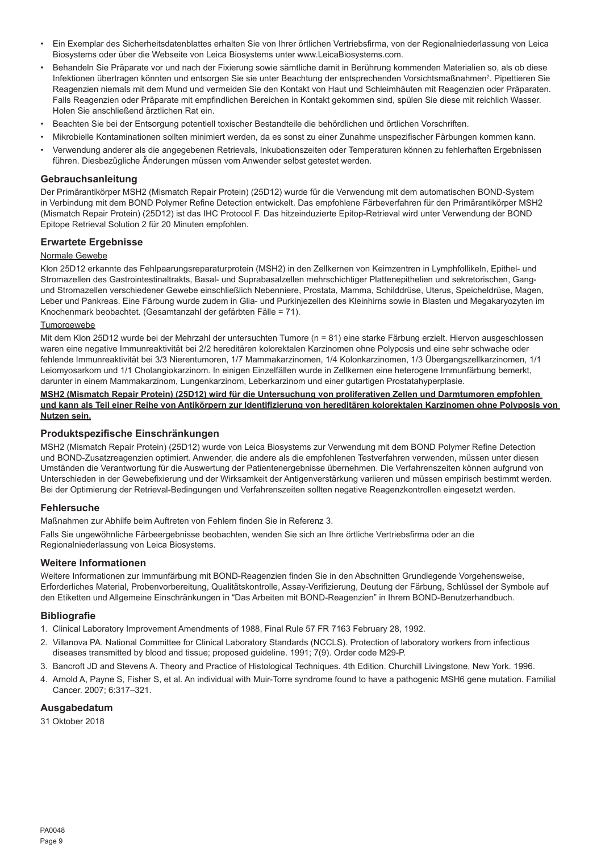- Ein Exemplar des Sicherheitsdatenblattes erhalten Sie von Ihrer örtlichen Vertriebsfirma, von der Regionalniederlassung von Leica Biosystems oder über die Webseite von Leica Biosystems unter www.LeicaBiosystems.com.
- Behandeln Sie Präparate vor und nach der Fixierung sowie sämtliche damit in Berührung kommenden Materialien so, als ob diese Infektionen übertragen könnten und entsorgen Sie sie unter Beachtung der entsprechenden Vorsichtsmaßnahmen<sup>2</sup>. Pipettieren Sie Reagenzien niemals mit dem Mund und vermeiden Sie den Kontakt von Haut und Schleimhäuten mit Reagenzien oder Präparaten. Falls Reagenzien oder Präparate mit empfindlichen Bereichen in Kontakt gekommen sind, spülen Sie diese mit reichlich Wasser. Holen Sie anschließend ärztlichen Rat ein.
- Beachten Sie bei der Entsorgung potentiell toxischer Bestandteile die behördlichen und örtlichen Vorschriften.
- Mikrobielle Kontaminationen sollten minimiert werden, da es sonst zu einer Zunahme unspezifischer Färbungen kommen kann.
- Verwendung anderer als die angegebenen Retrievals, Inkubationszeiten oder Temperaturen können zu fehlerhaften Ergebnissen führen. Diesbezügliche Änderungen müssen vom Anwender selbst getestet werden.

#### **Gebrauchsanleitung**

Der Primärantikörper MSH2 (Mismatch Repair Protein) (25D12) wurde für die Verwendung mit dem automatischen BOND-System in Verbindung mit dem BOND Polymer Refine Detection entwickelt. Das empfohlene Färbeverfahren für den Primärantikörper MSH2 (Mismatch Repair Protein) (25D12) ist das IHC Protocol F. Das hitzeinduzierte Epitop-Retrieval wird unter Verwendung der BOND Epitope Retrieval Solution 2 für 20 Minuten empfohlen.

# **Erwartete Ergebnisse**

#### Normale Gewebe

Klon 25D12 erkannte das Fehlpaarungsreparaturprotein (MSH2) in den Zellkernen von Keimzentren in Lymphfollikeln, Epithel- und Stromazellen des Gastrointestinaltrakts, Basal- und Suprabasalzellen mehrschichtiger Plattenepithelien und sekretorischen, Gangund Stromazellen verschiedener Gewebe einschließlich Nebenniere, Prostata, Mamma, Schilddrüse, Uterus, Speicheldrüse, Magen, Leber und Pankreas. Eine Färbung wurde zudem in Glia- und Purkinjezellen des Kleinhirns sowie in Blasten und Megakaryozyten im Knochenmark beobachtet. (Gesamtanzahl der gefärbten Fälle = 71).

#### **Tumorgewebe**

Mit dem Klon 25D12 wurde bei der Mehrzahl der untersuchten Tumore (n = 81) eine starke Färbung erzielt. Hiervon ausgeschlossen waren eine negative Immunreaktivität bei 2/2 hereditären kolorektalen Karzinomen ohne Polyposis und eine sehr schwache oder fehlende Immunreaktivität bei 3/3 Nierentumoren, 1/7 Mammakarzinomen, 1/4 Kolonkarzinomen, 1/3 Übergangszellkarzinomen, 1/1 Leiomyosarkom und 1/1 Cholangiokarzinom. In einigen Einzelfällen wurde in Zellkernen eine heterogene Immunfärbung bemerkt, darunter in einem Mammakarzinom, Lungenkarzinom, Leberkarzinom und einer gutartigen Prostatahyperplasie.

#### **MSH2 (Mismatch Repair Protein) (25D12) wird für die Untersuchung von proliferativen Zellen und Darmtumoren empfohlen und kann als Teil einer Reihe von Antikörpern zur Identifizierung von hereditären kolorektalen Karzinomen ohne Polyposis von Nutzen sein.**

#### **Produktspezifische Einschränkungen**

MSH2 (Mismatch Repair Protein) (25D12) wurde von Leica Biosystems zur Verwendung mit dem BOND Polymer Refine Detection und BOND-Zusatzreagenzien optimiert. Anwender, die andere als die empfohlenen Testverfahren verwenden, müssen unter diesen Umständen die Verantwortung für die Auswertung der Patientenergebnisse übernehmen. Die Verfahrenszeiten können aufgrund von Unterschieden in der Gewebefixierung und der Wirksamkeit der Antigenverstärkung variieren und müssen empirisch bestimmt werden. Bei der Optimierung der Retrieval-Bedingungen und Verfahrenszeiten sollten negative Reagenzkontrollen eingesetzt werden.

#### **Fehlersuche**

Maßnahmen zur Abhilfe beim Auftreten von Fehlern finden Sie in Referenz 3.

Falls Sie ungewöhnliche Färbeergebnisse beobachten, wenden Sie sich an Ihre örtliche Vertriebsfirma oder an die Regionalniederlassung von Leica Biosystems.

#### **Weitere Informationen**

Weitere Informationen zur Immunfärbung mit BOND-Reagenzien finden Sie in den Abschnitten Grundlegende Vorgehensweise, Erforderliches Material, Probenvorbereitung, Qualitätskontrolle, Assay-Verifizierung, Deutung der Färbung, Schlüssel der Symbole auf den Etiketten und Allgemeine Einschränkungen in "Das Arbeiten mit BOND-Reagenzien" in Ihrem BOND-Benutzerhandbuch.

#### **Bibliografie**

- 1. Clinical Laboratory Improvement Amendments of 1988, Final Rule 57 FR 7163 February 28, 1992.
- 2. Villanova PA. National Committee for Clinical Laboratory Standards (NCCLS). Protection of laboratory workers from infectious diseases transmitted by blood and tissue; proposed guideline. 1991; 7(9). Order code M29-P.
- 3. Bancroft JD and Stevens A. Theory and Practice of Histological Techniques. 4th Edition. Churchill Livingstone, New York. 1996.
- 4. Arnold A, Payne S, Fisher S, et al. An individual with Muir-Torre syndrome found to have a pathogenic MSH6 gene mutation. Familial Cancer. 2007; 6:317–321.

# **Ausgabedatum**

31 Oktober 2018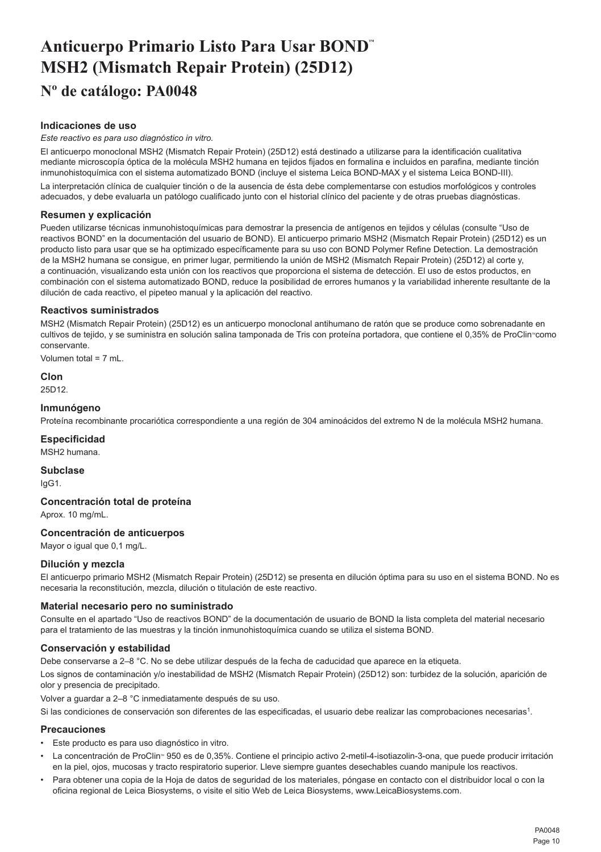# <span id="page-10-0"></span>**Anticuerpo Primario Listo Para Usar BOND™ MSH2 (Mismatch Repair Protein) (25D12) Nº de catálogo: PA0048**

# **Indicaciones de uso**

#### *Este reactivo es para uso diagnóstico in vitro.*

El anticuerpo monoclonal MSH2 (Mismatch Repair Protein) (25D12) está destinado a utilizarse para la identificación cualitativa mediante microscopía óptica de la molécula MSH2 humana en tejidos fijados en formalina e incluidos en parafina, mediante tinción inmunohistoquímica con el sistema automatizado BOND (incluye el sistema Leica BOND-MAX y el sistema Leica BOND-III).

La interpretación clínica de cualquier tinción o de la ausencia de ésta debe complementarse con estudios morfológicos y controles adecuados, y debe evaluarla un patólogo cualificado junto con el historial clínico del paciente y de otras pruebas diagnósticas.

# **Resumen y explicación**

Pueden utilizarse técnicas inmunohistoquímicas para demostrar la presencia de antígenos en tejidos y células (consulte "Uso de reactivos BOND" en la documentación del usuario de BOND). El anticuerpo primario MSH2 (Mismatch Repair Protein) (25D12) es un producto listo para usar que se ha optimizado específicamente para su uso con BOND Polymer Refine Detection. La demostración de la MSH2 humana se consigue, en primer lugar, permitiendo la unión de MSH2 (Mismatch Repair Protein) (25D12) al corte y, a continuación, visualizando esta unión con los reactivos que proporciona el sistema de detección. El uso de estos productos, en combinación con el sistema automatizado BOND, reduce la posibilidad de errores humanos y la variabilidad inherente resultante de la dilución de cada reactivo, el pipeteo manual y la aplicación del reactivo.

# **Reactivos suministrados**

MSH2 (Mismatch Repair Protein) (25D12) es un anticuerpo monoclonal antihumano de ratón que se produce como sobrenadante en cultivos de tejido, y se suministra en solución salina tamponada de Tris con proteína portadora, que contiene el 0,35% de ProClin<sup>®</sup>como conservante.

Volumen total = 7 mL.

**Clon**

25D12.

#### **Inmunógeno**

Proteína recombinante procariótica correspondiente a una región de 304 aminoácidos del extremo N de la molécula MSH2 humana.

# **Especificidad**

MSH2 humana.

**Subclase** IgG1.

# **Concentración total de proteína**

Aprox. 10 mg/mL.

# **Concentración de anticuerpos**

Mayor o igual que 0,1 mg/L.

# **Dilución y mezcla**

El anticuerpo primario MSH2 (Mismatch Repair Protein) (25D12) se presenta en dilución óptima para su uso en el sistema BOND. No es necesaria la reconstitución, mezcla, dilución o titulación de este reactivo.

# **Material necesario pero no suministrado**

Consulte en el apartado "Uso de reactivos BOND" de la documentación de usuario de BOND la lista completa del material necesario para el tratamiento de las muestras y la tinción inmunohistoquímica cuando se utiliza el sistema BOND.

# **Conservación y estabilidad**

Debe conservarse a 2–8 °C. No se debe utilizar después de la fecha de caducidad que aparece en la etiqueta.

Los signos de contaminación y/o inestabilidad de MSH2 (Mismatch Repair Protein) (25D12) son: turbidez de la solución, aparición de olor y presencia de precipitado.

Volver a guardar a 2–8 °C inmediatamente después de su uso.

Si las condiciones de conservación son diferentes de las especificadas, el usuario debe realizar las comprobaciones necesarias<sup>1</sup>.

#### **Precauciones**

- Este producto es para uso diagnóstico in vitro.
- La concentración de ProClin<sup>®</sup> 950 es de 0,35%. Contiene el principio activo 2-metil-4-isotiazolin-3-ona, que puede producir irritación en la piel, ojos, mucosas y tracto respiratorio superior. Lleve siempre guantes desechables cuando manipule los reactivos.
- Para obtener una copia de la Hoja de datos de seguridad de los materiales, póngase en contacto con el distribuidor local o con la oficina regional de Leica Biosystems, o visite el sitio Web de Leica Biosystems, www.LeicaBiosystems.com.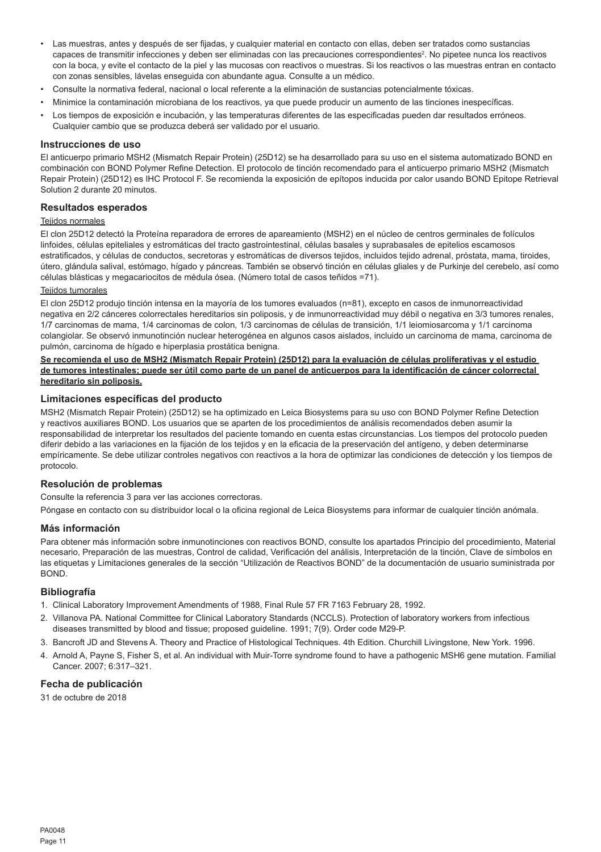- Las muestras, antes y después de ser fijadas, y cualquier material en contacto con ellas, deben ser tratados como sustancias capaces de transmitir infecciones y deben ser eliminadas con las precauciones correspondientes². No pipetee nunca los reactivos con la boca, y evite el contacto de la piel y las mucosas con reactivos o muestras. Si los reactivos o las muestras entran en contacto con zonas sensibles, lávelas enseguida con abundante agua. Consulte a un médico.
- Consulte la normativa federal, nacional o local referente a la eliminación de sustancias potencialmente tóxicas.
- Minimice la contaminación microbiana de los reactivos, ya que puede producir un aumento de las tinciones inespecíficas.
- Los tiempos de exposición e incubación, y las temperaturas diferentes de las especificadas pueden dar resultados erróneos. Cualquier cambio que se produzca deberá ser validado por el usuario.

#### **Instrucciones de uso**

El anticuerpo primario MSH2 (Mismatch Repair Protein) (25D12) se ha desarrollado para su uso en el sistema automatizado BOND en combinación con BOND Polymer Refine Detection. El protocolo de tinción recomendado para el anticuerpo primario MSH2 (Mismatch Repair Protein) (25D12) es IHC Protocol F. Se recomienda la exposición de epítopos inducida por calor usando BOND Epitope Retrieval Solution 2 durante 20 minutos.

# **Resultados esperados**

#### Teiidos normales

El clon 25D12 detectó la Proteína reparadora de errores de apareamiento (MSH2) en el núcleo de centros germinales de folículos linfoides, células epiteliales y estromáticas del tracto gastrointestinal, células basales y suprabasales de epitelios escamosos estratificados, y células de conductos, secretoras y estromáticas de diversos tejidos, incluidos tejido adrenal, próstata, mama, tiroides, útero, glándula salival, estómago, hígado y páncreas. También se observó tinción en células gliales y de Purkinje del cerebelo, así como células blásticas y megacariocitos de médula ósea. (Número total de casos teñidos =71).

#### Teiidos tumorales

El clon 25D12 produjo tinción intensa en la mayoría de los tumores evaluados (n=81), excepto en casos de inmunorreactividad negativa en 2/2 cánceres colorrectales hereditarios sin poliposis, y de inmunorreactividad muy débil o negativa en 3/3 tumores renales, 1/7 carcinomas de mama, 1/4 carcinomas de colon, 1/3 carcinomas de células de transición, 1/1 leiomiosarcoma y 1/1 carcinoma colangiolar. Se observó inmunotinción nuclear heterogénea en algunos casos aislados, incluido un carcinoma de mama, carcinoma de pulmón, carcinoma de hígado e hiperplasia prostática benigna.

#### **Se recomienda el uso de MSH2 (Mismatch Repair Protein) (25D12) para la evaluación de células proliferativas y el estudio de tumores intestinales; puede ser útil como parte de un panel de anticuerpos para la identificación de cáncer colorrectal hereditario sin poliposis.**

#### **Limitaciones específicas del producto**

MSH2 (Mismatch Repair Protein) (25D12) se ha optimizado en Leica Biosystems para su uso con BOND Polymer Refine Detection y reactivos auxiliares BOND. Los usuarios que se aparten de los procedimientos de análisis recomendados deben asumir la responsabilidad de interpretar los resultados del paciente tomando en cuenta estas circunstancias. Los tiempos del protocolo pueden diferir debido a las variaciones en la fijación de los tejidos y en la eficacia de la preservación del antígeno, y deben determinarse empíricamente. Se debe utilizar controles negativos con reactivos a la hora de optimizar las condiciones de detección y los tiempos de protocolo.

#### **Resolución de problemas**

Consulte la referencia 3 para ver las acciones correctoras.

Póngase en contacto con su distribuidor local o la oficina regional de Leica Biosystems para informar de cualquier tinción anómala.

#### **Más información**

Para obtener más información sobre inmunotinciones con reactivos BOND, consulte los apartados Principio del procedimiento, Material necesario, Preparación de las muestras, Control de calidad, Verificación del análisis, Interpretación de la tinción, Clave de símbolos en las etiquetas y Limitaciones generales de la sección "Utilización de Reactivos BOND" de la documentación de usuario suministrada por BOND.

#### **Bibliografía**

- 1. Clinical Laboratory Improvement Amendments of 1988, Final Rule 57 FR 7163 February 28, 1992.
- 2. Villanova PA. National Committee for Clinical Laboratory Standards (NCCLS). Protection of laboratory workers from infectious diseases transmitted by blood and tissue; proposed guideline. 1991; 7(9). Order code M29-P.
- 3. Bancroft JD and Stevens A. Theory and Practice of Histological Techniques. 4th Edition. Churchill Livingstone, New York. 1996.
- 4. Arnold A, Payne S, Fisher S, et al. An individual with Muir-Torre syndrome found to have a pathogenic MSH6 gene mutation. Familial Cancer. 2007; 6:317–321.

# **Fecha de publicación**

31 de octubre de 2018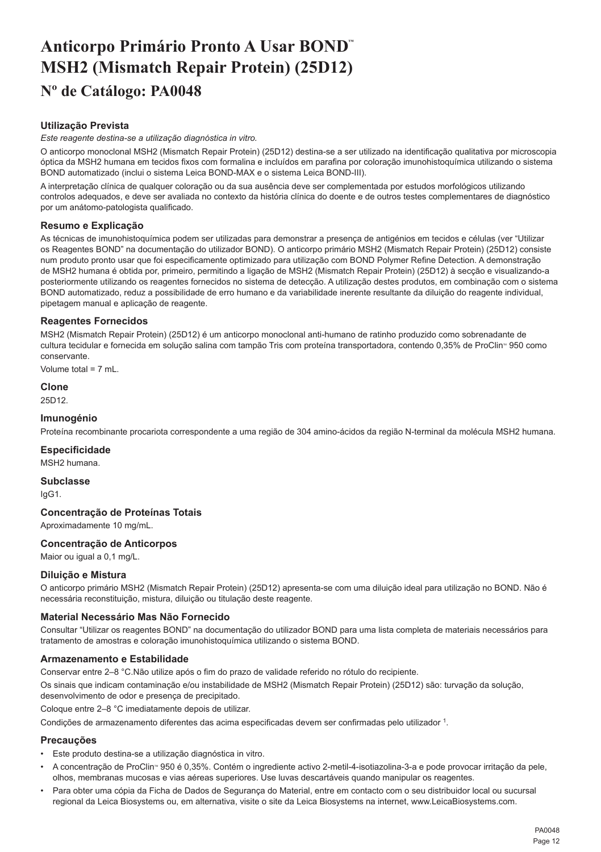# <span id="page-12-0"></span>**Anticorpo Primário Pronto A Usar BOND™ MSH2 (Mismatch Repair Protein) (25D12) Nº de Catálogo: PA0048**

# **Utilização Prevista**

*Este reagente destina-se a utilização diagnóstica in vitro.*

O anticorpo monoclonal MSH2 (Mismatch Repair Protein) (25D12) destina-se a ser utilizado na identificação qualitativa por microscopia óptica da MSH2 humana em tecidos fixos com formalina e incluídos em parafina por coloração imunohistoquímica utilizando o sistema BOND automatizado (inclui o sistema Leica BOND-MAX e o sistema Leica BOND-III).

A interpretação clínica de qualquer coloração ou da sua ausência deve ser complementada por estudos morfológicos utilizando controlos adequados, e deve ser avaliada no contexto da história clínica do doente e de outros testes complementares de diagnóstico por um anátomo-patologista qualificado.

# **Resumo e Explicação**

As técnicas de imunohistoquímica podem ser utilizadas para demonstrar a presença de antigénios em tecidos e células (ver "Utilizar os Reagentes BOND" na documentação do utilizador BOND). O anticorpo primário MSH2 (Mismatch Repair Protein) (25D12) consiste num produto pronto usar que foi especificamente optimizado para utilização com BOND Polymer Refine Detection. A demonstração de MSH2 humana é obtida por, primeiro, permitindo a ligação de MSH2 (Mismatch Repair Protein) (25D12) à secção e visualizando-a posteriormente utilizando os reagentes fornecidos no sistema de detecção. A utilização destes produtos, em combinação com o sistema BOND automatizado, reduz a possibilidade de erro humano e da variabilidade inerente resultante da diluição do reagente individual, pipetagem manual e aplicação de reagente.

# **Reagentes Fornecidos**

MSH2 (Mismatch Repair Protein) (25D12) é um anticorpo monoclonal anti-humano de ratinho produzido como sobrenadante de cultura tecidular e fornecida em solução salina com tampão Tris com proteína transportadora, contendo 0,35% de ProClin<sup>®</sup> 950 como conservante.

Volume total = 7 mL.

# **Clone**

25D12.

# **Imunogénio**

Proteína recombinante procariota correspondente a uma região de 304 amino-ácidos da região N-terminal da molécula MSH2 humana.

# **Especificidade**

MSH2 humana.

**Subclasse** IgG1.

# **Concentração de Proteínas Totais**

Aproximadamente 10 mg/mL.

# **Concentração de Anticorpos**

Maior ou igual a 0,1 mg/L.

# **Diluição e Mistura**

O anticorpo primário MSH2 (Mismatch Repair Protein) (25D12) apresenta-se com uma diluição ideal para utilização no BOND. Não é necessária reconstituição, mistura, diluição ou titulação deste reagente.

# **Material Necessário Mas Não Fornecido**

Consultar "Utilizar os reagentes BOND" na documentação do utilizador BOND para uma lista completa de materiais necessários para tratamento de amostras e coloração imunohistoquímica utilizando o sistema BOND.

# **Armazenamento e Estabilidade**

Conservar entre 2–8 °C.Não utilize após o fim do prazo de validade referido no rótulo do recipiente.

Os sinais que indicam contaminação e/ou instabilidade de MSH2 (Mismatch Repair Protein) (25D12) são: turvação da solução, desenvolvimento de odor e presença de precipitado.

Coloque entre 2–8 °C imediatamente depois de utilizar.

Condições de armazenamento diferentes das acima especificadas devem ser confirmadas pelo utilizador <sup>1</sup>.

# **Precauções**

- Este produto destina-se a utilização diagnóstica in vitro.
- A concentração de ProClin 950 é 0,35%. Contém o ingrediente activo 2-metil-4-isotiazolina-3-a e pode provocar irritação da pele. olhos, membranas mucosas e vias aéreas superiores. Use luvas descartáveis quando manipular os reagentes.
- Para obter uma cópia da Ficha de Dados de Segurança do Material, entre em contacto com o seu distribuidor local ou sucursal regional da Leica Biosystems ou, em alternativa, visite o site da Leica Biosystems na internet, www.LeicaBiosystems.com.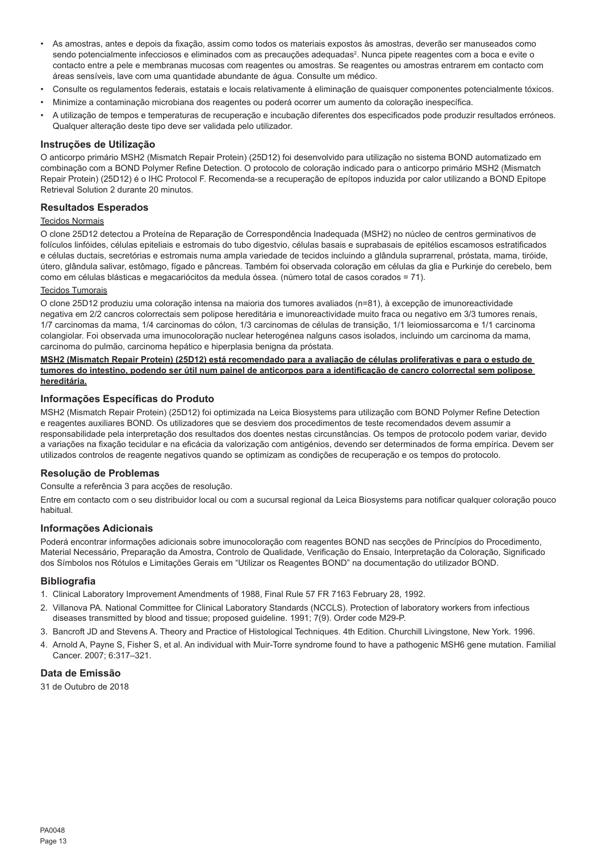- As amostras, antes e depois da fixação, assim como todos os materiais expostos às amostras, deverão ser manuseados como sendo potencialmente infecciosos e eliminados com as precauções adequadas<sup>2</sup>. Nunca pipete reagentes com a boca e evite o contacto entre a pele e membranas mucosas com reagentes ou amostras. Se reagentes ou amostras entrarem em contacto com áreas sensíveis, lave com uma quantidade abundante de água. Consulte um médico.
- Consulte os regulamentos federais, estatais e locais relativamente à eliminação de quaisquer componentes potencialmente tóxicos.
- Minimize a contaminação microbiana dos reagentes ou poderá ocorrer um aumento da coloração inespecífica.
- A utilização de tempos e temperaturas de recuperação e incubação diferentes dos especificados pode produzir resultados erróneos. Qualquer alteração deste tipo deve ser validada pelo utilizador.

#### **Instruções de Utilização**

O anticorpo primário MSH2 (Mismatch Repair Protein) (25D12) foi desenvolvido para utilização no sistema BOND automatizado em combinação com a BOND Polymer Refine Detection. O protocolo de coloração indicado para o anticorpo primário MSH2 (Mismatch Repair Protein) (25D12) é o IHC Protocol F. Recomenda-se a recuperação de epítopos induzida por calor utilizando a BOND Epitope Retrieval Solution 2 durante 20 minutos.

# **Resultados Esperados**

#### Tecidos Normais

O clone 25D12 detectou a Proteína de Reparação de Correspondência Inadequada (MSH2) no núcleo de centros germinativos de folículos linfóides, células epiteliais e estromais do tubo digestvio, células basais e suprabasais de epitélios escamosos estratificados e células ductais, secretórias e estromais numa ampla variedade de tecidos incluindo a glândula suprarrenal, próstata, mama, tiróide, útero, glândula salivar, estômago, fígado e pâncreas. Também foi observada coloração em células da glia e Purkinje do cerebelo, bem como em células blásticas e megacariócitos da medula óssea. (número total de casos corados = 71).

#### Tecidos Tumorais

O clone 25D12 produziu uma coloração intensa na maioria dos tumores avaliados (n=81), à excepção de imunoreactividade negativa em 2/2 cancros colorrectais sem polipose hereditária e imunoreactividade muito fraca ou negativo em 3/3 tumores renais, 1/7 carcinomas da mama, 1/4 carcinomas do cólon, 1/3 carcinomas de células de transição, 1/1 leiomiossarcoma e 1/1 carcinoma colangiolar. Foi observada uma imunocoloração nuclear heterogénea nalguns casos isolados, incluindo um carcinoma da mama, carcinoma do pulmão, carcinoma hepático e hiperplasia benigna da próstata.

#### **MSH2 (Mismatch Repair Protein) (25D12) está recomendado para a avaliação de células proliferativas e para o estudo de tumores do intestino, podendo ser útil num painel de anticorpos para a identificação de cancro colorrectal sem polipose hereditária.**

#### **Informações Específicas do Produto**

MSH2 (Mismatch Repair Protein) (25D12) foi optimizada na Leica Biosystems para utilização com BOND Polymer Refine Detection e reagentes auxiliares BOND. Os utilizadores que se desviem dos procedimentos de teste recomendados devem assumir a responsabilidade pela interpretação dos resultados dos doentes nestas circunstâncias. Os tempos de protocolo podem variar, devido a variações na fixação tecidular e na eficácia da valorização com antigénios, devendo ser determinados de forma empírica. Devem ser utilizados controlos de reagente negativos quando se optimizam as condições de recuperação e os tempos do protocolo.

# **Resolução de Problemas**

Consulte a referência 3 para acções de resolução.

Entre em contacto com o seu distribuidor local ou com a sucursal regional da Leica Biosystems para notificar qualquer coloração pouco habitual.

#### **Informações Adicionais**

Poderá encontrar informações adicionais sobre imunocoloração com reagentes BOND nas secções de Princípios do Procedimento, Material Necessário, Preparação da Amostra, Controlo de Qualidade, Verificação do Ensaio, Interpretação da Coloração, Significado dos Símbolos nos Rótulos e Limitações Gerais em "Utilizar os Reagentes BOND" na documentação do utilizador BOND.

#### **Bibliografia**

- 1. Clinical Laboratory Improvement Amendments of 1988, Final Rule 57 FR 7163 February 28, 1992.
- 2. Villanova PA. National Committee for Clinical Laboratory Standards (NCCLS). Protection of laboratory workers from infectious diseases transmitted by blood and tissue; proposed guideline. 1991; 7(9). Order code M29-P.
- 3. Bancroft JD and Stevens A. Theory and Practice of Histological Techniques. 4th Edition. Churchill Livingstone, New York. 1996.
- 4. Arnold A, Payne S, Fisher S, et al. An individual with Muir-Torre syndrome found to have a pathogenic MSH6 gene mutation. Familial Cancer. 2007; 6:317–321.

# **Data de Emissão**

31 de Outubro de 2018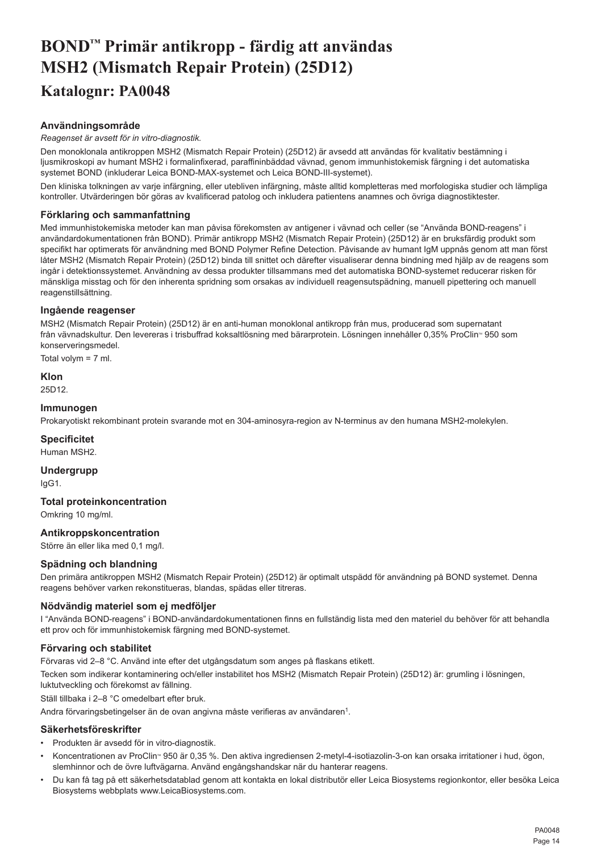# <span id="page-14-0"></span>**BOND™ Primär antikropp - färdig att användas MSH2 (Mismatch Repair Protein) (25D12) Katalognr: PA0048**

# **Användningsområde**

#### *Reagenset är avsett för in vitro-diagnostik.*

Den monoklonala antikroppen MSH2 (Mismatch Repair Protein) (25D12) är avsedd att användas för kvalitativ bestämning i ljusmikroskopi av humant MSH2 i formalinfixerad, paraffininbäddad vävnad, genom immunhistokemisk färgning i det automatiska systemet BOND (inkluderar Leica BOND-MAX-systemet och Leica BOND-III-systemet).

Den kliniska tolkningen av varje infärgning, eller utebliven infärgning, måste alltid kompletteras med morfologiska studier och lämpliga kontroller. Utvärderingen bör göras av kvalificerad patolog och inkludera patientens anamnes och övriga diagnostiktester.

# **Förklaring och sammanfattning**

Med immunhistokemiska metoder kan man påvisa förekomsten av antigener i vävnad och celler (se "Använda BOND-reagens" i användardokumentationen från BOND). Primär antikropp MSH2 (Mismatch Repair Protein) (25D12) är en bruksfärdig produkt som specifikt har optimerats för användning med BOND Polymer Refine Detection. Påvisande av humant IgM uppnås genom att man först låter MSH2 (Mismatch Repair Protein) (25D12) binda till snittet och därefter visualiserar denna bindning med hjälp av de reagens som ingår i detektionssystemet. Användning av dessa produkter tillsammans med det automatiska BOND-systemet reducerar risken för mänskliga misstag och för den inherenta spridning som orsakas av individuell reagensutspädning, manuell pipettering och manuell reagenstillsättning.

#### **Ingående reagenser**

MSH2 (Mismatch Repair Protein) (25D12) är en anti-human monoklonal antikropp från mus, producerad som supernatant från vävnadskultur. Den levereras i trisbuffrad koksaltlösning med bärarprotein. Lösningen innehåller 0,35% ProClin<sup>®</sup> 950 som konserveringsmedel.

Total volym = 7 ml.

#### **Klon**

25D12.

#### **Immunogen**

Prokaryotiskt rekombinant protein svarande mot en 304-aminosyra-region av N-terminus av den humana MSH2-molekylen.

# **Specificitet**

Human MSH2.

**Undergrupp** IgG1.

# **Total proteinkoncentration**

Omkring 10 mg/ml.

# **Antikroppskoncentration**

Större än eller lika med 0,1 mg/l.

#### **Spädning och blandning**

Den primära antikroppen MSH2 (Mismatch Repair Protein) (25D12) är optimalt utspädd för användning på BOND systemet. Denna reagens behöver varken rekonstitueras, blandas, spädas eller titreras.

# **Nödvändig materiel som ej medföljer**

I "Använda BOND-reagens" i BOND-användardokumentationen finns en fullständig lista med den materiel du behöver för att behandla ett prov och för immunhistokemisk färgning med BOND-systemet.

# **Förvaring och stabilitet**

Förvaras vid 2–8 °C. Använd inte efter det utgångsdatum som anges på flaskans etikett.

Tecken som indikerar kontaminering och/eller instabilitet hos MSH2 (Mismatch Repair Protein) (25D12) är: grumling i lösningen, luktutveckling och förekomst av fällning.

Ställ tillbaka i 2–8 °C omedelbart efter bruk.

Andra förvaringsbetingelser än de ovan angivna måste verifieras av användaren<sup>1</sup>.

#### **Säkerhetsföreskrifter**

- Produkten är avsedd för in vitro-diagnostik.
- Koncentrationen av ProClin® 950 är 0,35 %. Den aktiva ingrediensen 2-metyl-4-isotiazolin-3-on kan orsaka irritationer i hud, ögon slemhinnor och de övre luftvägarna. Använd engångshandskar när du hanterar reagens.
- Du kan få tag på ett säkerhetsdatablad genom att kontakta en lokal distributör eller Leica Biosystems regionkontor, eller besöka Leica Biosystems webbplats www.LeicaBiosystems.com.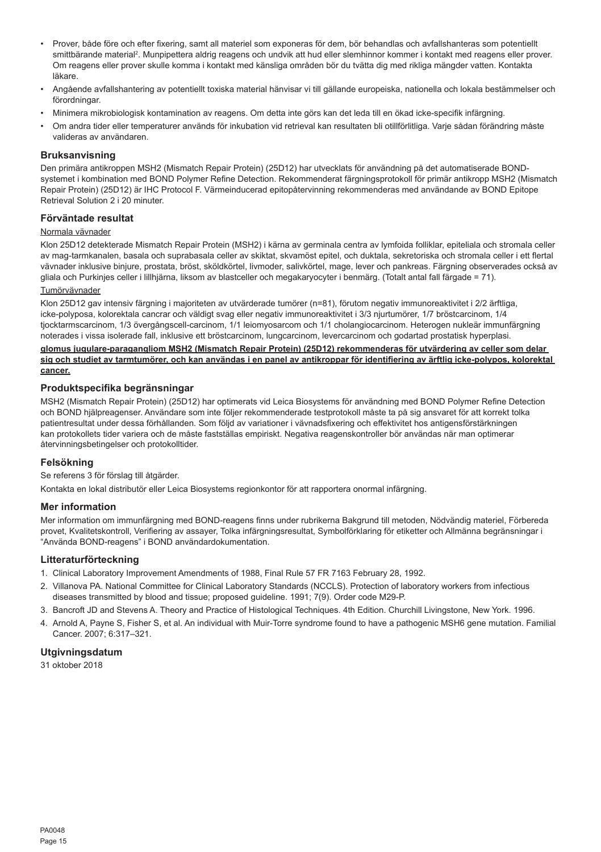- Prover, både före och efter fixering, samt all materiel som exponeras för dem, bör behandlas och avfallshanteras som potentiellt smittbärande material<sup>2</sup>. Munpipettera aldrig reagens och undvik att hud eller slemhinnor kommer i kontakt med reagens eller prover. Om reagens eller prover skulle komma i kontakt med känsliga områden bör du tvätta dig med rikliga mängder vatten. Kontakta läkare.
- Angående avfallshantering av potentiellt toxiska material hänvisar vi till gällande europeiska, nationella och lokala bestämmelser och förordningar.
- Minimera mikrobiologisk kontamination av reagens. Om detta inte görs kan det leda till en ökad icke-specifik infärgning.
- Om andra tider eller temperaturer används för inkubation vid retrieval kan resultaten bli otillförlitliga. Varje sådan förändring måste valideras av användaren.

#### **Bruksanvisning**

Den primära antikroppen MSH2 (Mismatch Repair Protein) (25D12) har utvecklats för användning på det automatiserade BONDsystemet i kombination med BOND Polymer Refine Detection. Rekommenderat färgningsprotokoll för primär antikropp MSH2 (Mismatch Repair Protein) (25D12) är IHC Protocol F. Värmeinducerad epitopåtervinning rekommenderas med användande av BOND Epitope Retrieval Solution 2 i 20 minuter.

# **Förväntade resultat**

#### Normala vävnader

Klon 25D12 detekterade Mismatch Repair Protein (MSH2) i kärna av germinala centra av lymfoida folliklar, epiteliala och stromala celler av mag-tarmkanalen, basala och suprabasala celler av skiktat, skvamöst epitel, och duktala, sekretoriska och stromala celler i ett flertal vävnader inklusive binjure, prostata, bröst, sköldkörtel, livmoder, salivkörtel, mage, lever och pankreas. Färgning observerades också av gliala och Purkinjes celler i lillhjärna, liksom av blastceller och megakaryocyter i benmärg. (Totalt antal fall färgade = 71). Tumörvävnader

Klon 25D12 gav intensiv färgning i majoriteten av utvärderade tumörer (n=81), förutom negativ immunoreaktivitet i 2/2 ärftliga, icke-polyposa, kolorektala cancrar och väldigt svag eller negativ immunoreaktivitet i 3/3 njurtumörer, 1/7 bröstcarcinom, 1/4 tjocktarmscarcinom, 1/3 övergångscell-carcinom, 1/1 leiomyosarcom och 1/1 cholangiocarcinom. Heterogen nukleär immunfärgning noterades i vissa isolerade fall, inklusive ett bröstcarcinom, lungcarcinom, levercarcinom och godartad prostatisk hyperplasi.

**glomus jugulare-paragangliom MSH2 (Mismatch Repair Protein) (25D12) rekommenderas för utvärdering av celler som delar sig och studiet av tarmtumörer, och kan användas i en panel av antikroppar för identifiering av ärftlig icke-polypos, kolorektal cancer.**

# **Produktspecifika begränsningar**

MSH2 (Mismatch Repair Protein) (25D12) har optimerats vid Leica Biosystems för användning med BOND Polymer Refine Detection och BOND hjälpreagenser. Användare som inte följer rekommenderade testprotokoll måste ta på sig ansvaret för att korrekt tolka patientresultat under dessa förhållanden. Som följd av variationer i vävnadsfixering och effektivitet hos antigensförstärkningen kan protokollets tider variera och de måste fastställas empiriskt. Negativa reagenskontroller bör användas när man optimerar återvinningsbetingelser och protokolltider.

#### **Felsökning**

Se referens 3 för förslag till åtgärder.

Kontakta en lokal distributör eller Leica Biosystems regionkontor för att rapportera onormal infärgning.

#### **Mer information**

Mer information om immunfärgning med BOND-reagens finns under rubrikerna Bakgrund till metoden, Nödvändig materiel, Förbereda provet, Kvalitetskontroll, Verifiering av assayer, Tolka infärgningsresultat, Symbolförklaring för etiketter och Allmänna begränsningar i "Använda BOND-reagens" i BOND användardokumentation.

#### **Litteraturförteckning**

- 1. Clinical Laboratory Improvement Amendments of 1988, Final Rule 57 FR 7163 February 28, 1992.
- 2. Villanova PA. National Committee for Clinical Laboratory Standards (NCCLS). Protection of laboratory workers from infectious diseases transmitted by blood and tissue; proposed guideline. 1991; 7(9). Order code M29-P.
- 3. Bancroft JD and Stevens A. Theory and Practice of Histological Techniques. 4th Edition. Churchill Livingstone, New York. 1996.
- 4. Arnold A, Payne S, Fisher S, et al. An individual with Muir-Torre syndrome found to have a pathogenic MSH6 gene mutation. Familial Cancer. 2007; 6:317–321.

#### **Utgivningsdatum**

31 oktober 2018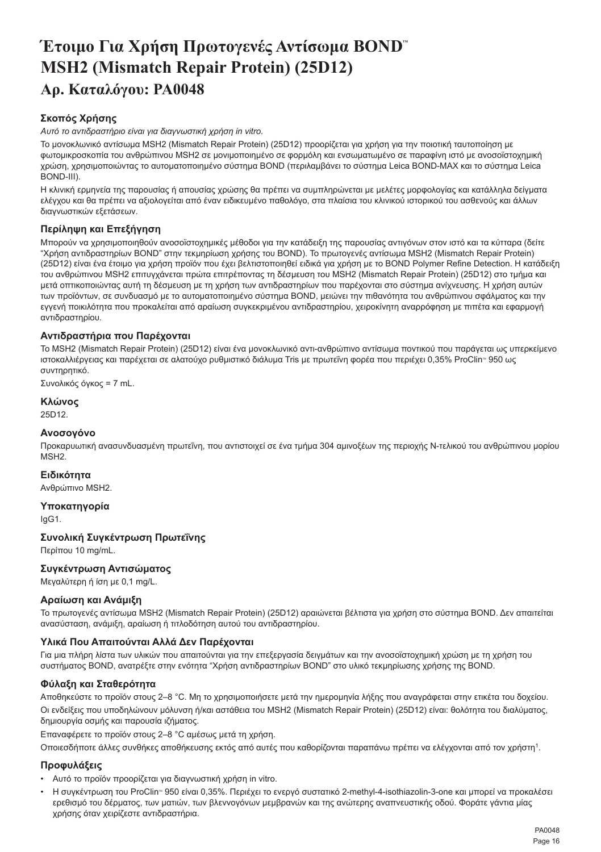# <span id="page-16-0"></span>**Έτοιμο Για Χρήση Πρωτογενές Αντίσωμα BOND™ MSH2 (Mismatch Repair Protein) (25D12) Αρ. Καταλόγου: PA0048**

# **Σκοπός Χρήσης**

*Αυτό το αντιδραστήριο είναι για διαγνωστική χρήση in vitro.*

Το μονοκλωνικό αντίσωμα MSH2 (Mismatch Repair Protein) (25D12) προορίζεται για χρήση για την ποιοτική ταυτοποίηση με φωτομικροσκοπία του ανθρώπινου MSH2 σε μονιμοποιημένο σε φορμόλη και ενσωματωμένο σε παραφίνη ιστό με ανοσοϊστοχημική χρώση, χρησιμοποιώντας το αυτοματοποιημένο σύστημα BOND (περιλαμβάνει το σύστημα Leica BOND-MAX και το σύστημα Leica BOND-III).

Η κλινική ερμηνεία της παρουσίας ή απουσίας χρώσης θα πρέπει να συμπληρώνεται με μελέτες μορφολογίας και κατάλληλα δείγματα ελέγχου και θα πρέπει να αξιολογείται από έναν ειδικευμένο παθολόγο, στα πλαίσια του κλινικού ιστορικού του ασθενούς και άλλων διαγνωστικών εξετάσεων.

# **Περίληψη και Επεξήγηση**

Μπορούν να χρησιμοποιηθούν ανοσοϊστοχημικές μέθοδοι για την κατάδειξη της παρουσίας αντιγόνων στον ιστό και τα κύτταρα (δείτε "Χρήση αντιδραστηρίων BOND" στην τεκμηρίωση χρήσης του BOND). Το πρωτογενές αντίσωμα MSH2 (Mismatch Repair Protein) (25D12) είναι ένα έτοιμο για χρήση προϊόν που έχει βελτιστοποιηθεί ειδικά για χρήση με το BOND Polymer Refine Detection. Η κατάδειξη του ανθρώπινου MSH2 επιτυγχάνεται πρώτα επιτρέποντας τη δέσμευση του MSH2 (Mismatch Repair Protein) (25D12) στο τμήμα και μετά οπτικοποιώντας αυτή τη δέσμευση με τη χρήση των αντιδραστηρίων που παρέχονται στο σύστημα ανίχνευσης. Η χρήση αυτών των προϊόντων, σε συνδυασμό με το αυτοματοποιημένο σύστημα BOND, μειώνει την πιθανότητα του ανθρώπινου σφάλματος και την εγγενή ποικιλότητα που προκαλείται από αραίωση συγκεκριμένου αντιδραστηρίου, χειροκίνητη αναρρόφηση με πιπέτα και εφαρμογή αντιδραστηρίου.

# **Αντιδραστήρια που Παρέχονται**

Το MSH2 (Mismatch Repair Protein) (25D12) είναι ένα μονοκλωνικό αντι-ανθρώπινο αντίσωμα ποντικού που παράγεται ως υπερκείμενο ιστοκαλλιέργειας και παρέχεται σε αλατούχο ρυθμιστικό διάλυμα Tris με πρωτεΐνη φορέα που περιέχει 0,35% ProClin™ 950 ως συντηρητικό.

Συνολικός όγκος = 7 mL.

# **Κλώνος**

25D12.

# **Ανοσογόνο**

Προκαρυωτική ανασυνδυασμένη πρωτεΐνη, που αντιστοιχεί σε ένα τμήμα 304 αμινοξέων της περιοχής N-τελικού του ανθρώπινου μορίου MSH2.

# **Ειδικότητα**

Ανθρώπινο MSH2.

# **Υποκατηγορία**

IgG1.

# **Συνολική Συγκέντρωση Πρωτεΐνης**

Περίπου 10 mg/mL.

# **Συγκέντρωση Αντισώματος**

Μεγαλύτερη ή ίση με 0,1 mg/L.

# **Αραίωση και Ανάμιξη**

Το πρωτογενές αντίσωμα MSH2 (Mismatch Repair Protein) (25D12) αραιώνεται βέλτιστα για χρήση στο σύστημα BOND. Δεν απαιτείται ανασύσταση, ανάμιξη, αραίωση ή τιτλοδότηση αυτού του αντιδραστηρίου.

# **Υλικά Που Απαιτούνται Αλλά Δεν Παρέχονται**

Για μια πλήρη λίστα των υλικών που απαιτούνται για την επεξεργασία δειγμάτων και την ανοσοϊστοχημική χρώση με τη χρήση του συστήματος BOND, ανατρέξτε στην ενότητα "Χρήση αντιδραστηρίων BOND" στο υλικό τεκμηρίωσης χρήσης της BOND.

# **Φύλαξη και Σταθερότητα**

Αποθηκεύστε το προϊόν στους 2–8 °C. Μη το χρησιμοποιήσετε μετά την ημερομηνία λήξης που αναγράφεται στην ετικέτα του δοχείου. Οι ενδείξεις που υποδηλώνουν μόλυνση ή/και αστάθεια του MSH2 (Mismatch Repair Protein) (25D12) είναι: θολότητα του διαλύματος, δημιουργία οσμής και παρουσία ιζήματος.

Επαναφέρετε το προϊόν στους 2–8 °C αμέσως μετά τη χρήση.

Οποιεσδήποτε άλλες συνθήκες αποθήκευσης εκτός από αυτές που καθορίζονται παραπάνω πρέπει να ελέγχονται από τον χρήστη<sup>1</sup>.

# **Προφυλάξεις**

- Αυτό το προϊόν προορίζεται για διαγνωστική χρήση in vitro.
- Η συγκέντρωση του ProClin™ 950 είναι 0,35%. Περιέχει το ενεργό συστατικό 2-methyl-4-isothiazolin-3-one και μπορεί να προκαλέσει ερεθισμό του δέρματος, των ματιών, των βλεννογόνων μεμβρανών και της ανώτερης αναπνευστικής οδού. Φοράτε γάντια μίας χρήσης όταν χειρίζεστε αντιδραστήρια.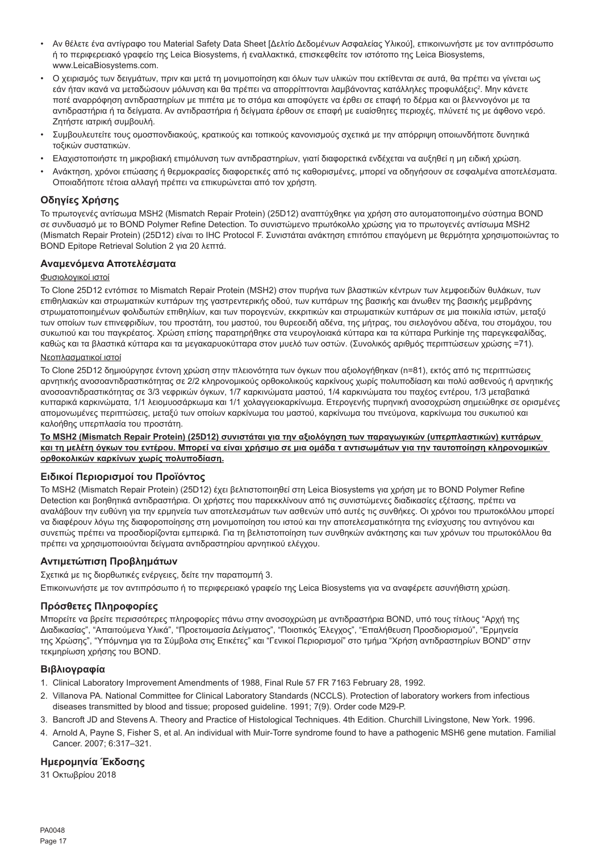- Αν θέλετε ένα αντίγραφο του Material Safety Data Sheet [Δελτίο Δεδομένων Ασφαλείας Υλικού], επικοινωνήστε με τον αντιπρόσωπο ή το περιφερειακό γραφείο της Leica Biosystems, ή εναλλακτικά, επισκεφθείτε τον ιστότοπο της Leica Biosystems, www.LeicaBiosystems.com.
- Ο χειρισμός των δειγμάτων, πριν και μετά τη μονιμοποίηση και όλων των υλικών που εκτίθενται σε αυτά, θα πρέπει να γίνεται ως εάν ήταν ικανά να μεταδώσουν μόλυνση και θα πρέπει να απορρίπτονται λαμβάνοντας κατάλληλες προφυλάξεις<sup>2</sup>. Μην κάνετε ποτέ αναρρόφηση αντιδραστηρίων με πιπέτα με το στόμα και αποφύγετε να έρθει σε επαφή το δέρμα και οι βλεννογόνοι με τα αντιδραστήρια ή τα δείγματα. Αν αντιδραστήρια ή δείγματα έρθουν σε επαφή με ευαίσθητες περιοχές, πλύνετέ τις με άφθονο νερό. Ζητήστε ιατρική συμβουλή.
- Συμβουλευτείτε τους ομοσπονδιακούς, κρατικούς και τοπικούς κανονισμούς σχετικά με την απόρριψη οποιωνδήποτε δυνητικά τοξικών συστατικών.
- Ελαχιστοποιήστε τη μικροβιακή επιμόλυνση των αντιδραστηρίων, γιατί διαφορετικά ενδέχεται να αυξηθεί η μη ειδική χρώση.
- Ανάκτηση, χρόνοι επώασης ή θερμοκρασίες διαφορετικές από τις καθορισμένες, μπορεί να οδηγήσουν σε εσφαλμένα αποτελέσματα. Οποιαδήποτε τέτοια αλλαγή πρέπει να επικυρώνεται από τον χρήστη.

# **Οδηγίες Χρήσης**

Το πρωτογενές αντίσωμα MSH2 (Mismatch Repair Protein) (25D12) αναπτύχθηκε για χρήση στο αυτοματοποιημένο σύστημα BOND σε συνδυασμό με το BOND Polymer Refine Detection. Το συνιστώμενο πρωτόκολλο χρώσης για το πρωτογενές αντίσωμα MSH2 (Mismatch Repair Protein) (25D12) είναι το IHC Protocol F. Συνιστάται ανάκτηση επιτόπου επαγόμενη με θερμότητα χρησιμοποιώντας το BOND Epitope Retrieval Solution 2 για 20 λεπτά.

# **Αναμενόμενα Αποτελέσματα**

# Φυσιολογικοί ιστοί

Το Clone 25D12 εντόπισε το Mismatch Repair Protein (MSH2) στον πυρήνα των βλαστικών κέντρων των λεμφοειδών θυλάκων, των επιθηλιακών και στρωματικών κυττάρων της γαστρεντερικής οδού, των κυττάρων της βασικής και άνωθεν της βασικής μεμβράνης στρωματοποιημένων φολιδωτών επιθηλίων, και των πορογενών, εκκριτικών και στρωματικών κυττάρων σε μια ποικιλία ιστών, μεταξύ των οποίων των επινεφριδίων, του προστάτη, του μαστού, του θυρεοειδή αδένα, της μήτρας, του σιελογόνου αδένα, του στομάχου, του συκωτιού και του παγκρέατος. Χρώση επίσης παρατηρήθηκε στα νευρογλοιακά κύτταρα και τα κύτταρα Purkinje της παρεγκεφαλίδας, καθώς και τα βλαστικά κύτταρα και τα μεγακαρυοκύτταρα στον μυελό των οστών. (Συνολικός αριθμός περιπτώσεων χρώσης =71).

#### Νεοπλασματικοί ιστοί

Το Clone 25D12 δημιούργησε έντονη χρώση στην πλειονότητα των όγκων που αξιολογήθηκαν (n=81), εκτός από τις περιπτώσεις αρνητικής ανοσοαντιδραστικότητας σε 2/2 κληρονομικούς ορθοκολικούς καρκίνους χωρίς πολυποδίαση και πολύ ασθενούς ή αρνητικής ανοσοαντιδραστικότητας σε 3/3 νεφρικών όγκων, 1/7 καρκινώματα μαστού, 1/4 καρκινώματα του παχέος εντέρου, 1/3 μεταβατικά κυτταρικά καρκινώματα, 1/1 λειομυοσάρκωμα και 1/1 χολαγγειοκαρκίνωμα. Ετερογενής πυρηνική ανοσοχρώση σημειώθηκε σε ορισμένες απομονωμένες περιπτώσεις, μεταξύ των οποίων καρκίνωμα του μαστού, καρκίνωμα του πνεύμονα, καρκίνωμα του συκωτιού και καλοήθης υπερπλασία του προστάτη.

**Το MSH2 (Mismatch Repair Protein) (25D12) συνιστάται για την αξιολόγηση των παραγωγικών (υπερπλαστικών) κυττάρων και τη μελέτη όγκων του εντέρου. Μπορεί να είναι χρήσιμο σε μια ομάδα τ αντισωμάτων για την ταυτοποίηση κληρονομικών ορθοκολικών καρκίνων χωρίς πολυποδίαση.**

# **Ειδικοί Περιορισμοί του Προϊόντος**

Το MSH2 (Mismatch Repair Protein) (25D12) έχει βελτιστοποιηθεί στη Leica Biosystems για χρήση με το BOND Polymer Refine Detection και βοηθητικά αντιδραστήρια. Οι χρήστες που παρεκκλίνουν από τις συνιστώμενες διαδικασίες εξέτασης, πρέπει να αναλάβουν την ευθύνη για την ερμηνεία των αποτελεσμάτων των ασθενών υπό αυτές τις συνθήκες. Οι χρόνοι του πρωτοκόλλου μπορεί να διαφέρουν λόγω της διαφοροποίησης στη μονιμοποίηση του ιστού και την αποτελεσματικότητα της ενίσχυσης του αντιγόνου και συνεπώς πρέπει να προσδιορίζονται εμπειρικά. Για τη βελτιστοποίηση των συνθηκών ανάκτησης και των χρόνων του πρωτοκόλλου θα πρέπει να χρησιμοποιούνται δείγματα αντιδραστηρίου αρνητικού ελέγχου.

# **Αντιμετώπιση Προβλημάτων**

Σχετικά με τις διορθωτικές ενέργειες, δείτε την παραπομπή 3.

Επικοινωνήστε με τον αντιπρόσωπο ή το περιφερειακό γραφείο της Leica Biosystems για να αναφέρετε ασυνήθιστη χρώση.

# **Πρόσθετες Πληροφορίες**

Μπορείτε να βρείτε περισσότερες πληροφορίες πάνω στην ανοσοχρώση με αντιδραστήρια BOND, υπό τους τίτλους "Αρχή της Διαδικασίας", "Απαιτούμενα Υλικά", "Προετοιμασία Δείγματος", "Ποιοτικός Έλεγχος", "Επαλήθευση Προσδιορισμού", "Ερμηνεία<br>της Χρώσης", "Υπόμνημα για τα Σύμβολα στις Ετικέτες" και "Γενικοί Περιορισμοί" στο τμήμα "Χρήση αντιδ τεκμηρίωση χρήσης του BOND.

# **Βιβλιογραφία**

- 1. Clinical Laboratory Improvement Amendments of 1988, Final Rule 57 FR 7163 February 28, 1992.
- 2. Villanova PA. National Committee for Clinical Laboratory Standards (NCCLS). Protection of laboratory workers from infectious diseases transmitted by blood and tissue; proposed guideline. 1991; 7(9). Order code M29-P.
- 3. Bancroft JD and Stevens A. Theory and Practice of Histological Techniques. 4th Edition. Churchill Livingstone, New York. 1996.
- 4. Arnold A, Payne S, Fisher S, et al. An individual with Muir-Torre syndrome found to have a pathogenic MSH6 gene mutation. Familial Cancer. 2007; 6:317–321.

# **Ημερομηνία Έκδοσης**

31 Οκτωβρίου 2018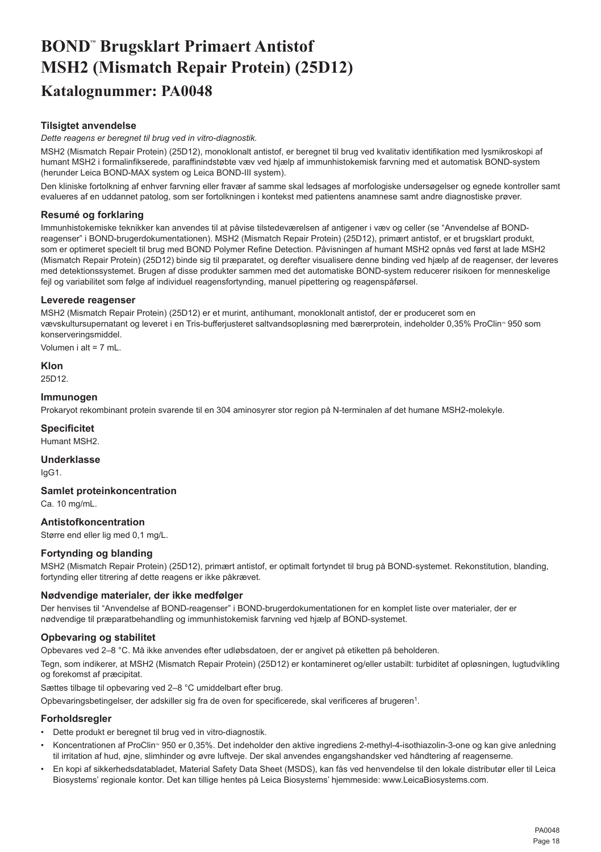# <span id="page-18-0"></span>**BOND™ Brugsklart Primaert Antistof MSH2 (Mismatch Repair Protein) (25D12) Katalognummer: PA0048**

# **Tilsigtet anvendelse**

*Dette reagens er beregnet til brug ved in vitro-diagnostik.*

MSH2 (Mismatch Repair Protein) (25D12), monoklonalt antistof, er beregnet til brug ved kvalitativ identifikation med lysmikroskopi af humant MSH2 i formalinfikserede, paraffinindstøbte væv ved hjælp af immunhistokemisk farvning med et automatisk BOND-system (herunder Leica BOND-MAX system og Leica BOND-III system).

Den kliniske fortolkning af enhver farvning eller fravær af samme skal ledsages af morfologiske undersøgelser og egnede kontroller samt evalueres af en uddannet patolog, som ser fortolkningen i kontekst med patientens anamnese samt andre diagnostiske prøver.

# **Resumé og forklaring**

Immunhistokemiske teknikker kan anvendes til at påvise tilstedeværelsen af antigener i væv og celler (se "Anvendelse af BONDreagenser" i BOND-brugerdokumentationen). MSH2 (Mismatch Repair Protein) (25D12), primært antistof, er et brugsklart produkt, som er optimeret specielt til brug med BOND Polymer Refine Detection. Påvisningen af humant MSH2 opnås ved først at lade MSH2 (Mismatch Repair Protein) (25D12) binde sig til præparatet, og derefter visualisere denne binding ved hjælp af de reagenser, der leveres med detektionssystemet. Brugen af disse produkter sammen med det automatiske BOND-system reducerer risikoen for menneskelige fejl og variabilitet som følge af individuel reagensfortynding, manuel pipettering og reagenspåførsel.

#### **Leverede reagenser**

MSH2 (Mismatch Repair Protein) (25D12) er et murint, antihumant, monoklonalt antistof, der er produceret som en vævskultursupernatant og leveret i en Tris-bufferjusteret saltvandsopløsning med bærerprotein, indeholder 0,35% ProClin<sup>®</sup> 950 som konserveringsmiddel.

Volumen i alt = 7 mL.

**Klon**

25D12.

# **Immunogen**

Prokaryot rekombinant protein svarende til en 304 aminosyrer stor region på N-terminalen af det humane MSH2-molekyle.

# **Specificitet**

Humant MSH2.

**Underklasse**

IgG1.

**Samlet proteinkoncentration**

Ca. 10 mg/mL.

# **Antistofkoncentration**

Større end eller lig med 0,1 mg/L.

# **Fortynding og blanding**

MSH2 (Mismatch Repair Protein) (25D12), primært antistof, er optimalt fortyndet til brug på BOND-systemet. Rekonstitution, blanding, fortynding eller titrering af dette reagens er ikke påkrævet.

# **Nødvendige materialer, der ikke medfølger**

Der henvises til "Anvendelse af BOND-reagenser" i BOND-brugerdokumentationen for en komplet liste over materialer, der er nødvendige til præparatbehandling og immunhistokemisk farvning ved hjælp af BOND-systemet.

#### **Opbevaring og stabilitet**

Opbevares ved 2–8 °C. Må ikke anvendes efter udløbsdatoen, der er angivet på etiketten på beholderen.

Tegn, som indikerer, at MSH2 (Mismatch Repair Protein) (25D12) er kontamineret og/eller ustabilt: turbiditet af opløsningen, lugtudvikling og forekomst af præcipitat.

Sættes tilbage til opbevaring ved 2–8 °C umiddelbart efter brug.

Opbevaringsbetingelser, der adskiller sig fra de oven for specificerede, skal verificeres af brugeren<sup>1</sup>.

# **Forholdsregler**

- Dette produkt er beregnet til brug ved in vitro-diagnostik.
- Koncentrationen af ProClin<sup>®</sup> 950 er 0,35%. Det indeholder den aktive ingrediens 2-methyl-4-isothiazolin-3-one og kan give anledning til irritation af hud, øjne, slimhinder og øvre luftveje. Der skal anvendes engangshandsker ved håndtering af reagenserne.
- En kopi af sikkerhedsdatabladet, Material Safety Data Sheet (MSDS), kan fås ved henvendelse til den lokale distributør eller til Leica Biosystems' regionale kontor. Det kan tillige hentes på Leica Biosystems' hjemmeside: www.LeicaBiosystems.com.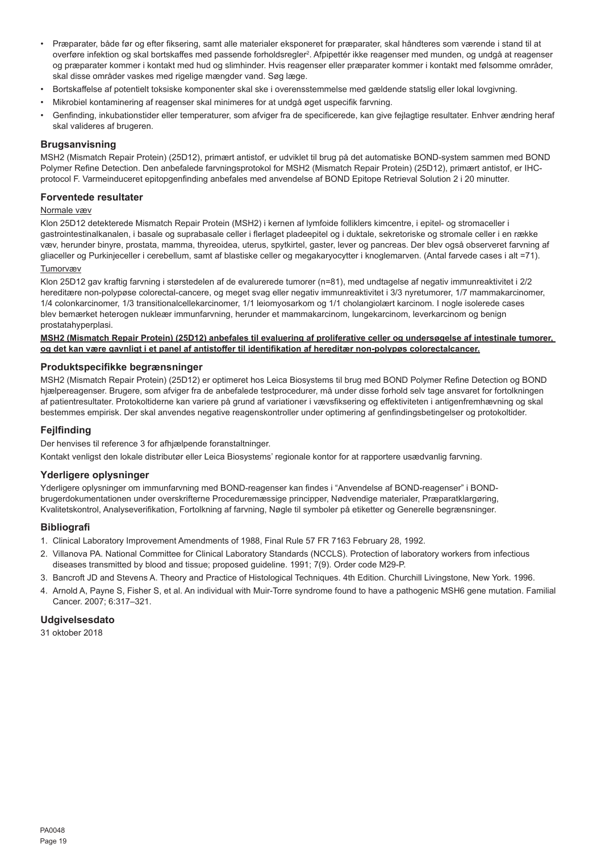- Præparater, både før og efter fiksering, samt alle materialer eksponeret for præparater, skal håndteres som værende i stand til at overføre infektion og skal bortskaffes med passende forholdsregler<sup>2</sup>. Afpipettér ikke reagenser med munden, og undgå at reagenser og præparater kommer i kontakt med hud og slimhinder. Hvis reagenser eller præparater kommer i kontakt med følsomme områder, skal disse områder vaskes med rigelige mængder vand. Søg læge.
- Bortskaffelse af potentielt toksiske komponenter skal ske i overensstemmelse med gældende statslig eller lokal lovgivning.
- Mikrobiel kontaminering af reagenser skal minimeres for at undgå øget uspecifik farvning.
- Genfinding, inkubationstider eller temperaturer, som afviger fra de specificerede, kan give fejlagtige resultater. Enhver ændring heraf skal valideres af brugeren.

#### **Brugsanvisning**

MSH2 (Mismatch Repair Protein) (25D12), primært antistof, er udviklet til brug på det automatiske BOND-system sammen med BOND Polymer Refine Detection. Den anbefalede farvningsprotokol for MSH2 (Mismatch Repair Protein) (25D12), primært antistof, er IHCprotocol F. Varmeinduceret epitopgenfinding anbefales med anvendelse af BOND Epitope Retrieval Solution 2 i 20 minutter.

#### **Forventede resultater**

#### Normale væv

Klon 25D12 detekterede Mismatch Repair Protein (MSH2) i kernen af lymfoide folliklers kimcentre, i epitel- og stromaceller i gastrointestinalkanalen, i basale og suprabasale celler i flerlaget pladeepitel og i duktale, sekretoriske og stromale celler i en række væv, herunder binyre, prostata, mamma, thyreoidea, uterus, spytkirtel, gaster, lever og pancreas. Der blev også observeret farvning af gliaceller og Purkinjeceller i cerebellum, samt af blastiske celler og megakaryocytter i knoglemarven. (Antal farvede cases i alt =71).

#### Tumorvæv

Klon 25D12 gav kraftig farvning i størstedelen af de evalurerede tumorer (n=81), med undtagelse af negativ immunreaktivitet i 2/2 hereditære non-polypøse colorectal-cancere, og meget svag eller negativ immunreaktivitet i 3/3 nyretumorer, 1/7 mammakarcinomer, 1/4 colonkarcinomer, 1/3 transitionalcellekarcinomer, 1/1 leiomyosarkom og 1/1 cholangiolært karcinom. I nogle isolerede cases blev bemærket heterogen nukleær immunfarvning, herunder et mammakarcinom, lungekarcinom, leverkarcinom og benign prostatahyperplasi.

#### **MSH2 (Mismatch Repair Protein) (25D12) anbefales til evaluering af proliferative celler og undersøgelse af intestinale tumorer, og det kan være gavnligt i et panel af antistoffer til identifikation af hereditær non-polypøs colorectalcancer.**

#### **Produktspecifikke begrænsninger**

MSH2 (Mismatch Repair Protein) (25D12) er optimeret hos Leica Biosystems til brug med BOND Polymer Refine Detection og BOND hjælpereagenser. Brugere, som afviger fra de anbefalede testprocedurer, må under disse forhold selv tage ansvaret for fortolkningen af patientresultater. Protokoltiderne kan variere på grund af variationer i vævsfiksering og effektiviteten i antigenfremhævning og skal bestemmes empirisk. Der skal anvendes negative reagenskontroller under optimering af genfindingsbetingelser og protokoltider.

#### **Fejlfinding**

Der henvises til reference 3 for afhjælpende foranstaltninger.

Kontakt venligst den lokale distributør eller Leica Biosystems' regionale kontor for at rapportere usædvanlig farvning.

#### **Yderligere oplysninger**

Yderligere oplysninger om immunfarvning med BOND-reagenser kan findes i "Anvendelse af BOND-reagenser" i BONDbrugerdokumentationen under overskrifterne Proceduremæssige principper, Nødvendige materialer, Præparatklargøring, Kvalitetskontrol, Analyseverifikation, Fortolkning af farvning, Nøgle til symboler på etiketter og Generelle begrænsninger.

#### **Bibliografi**

- 1. Clinical Laboratory Improvement Amendments of 1988, Final Rule 57 FR 7163 February 28, 1992.
- 2. Villanova PA. National Committee for Clinical Laboratory Standards (NCCLS). Protection of laboratory workers from infectious diseases transmitted by blood and tissue; proposed guideline. 1991; 7(9). Order code M29-P.
- 3. Bancroft JD and Stevens A. Theory and Practice of Histological Techniques. 4th Edition. Churchill Livingstone, New York. 1996.
- 4. Arnold A, Payne S, Fisher S, et al. An individual with Muir-Torre syndrome found to have a pathogenic MSH6 gene mutation. Familial Cancer. 2007; 6:317–321.

# **Udgivelsesdato**

31 oktober 2018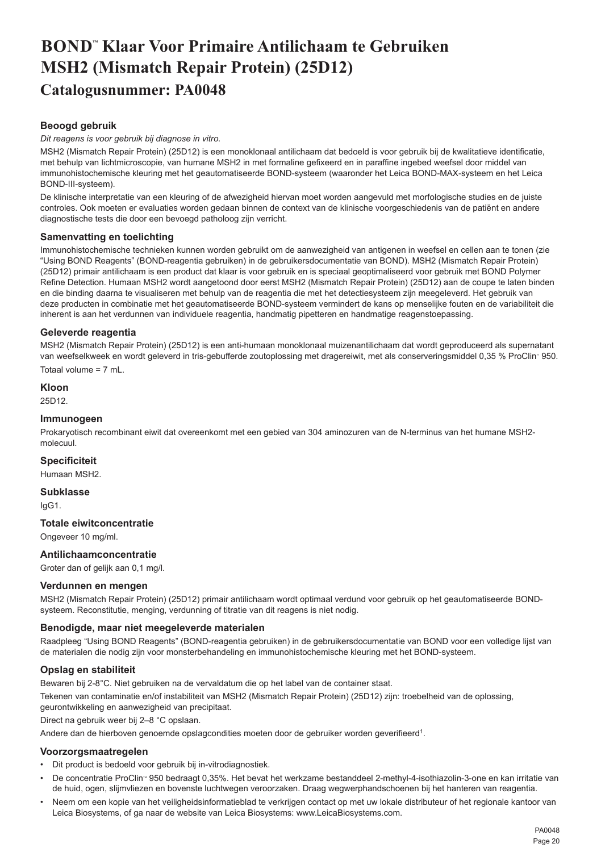# <span id="page-20-0"></span>**BOND™ Klaar Voor Primaire Antilichaam te Gebruiken MSH2 (Mismatch Repair Protein) (25D12) Catalogusnummer: PA0048**

# **Beoogd gebruik**

#### *Dit reagens is voor gebruik bij diagnose in vitro.*

MSH2 (Mismatch Repair Protein) (25D12) is een monoklonaal antilichaam dat bedoeld is voor gebruik bij de kwalitatieve identificatie, met behulp van lichtmicroscopie, van humane MSH2 in met formaline gefixeerd en in paraffine ingebed weefsel door middel van immunohistochemische kleuring met het geautomatiseerde BOND-systeem (waaronder het Leica BOND-MAX-systeem en het Leica BOND-III-systeem).

De klinische interpretatie van een kleuring of de afwezigheid hiervan moet worden aangevuld met morfologische studies en de juiste controles. Ook moeten er evaluaties worden gedaan binnen de context van de klinische voorgeschiedenis van de patiënt en andere diagnostische tests die door een bevoegd patholoog zijn verricht.

#### **Samenvatting en toelichting**

Immunohistochemische technieken kunnen worden gebruikt om de aanwezigheid van antigenen in weefsel en cellen aan te tonen (zie "Using BOND Reagents" (BOND-reagentia gebruiken) in de gebruikersdocumentatie van BOND). MSH2 (Mismatch Repair Protein) (25D12) primair antilichaam is een product dat klaar is voor gebruik en is speciaal geoptimaliseerd voor gebruik met BOND Polymer Refine Detection. Humaan MSH2 wordt aangetoond door eerst MSH2 (Mismatch Repair Protein) (25D12) aan de coupe te laten binden en die binding daarna te visualiseren met behulp van de reagentia die met het detectiesysteem zijn meegeleverd. Het gebruik van deze producten in combinatie met het geautomatiseerde BOND-systeem vermindert de kans op menselijke fouten en de variabiliteit die inherent is aan het verdunnen van individuele reagentia, handmatig pipetteren en handmatige reagenstoepassing.

#### **Geleverde reagentia**

MSH2 (Mismatch Repair Protein) (25D12) is een anti-humaan monoklonaal muizenantilichaam dat wordt geproduceerd als supernatant van weefselkweek en wordt geleverd in tris-gebufferde zoutoplossing met dragereiwit, met als conserveringsmiddel 0,35 % ProClin<sup>.</sup> 950. Totaal volume = 7 mL.

#### **Kloon**

25D12.

#### **Immunogeen**

Prokaryotisch recombinant eiwit dat overeenkomt met een gebied van 304 aminozuren van de N-terminus van het humane MSH2 molecuul.

# **Specificiteit**

Humaan MSH2.

#### **Subklasse**

IgG1.

#### **Totale eiwitconcentratie**

Ongeveer 10 mg/ml.

# **Antilichaamconcentratie**

Groter dan of gelijk aan 0,1 mg/l.

# **Verdunnen en mengen**

MSH2 (Mismatch Repair Protein) (25D12) primair antilichaam wordt optimaal verdund voor gebruik op het geautomatiseerde BONDsysteem. Reconstitutie, menging, verdunning of titratie van dit reagens is niet nodig.

#### **Benodigde, maar niet meegeleverde materialen**

Raadpleeg "Using BOND Reagents" (BOND-reagentia gebruiken) in de gebruikersdocumentatie van BOND voor een volledige lijst van de materialen die nodig zijn voor monsterbehandeling en immunohistochemische kleuring met het BOND-systeem.

# **Opslag en stabiliteit**

Bewaren bij 2-8°C. Niet gebruiken na de vervaldatum die op het label van de container staat.

Tekenen van contaminatie en/of instabiliteit van MSH2 (Mismatch Repair Protein) (25D12) zijn: troebelheid van de oplossing, geurontwikkeling en aanwezigheid van precipitaat.

Direct na gebruik weer bij 2–8 °C opslaan.

Andere dan de hierboven genoemde opslagcondities moeten door de gebruiker worden geverifieerd<sup>1</sup>.

#### **Voorzorgsmaatregelen**

- Dit product is bedoeld voor gebruik bij in-vitrodiagnostiek.
- De concentratie ProClin<sup>®</sup> 950 bedraagt 0,35%. Het bevat het werkzame bestanddeel 2-methyl-4-isothiazolin-3-one en kan irritatie van de huid, ogen, slijmvliezen en bovenste luchtwegen veroorzaken. Draag wegwerphandschoenen bij het hanteren van reagentia.
- Neem om een kopie van het veiligheidsinformatieblad te verkrijgen contact op met uw lokale distributeur of het regionale kantoor van Leica Biosystems, of ga naar de website van Leica Biosystems: www.LeicaBiosystems.com.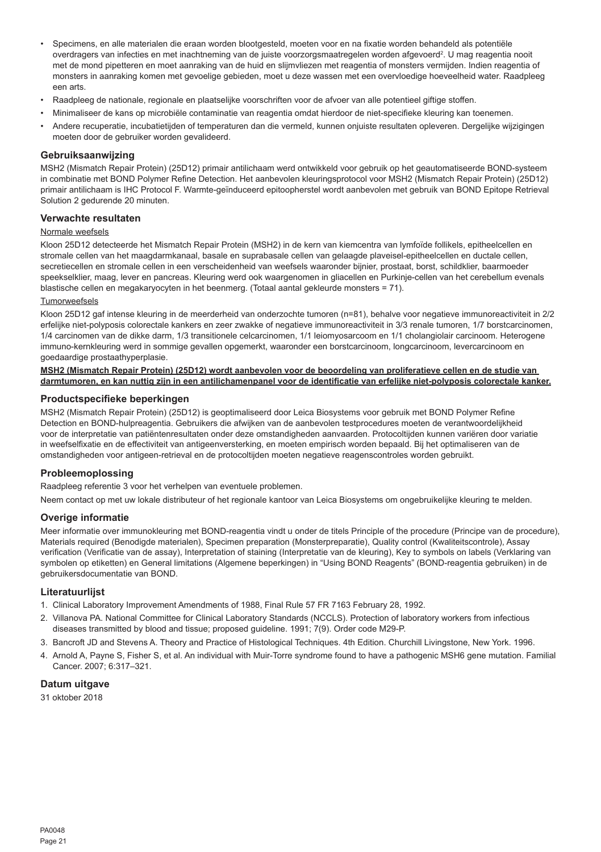- Specimens, en alle materialen die eraan worden blootgesteld, moeten voor en na fixatie worden behandeld als potentiële overdragers van infecties en met inachtneming van de juiste voorzorgsmaatregelen worden afgevoerd<sup>2</sup>. U mag reagentia nooit met de mond pipetteren en moet aanraking van de huid en slijmvliezen met reagentia of monsters vermijden. Indien reagentia of monsters in aanraking komen met gevoelige gebieden, moet u deze wassen met een overvloedige hoeveelheid water. Raadpleeg een arts.
- Raadpleeg de nationale, regionale en plaatselijke voorschriften voor de afvoer van alle potentieel giftige stoffen.
- Minimaliseer de kans op microbiële contaminatie van reagentia omdat hierdoor de niet-specifieke kleuring kan toenemen.
- Andere recuperatie, incubatietijden of temperaturen dan die vermeld, kunnen onjuiste resultaten opleveren. Dergelijke wijzigingen moeten door de gebruiker worden gevalideerd.

#### **Gebruiksaanwijzing**

MSH2 (Mismatch Repair Protein) (25D12) primair antilichaam werd ontwikkeld voor gebruik op het geautomatiseerde BOND-systeem in combinatie met BOND Polymer Refine Detection. Het aanbevolen kleuringsprotocol voor MSH2 (Mismatch Repair Protein) (25D12) primair antilichaam is IHC Protocol F. Warmte-geïnduceerd epitoopherstel wordt aanbevolen met gebruik van BOND Epitope Retrieval Solution 2 gedurende 20 minuten.

# **Verwachte resultaten**

#### Normale weefsels

Kloon 25D12 detecteerde het Mismatch Repair Protein (MSH2) in de kern van kiemcentra van lymfoïde follikels, epitheelcellen en stromale cellen van het maagdarmkanaal, basale en suprabasale cellen van gelaagde plaveisel-epitheelcellen en ductale cellen, secretiecellen en stromale cellen in een verscheidenheid van weefsels waaronder bijnier, prostaat, borst, schildklier, baarmoeder speekselklier, maag, lever en pancreas. Kleuring werd ook waargenomen in gliacellen en Purkinje-cellen van het cerebellum evenals blastische cellen en megakaryocyten in het beenmerg. (Totaal aantal gekleurde monsters = 71).

#### Tumorweefsels

Kloon 25D12 gaf intense kleuring in de meerderheid van onderzochte tumoren (n=81), behalve voor negatieve immunoreactiviteit in 2/2 erfelijke niet-polyposis colorectale kankers en zeer zwakke of negatieve immunoreactiviteit in 3/3 renale tumoren, 1/7 borstcarcinomen, 1/4 carcinomen van de dikke darm, 1/3 transitionele celcarcinomen, 1/1 leiomyosarcoom en 1/1 cholangiolair carcinoom. Heterogene immuno-kernkleuring werd in sommige gevallen opgemerkt, waaronder een borstcarcinoom, longcarcinoom, levercarcinoom en goedaardige prostaathyperplasie.

#### **MSH2 (Mismatch Repair Protein) (25D12) wordt aanbevolen voor de beoordeling van proliferatieve cellen en de studie van darmtumoren, en kan nuttig zijn in een antilichamenpanel voor de identificatie van erfelijke niet-polyposis colorectale kanker.**

#### **Productspecifieke beperkingen**

MSH2 (Mismatch Repair Protein) (25D12) is geoptimaliseerd door Leica Biosystems voor gebruik met BOND Polymer Refine Detection en BOND-hulpreagentia. Gebruikers die afwijken van de aanbevolen testprocedures moeten de verantwoordelijkheid voor de interpretatie van patiëntenresultaten onder deze omstandigheden aanvaarden. Protocoltijden kunnen variëren door variatie in weefselfixatie en de effectiviteit van antigeenversterking, en moeten empirisch worden bepaald. Bij het optimaliseren van de omstandigheden voor antigeen-retrieval en de protocoltijden moeten negatieve reagenscontroles worden gebruikt.

#### **Probleemoplossing**

Raadpleeg referentie 3 voor het verhelpen van eventuele problemen.

Neem contact op met uw lokale distributeur of het regionale kantoor van Leica Biosystems om ongebruikelijke kleuring te melden.

#### **Overige informatie**

Meer informatie over immunokleuring met BOND-reagentia vindt u onder de titels Principle of the procedure (Principe van de procedure), Materials required (Benodigde materialen), Specimen preparation (Monsterpreparatie), Quality control (Kwaliteitscontrole), Assay verification (Verificatie van de assay), Interpretation of staining (Interpretatie van de kleuring), Key to symbols on labels (Verklaring van symbolen op etiketten) en General limitations (Algemene beperkingen) in "Using BOND Reagents" (BOND-reagentia gebruiken) in de gebruikersdocumentatie van BOND.

#### **Literatuurlijst**

- 1. Clinical Laboratory Improvement Amendments of 1988, Final Rule 57 FR 7163 February 28, 1992.
- 2. Villanova PA. National Committee for Clinical Laboratory Standards (NCCLS). Protection of laboratory workers from infectious diseases transmitted by blood and tissue; proposed guideline. 1991; 7(9). Order code M29-P.
- 3. Bancroft JD and Stevens A. Theory and Practice of Histological Techniques. 4th Edition. Churchill Livingstone, New York. 1996.
- 4. Arnold A, Payne S, Fisher S, et al. An individual with Muir-Torre syndrome found to have a pathogenic MSH6 gene mutation. Familial Cancer. 2007; 6:317–321.

# **Datum uitgave**

31 oktober 2018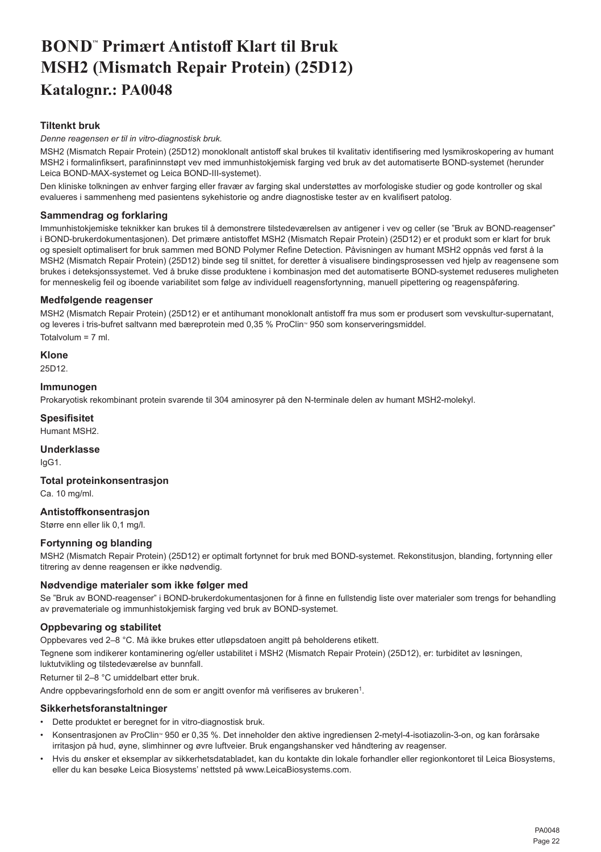# <span id="page-22-0"></span>**BOND™ Primært Antistoff Klart til Bruk MSH2 (Mismatch Repair Protein) (25D12) Katalognr.: PA0048**

# **Tiltenkt bruk**

*Denne reagensen er til in vitro-diagnostisk bruk.*

MSH2 (Mismatch Repair Protein) (25D12) monoklonalt antistoff skal brukes til kvalitativ identifisering med lysmikroskopering av humant MSH2 i formalinfiksert, parafininnstøpt vev med immunhistokjemisk farging ved bruk av det automatiserte BOND-systemet (herunder Leica BOND-MAX-systemet og Leica BOND-III-systemet).

Den kliniske tolkningen av enhver farging eller fravær av farging skal understøttes av morfologiske studier og gode kontroller og skal evalueres i sammenheng med pasientens sykehistorie og andre diagnostiske tester av en kvalifisert patolog.

# **Sammendrag og forklaring**

Immunhistokjemiske teknikker kan brukes til å demonstrere tilstedeværelsen av antigener i vev og celler (se "Bruk av BOND-reagenser" i BOND-brukerdokumentasjonen). Det primære antistoffet MSH2 (Mismatch Repair Protein) (25D12) er et produkt som er klart for bruk og spesielt optimalisert for bruk sammen med BOND Polymer Refine Detection. Påvisningen av humant MSH2 oppnås ved først å la MSH2 (Mismatch Repair Protein) (25D12) binde seg til snittet, for deretter å visualisere bindingsprosessen ved hjelp av reagensene som brukes i deteksjonssystemet. Ved å bruke disse produktene i kombinasjon med det automatiserte BOND-systemet reduseres muligheten for menneskelig feil og iboende variabilitet som følge av individuell reagensfortynning, manuell pipettering og reagenspåføring.

#### **Medfølgende reagenser**

MSH2 (Mismatch Repair Protein) (25D12) er et antihumant monoklonalt antistoff fra mus som er produsert som vevskultur-supernatant, og leveres i tris-bufret saltvann med bæreprotein med 0,35 % ProClin<sup>®</sup> 950 som konserveringsmiddel. Totalvolum = 7 ml.

#### **Klone** 25D12.

#### **Immunogen**

Prokaryotisk rekombinant protein svarende til 304 aminosyrer på den N-terminale delen av humant MSH2-molekyl.

# **Spesifisitet**

Humant MSH2.

# **Underklasse**

IgG1.

# **Total proteinkonsentrasjon**

Ca. 10 mg/ml.

# **Antistoffkonsentrasjon**

Større enn eller lik 0,1 mg/l.

# **Fortynning og blanding**

MSH2 (Mismatch Repair Protein) (25D12) er optimalt fortynnet for bruk med BOND-systemet. Rekonstitusjon, blanding, fortynning eller titrering av denne reagensen er ikke nødvendig.

# **Nødvendige materialer som ikke følger med**

Se "Bruk av BOND-reagenser" i BOND-brukerdokumentasjonen for å finne en fullstendig liste over materialer som trengs for behandling av prøvemateriale og immunhistokjemisk farging ved bruk av BOND-systemet.

# **Oppbevaring og stabilitet**

Oppbevares ved 2–8 °C. Må ikke brukes etter utløpsdatoen angitt på beholderens etikett.

Tegnene som indikerer kontaminering og/eller ustabilitet i MSH2 (Mismatch Repair Protein) (25D12), er: turbiditet av løsningen, luktutvikling og tilstedeværelse av bunnfall.

Returner til 2–8 °C umiddelbart etter bruk.

Andre oppbevaringsforhold enn de som er angitt ovenfor må verifiseres av brukeren<sup>1</sup>.

#### **Sikkerhetsforanstaltninger**

- Dette produktet er beregnet for in vitro-diagnostisk bruk.
- Konsentrasjonen av ProClin<sup>™</sup> 950 er 0,35 %. Det inneholder den aktive ingrediensen 2-metyl-4-isotiazolin-3-on, og kan forårsake irritasjon på hud, øyne, slimhinner og øvre luftveier. Bruk engangshansker ved håndtering av reagenser.
- Hvis du ønsker et eksemplar av sikkerhetsdatabladet, kan du kontakte din lokale forhandler eller regionkontoret til Leica Biosystems, eller du kan besøke Leica Biosystems' nettsted på www.LeicaBiosystems.com.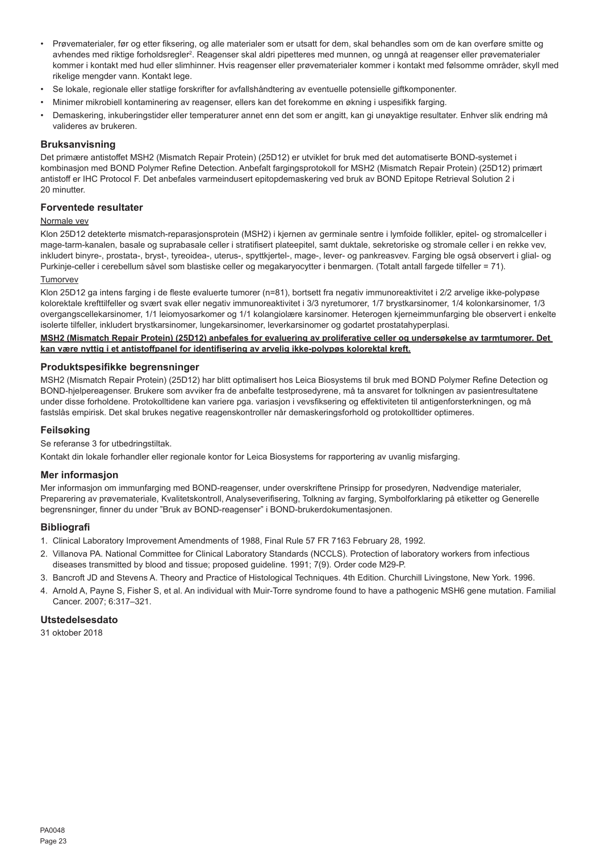- Prøvematerialer, før og etter fiksering, og alle materialer som er utsatt for dem, skal behandles som om de kan overføre smitte og avhendes med riktige forholdsregler<sup>2</sup>. Reagenser skal aldri pipetteres med munnen, og unngå at reagenser eller prøvematerialer kommer i kontakt med hud eller slimhinner. Hvis reagenser eller prøvematerialer kommer i kontakt med følsomme områder, skyll med rikelige mengder vann. Kontakt lege.
- Se lokale, regionale eller statlige forskrifter for avfallshåndtering av eventuelle potensielle giftkomponenter.
- Minimer mikrobiell kontaminering av reagenser, ellers kan det forekomme en økning i uspesifikk farging.
- Demaskering, inkuberingstider eller temperaturer annet enn det som er angitt, kan gi unøyaktige resultater. Enhver slik endring må valideres av brukeren.

#### **Bruksanvisning**

Det primære antistoffet MSH2 (Mismatch Repair Protein) (25D12) er utviklet for bruk med det automatiserte BOND-systemet i kombinasjon med BOND Polymer Refine Detection. Anbefalt fargingsprotokoll for MSH2 (Mismatch Repair Protein) (25D12) primært antistoff er IHC Protocol F. Det anbefales varmeindusert epitopdemaskering ved bruk av BOND Epitope Retrieval Solution 2 i 20 minutter.

# **Forventede resultater**

# Normale vev

Klon 25D12 detekterte mismatch-reparasjonsprotein (MSH2) i kjernen av germinale sentre i lymfoide follikler, epitel- og stromalceller i mage-tarm-kanalen, basale og suprabasale celler i stratifisert plateepitel, samt duktale, sekretoriske og stromale celler i en rekke vev, inkludert binyre-, prostata-, bryst-, tyreoidea-, uterus-, spyttkjertel-, mage-, lever- og pankreasvev. Farging ble også observert i glial- og Purkinje-celler i cerebellum såvel som blastiske celler og megakaryocytter i benmargen. (Totalt antall fargede tilfeller = 71).

# Tumorvev

Klon 25D12 ga intens farging i de fleste evaluerte tumorer (n=81), bortsett fra negativ immunoreaktivitet i 2/2 arvelige ikke-polypøse kolorektale krefttilfeller og svært svak eller negativ immunoreaktivitet i 3/3 nyretumorer, 1/7 brystkarsinomer, 1/4 kolonkarsinomer, 1/3 overgangscellekarsinomer, 1/1 leiomyosarkomer og 1/1 kolangiolære karsinomer. Heterogen kjerneimmunfarging ble observert i enkelte isolerte tilfeller, inkludert brystkarsinomer, lungekarsinomer, leverkarsinomer og godartet prostatahyperplasi.

**MSH2 (Mismatch Repair Protein) (25D12) anbefales for evaluering av proliferative celler og undersøkelse av tarmtumorer. Det kan være nyttig i et antistoffpanel for identifisering av arvelig ikke-polypøs kolorektal kreft.**

#### **Produktspesifikke begrensninger**

MSH2 (Mismatch Repair Protein) (25D12) har blitt optimalisert hos Leica Biosystems til bruk med BOND Polymer Refine Detection og BOND-hjelpereagenser. Brukere som avviker fra de anbefalte testprosedyrene, må ta ansvaret for tolkningen av pasientresultatene under disse forholdene. Protokolltidene kan variere pga. variasjon i vevsfiksering og effektiviteten til antigenforsterkningen, og må fastslås empirisk. Det skal brukes negative reagenskontroller når demaskeringsforhold og protokolltider optimeres.

#### **Feilsøking**

Se referanse 3 for utbedringstiltak.

Kontakt din lokale forhandler eller regionale kontor for Leica Biosystems for rapportering av uvanlig misfarging.

#### **Mer informasjon**

Mer informasjon om immunfarging med BOND-reagenser, under overskriftene Prinsipp for prosedyren, Nødvendige materialer, Preparering av prøvemateriale, Kvalitetskontroll, Analyseverifisering, Tolkning av farging, Symbolforklaring på etiketter og Generelle begrensninger, finner du under "Bruk av BOND-reagenser" i BOND-brukerdokumentasjonen.

#### **Bibliografi**

- 1. Clinical Laboratory Improvement Amendments of 1988, Final Rule 57 FR 7163 February 28, 1992.
- 2. Villanova PA. National Committee for Clinical Laboratory Standards (NCCLS). Protection of laboratory workers from infectious diseases transmitted by blood and tissue; proposed guideline. 1991; 7(9). Order code M29-P.
- 3. Bancroft JD and Stevens A. Theory and Practice of Histological Techniques. 4th Edition. Churchill Livingstone, New York. 1996.
- 4. Arnold A, Payne S, Fisher S, et al. An individual with Muir-Torre syndrome found to have a pathogenic MSH6 gene mutation. Familial Cancer. 2007; 6:317–321.

# **Utstedelsesdato**

31 oktober 2018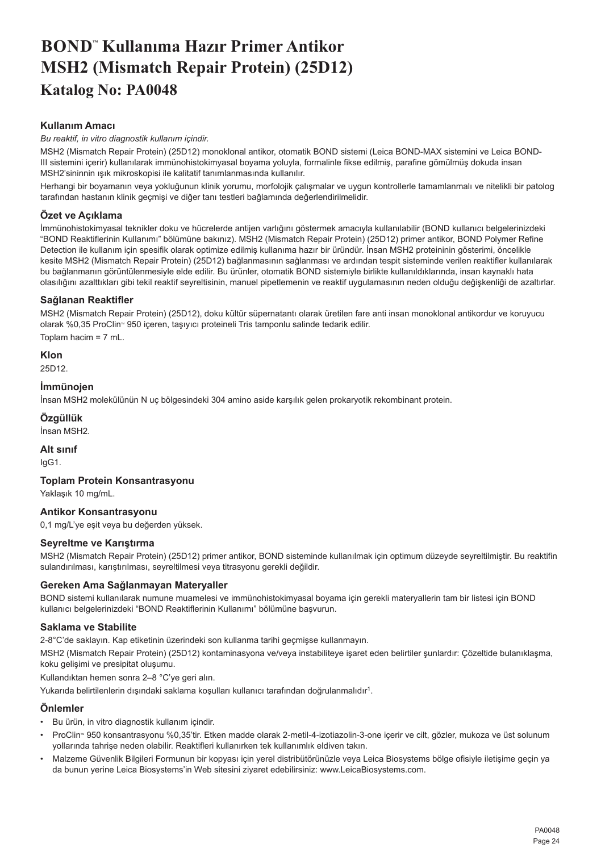# <span id="page-24-0"></span>**BOND™ Kullanıma Hazır Primer Antikor MSH2 (Mismatch Repair Protein) (25D12) Katalog No: PA0048**

# **Kullanım Amacı**

*Bu reaktif, in vitro diagnostik kullanım içindir.*

MSH2 (Mismatch Repair Protein) (25D12) monoklonal antikor, otomatik BOND sistemi (Leica BOND-MAX sistemini ve Leica BOND-III sistemini içerir) kullanılarak immünohistokimyasal boyama yoluyla, formalinle fikse edilmiş, parafine gömülmüş dokuda insan MSH2'sininnin ışık mikroskopisi ile kalitatif tanımlanmasında kullanılır.

Herhangi bir boyamanın veya yokluğunun klinik yorumu, morfolojik çalışmalar ve uygun kontrollerle tamamlanmalı ve nitelikli bir patolog tarafından hastanın klinik geçmişi ve diğer tanı testleri bağlamında değerlendirilmelidir.

# **Özet ve Açıklama**

İmmünohistokimyasal teknikler doku ve hücrelerde antijen varlığını göstermek amacıyla kullanılabilir (BOND kullanıcı belgelerinizdeki "BOND Reaktiflerinin Kullanımı" bölümüne bakınız). MSH2 (Mismatch Repair Protein) (25D12) primer antikor, BOND Polymer Refine Detection ile kullanım için spesifik olarak optimize edilmiş kullanıma hazır bir üründür. İnsan MSH2 proteininin gösterimi, öncelikle kesite MSH2 (Mismatch Repair Protein) (25D12) bağlanmasının sağlanması ve ardından tespit sisteminde verilen reaktifler kullanılarak bu bağlanmanın görüntülenmesiyle elde edilir. Bu ürünler, otomatik BOND sistemiyle birlikte kullanıldıklarında, insan kaynaklı hata olasılığını azalttıkları gibi tekil reaktif seyreltisinin, manuel pipetlemenin ve reaktif uygulamasının neden olduğu değişkenliği de azaltırlar.

# **Sağlanan Reaktifler**

MSH2 (Mismatch Repair Protein) (25D12), doku kültür süpernatantı olarak üretilen fare anti insan monoklonal antikordur ve koruyucu olarak %0,35 ProClin<sup>®</sup> 950 içeren, taşıyıcı proteineli Tris tamponlu salinde tedarik edilir. Toplam hacim = 7 mL.

#### **Klon** 25D12.

# **İmmünojen**

İnsan MSH2 molekülünün N uç bölgesindeki 304 amino aside karşılık gelen prokaryotik rekombinant protein.

# **Özgüllük**

İnsan MSH2.

# **Alt sınıf**

IgG1.

# **Toplam Protein Konsantrasyonu**

Yaklaşık 10 mg/mL.

# **Antikor Konsantrasyonu**

0,1 mg/L'ye eşit veya bu değerden yüksek.

# **Seyreltme ve Karıştırma**

MSH2 (Mismatch Repair Protein) (25D12) primer antikor, BOND sisteminde kullanılmak için optimum düzeyde seyreltilmiştir. Bu reaktifin sulandırılması, karıştırılması, seyreltilmesi veya titrasyonu gerekli değildir.

# **Gereken Ama Sağlanmayan Materyaller**

BOND sistemi kullanılarak numune muamelesi ve immünohistokimyasal boyama için gerekli materyallerin tam bir listesi için BOND kullanıcı belgelerinizdeki "BOND Reaktiflerinin Kullanımı" bölümüne başvurun.

# **Saklama ve Stabilite**

2-8°C'de saklayın. Kap etiketinin üzerindeki son kullanma tarihi geçmişse kullanmayın.

MSH2 (Mismatch Repair Protein) (25D12) kontaminasyona ve/veya instabiliteye işaret eden belirtiler şunlardır: Çözeltide bulanıklaşma, koku gelişimi ve presipitat oluşumu.

Kullandıktan hemen sonra 2–8 °C'ye geri alın.

Yukarıda belirtilenlerin dışındaki saklama koşulları kullanıcı tarafından doğrulanmalıdır<sup>1</sup>.

# **Önlemler**

- Bu ürün, in vitro diagnostik kullanım içindir.
- ProClin" 950 konsantrasyonu %0,35'tir. Etken madde olarak 2-metil-4-izotiazolin-3-one içerir ve cilt, gözler, mukoza ve üst solunum yollarında tahrişe neden olabilir. Reaktifleri kullanırken tek kullanımlık eldiven takın.
- Malzeme Güvenlik Bilgileri Formunun bir kopyası için yerel distribütörünüzle veya Leica Biosystems bölge ofisiyle iletişime geçin ya da bunun yerine Leica Biosystems'in Web sitesini ziyaret edebilirsiniz: www.LeicaBiosystems.com.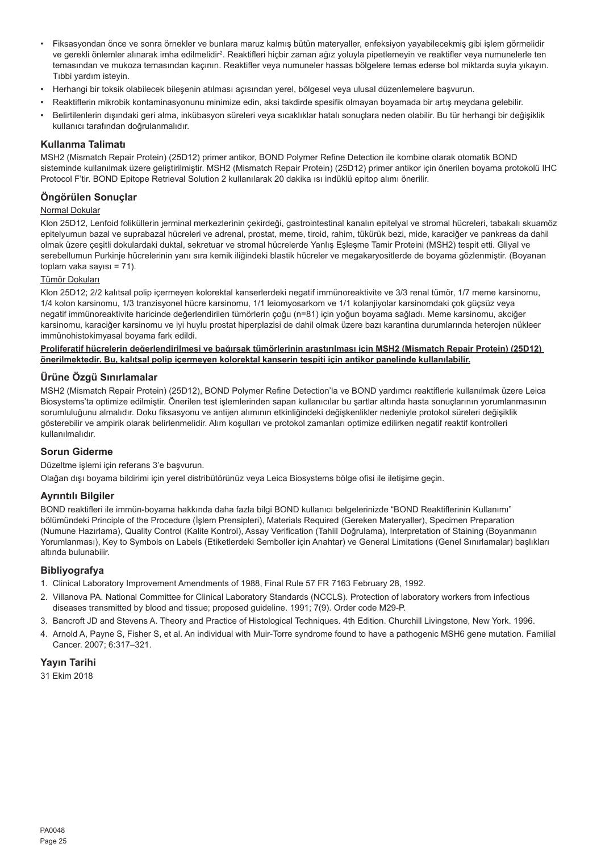- Fiksasyondan önce ve sonra örnekler ve bunlara maruz kalmış bütün materyaller, enfeksiyon yayabilecekmiş gibi işlem görmelidir ve gerekli önlemler alınarak imha edilmelidir<sup>2</sup>. Reaktifleri hiçbir zaman ağız yoluyla pipetlemeyin ve reaktifler veya numunelerle ten temasından ve mukoza temasından kaçının. Reaktifler veya numuneler hassas bölgelere temas ederse bol miktarda suyla yıkayın. Tıbbi yardım isteyin.
- Herhangi bir toksik olabilecek bileşenin atılması açısından yerel, bölgesel veya ulusal düzenlemelere başvurun.
- Reaktiflerin mikrobik kontaminasyonunu minimize edin, aksi takdirde spesifik olmayan boyamada bir artış meydana gelebilir.
- Belirtilenlerin dışındaki geri alma, inkübasyon süreleri veya sıcaklıklar hatalı sonuçlara neden olabilir. Bu tür herhangi bir değişiklik kullanıcı tarafından doğrulanmalıdır.

#### **Kullanma Talimatı**

MSH2 (Mismatch Repair Protein) (25D12) primer antikor, BOND Polymer Refine Detection ile kombine olarak otomatik BOND sisteminde kullanılmak üzere geliştirilmiştir. MSH2 (Mismatch Repair Protein) (25D12) primer antikor için önerilen boyama protokolü IHC Protocol F'tir. BOND Epitope Retrieval Solution 2 kullanılarak 20 dakika ısı indüklü epitop alımı önerilir.

#### **Öngörülen Sonuçlar**

# Normal Dokular

Klon 25D12, Lenfoid foliküllerin jerminal merkezlerinin çekirdeği, gastrointestinal kanalın epitelyal ve stromal hücreleri, tabakalı skuamöz epitelyumun bazal ve suprabazal hücreleri ve adrenal, prostat, meme, tiroid, rahim, tükürük bezi, mide, karaciğer ve pankreas da dahil olmak üzere çeşitli dokulardaki duktal, sekretuar ve stromal hücrelerde Yanlış Eşleşme Tamir Proteini (MSH2) tespit etti. Gliyal ve serebellumun Purkinje hücrelerinin yanı sıra kemik iliğindeki blastik hücreler ve megakaryositlerde de boyama gözlenmiştir. (Boyanan toplam vaka sayısı = 71).

#### Tümör Dokuları

Klon 25D12; 2/2 kalıtsal polip içermeyen kolorektal kanserlerdeki negatif immünoreaktivite ve 3/3 renal tümör, 1/7 meme karsinomu, 1/4 kolon karsinomu, 1/3 tranzisyonel hücre karsinomu, 1/1 leiomyosarkom ve 1/1 kolanjiyolar karsinomdaki çok güçsüz veya negatif immünoreaktivite haricinde değerlendirilen tümörlerin çoğu (n=81) için yoğun boyama sağladı. Meme karsinomu, akciğer karsinomu, karaciğer karsinomu ve iyi huylu prostat hiperplazisi de dahil olmak üzere bazı karantina durumlarında heterojen nükleer immünohistokimyasal boyama fark edildi.

#### **Proliferatif hücrelerin değerlendirilmesi ve bağırsak tümörlerinin araştırılması için MSH2 (Mismatch Repair Protein) (25D12) önerilmektedir. Bu, kalıtsal polip içermeyen kolorektal kanserin tespiti için antikor panelinde kullanılabilir.**

#### **Ürüne Özgü Sınırlamalar**

MSH2 (Mismatch Repair Protein) (25D12), BOND Polymer Refine Detection'la ve BOND yardımcı reaktiflerle kullanılmak üzere Leica Biosystems'ta optimize edilmiştir. Önerilen test işlemlerinden sapan kullanıcılar bu şartlar altında hasta sonuçlarının yorumlanmasının sorumluluğunu almalıdır. Doku fiksasyonu ve antijen alımının etkinliğindeki değişkenlikler nedeniyle protokol süreleri değişiklik gösterebilir ve ampirik olarak belirlenmelidir. Alım koşulları ve protokol zamanları optimize edilirken negatif reaktif kontrolleri kullanılmalıdır.

#### **Sorun Giderme**

Düzeltme işlemi için referans 3'e başvurun.

Olağan dışı boyama bildirimi için yerel distribütörünüz veya Leica Biosystems bölge ofisi ile iletişime geçin.

#### **Ayrıntılı Bilgiler**

BOND reaktifleri ile immün-boyama hakkında daha fazla bilgi BOND kullanıcı belgelerinizde "BOND Reaktiflerinin Kullanımı" bölümündeki Principle of the Procedure (İşlem Prensipleri), Materials Required (Gereken Materyaller), Specimen Preparation (Numune Hazırlama), Quality Control (Kalite Kontrol), Assay Verification (Tahlil Doğrulama), Interpretation of Staining (Boyanmanın Yorumlanması), Key to Symbols on Labels (Etiketlerdeki Semboller için Anahtar) ve General Limitations (Genel Sınırlamalar) başlıkları altında bulunabilir.

#### **Bibliyografya**

- 1. Clinical Laboratory Improvement Amendments of 1988, Final Rule 57 FR 7163 February 28, 1992.
- 2. Villanova PA. National Committee for Clinical Laboratory Standards (NCCLS). Protection of laboratory workers from infectious diseases transmitted by blood and tissue; proposed guideline. 1991; 7(9). Order code M29-P.
- 3. Bancroft JD and Stevens A. Theory and Practice of Histological Techniques. 4th Edition. Churchill Livingstone, New York. 1996.
- 4. Arnold A, Payne S, Fisher S, et al. An individual with Muir-Torre syndrome found to have a pathogenic MSH6 gene mutation. Familial Cancer. 2007; 6:317–321.

# **Yayın Tarihi**

31 Ekim 2018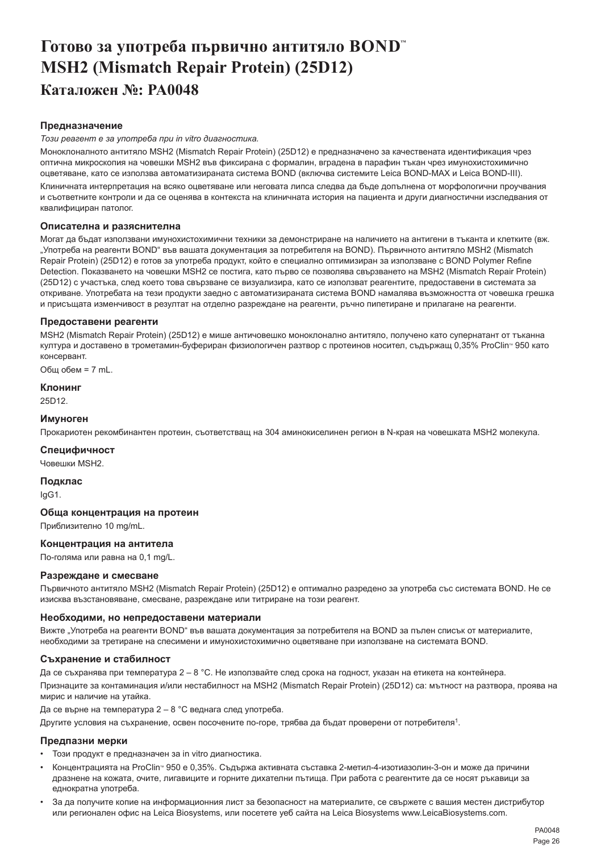# <span id="page-26-0"></span>**Готово за употреба първично антитяло BOND™ MSH2 (Mismatch Repair Protein) (25D12) Каталожен №: PA0048**

#### **Предназначение**

#### *Този реагент е за употреба при in vitro диагностика.*

Моноклоналното антитяло MSH2 (Mismatch Repair Protein) (25D12) е предназначено за качествената идентификация чрез оптична микроскопия на човешки MSH2 във фиксирана с формалин, вградена в парафин тъкан чрез имунохистохимично оцветяване, като се използва автоматизираната система BOND (включва системите Leica BOND-MAX и Leica BOND-III).

Клиничната интерпретация на всяко оцветяване или неговата липса следва да бъде допълнена от морфологични проучвания и съответните контроли и да се оценява в контекста на клиничната история на пациента и други диагностични изследвания от квалифициран патолог.

#### **Описателна и разяснителна**

Могат да бъдат използвани имунохистохимични техники за демонстриране на наличието на антигени в тъканта и клетките (вж. "Употреба на реагенти BOND" във вашата документация за потребителя на BOND). Първичното антитяло MSH2 (Mismatch Repair Protein) (25D12) е готов за употреба продукт, който е специално оптимизиран за използване с BOND Polymer Refine Detection. Показването на човешки MSH2 се постига, като първо се позволява свързването на MSH2 (Mismatch Repair Protein) (25D12) с участъка, след което това свързване се визуализира, като се използват реагентите, предоставени в системата за откриване. Употребата на тези продукти заедно с автоматизираната система BOND намалява възможността от човешка грешка и присъщата изменчивост в резултат на отделно разреждане на реагенти, ръчно пипетиране и прилагане на реагенти.

#### **Предоставени реагенти**

MSH2 (Mismatch Repair Protein) (25D12) е мише античовешко моноклонално антитяло, получено като супернатант от тъканна култура и доставено в трометамин-буфериран физиологичен разтвор с протеинов носител, съдържащ 0,35% ProClin<sup>®</sup> 950 като консервант.

Общ обем = 7 mL.

#### **Клонинг**

25D12.

#### **Имуноген**

Прокариотен рекомбинантен протеин, съответстващ на 304 аминокиселинен регион в N-края на човешката MSH2 молекула.

#### **Специфичност**

Човешки MSH2.

**Подклас**

IgG1.

#### **Обща концентрация на протеин**

Приблизително 10 mg/mL.

#### **Концентрация на антитела**

По-голяма или равна на 0,1 mg/L.

#### **Разреждане и смесване**

Първичното антитяло MSH2 (Mismatch Repair Protein) (25D12) е оптимално разредено за употреба със системата BOND. Не се изисква възстановяване, смесване, разреждане или титриране на този реагент.

#### **Необходими, но непредоставени материали**

Вижте "Употреба на реагенти BOND" във вашата документация за потребителя на BOND за пълен списък от материалите, необходими за третиране на спесимени и имунохистохимично оцветяване при използване на системата BOND.

#### **Съхранение и стабилност**

Да се съхранява при температура 2 – 8 °C. Не използвайте след срока на годност, указан на етикета на контейнера. Признаците за контаминация и/или нестабилност на MSH2 (Mismatch Repair Protein) (25D12) са: мътност на разтвора, проява на мирис и наличие на утайка.

Да се върне на температура 2 – 8 °C веднага след употреба.

Другите условия на съхранение, освен посочените по-горе, трябва да бъдат проверени от потребителя<sup>1</sup>.

# **Предпазни мерки**

- Този продукт е предназначен за in vitro диагностика.
- Концентрацията на ProClinTM 950 е 0,35%. Съдържа активната съставка 2-метил-4-изотиазолин-3-он и може да причини дразнене на кожата, очите, лигавиците и горните дихателни пътища. При работа с реагентите да се носят ръкавици за еднократна употреба.
- За да получите копие на информационния лист за безопасност на материалите, се свържете с вашия местен дистрибутор или регионален офис на Leica Biosystems, или посетете уеб сайта на Leica Biosystems www.LeicaBiosystems.com.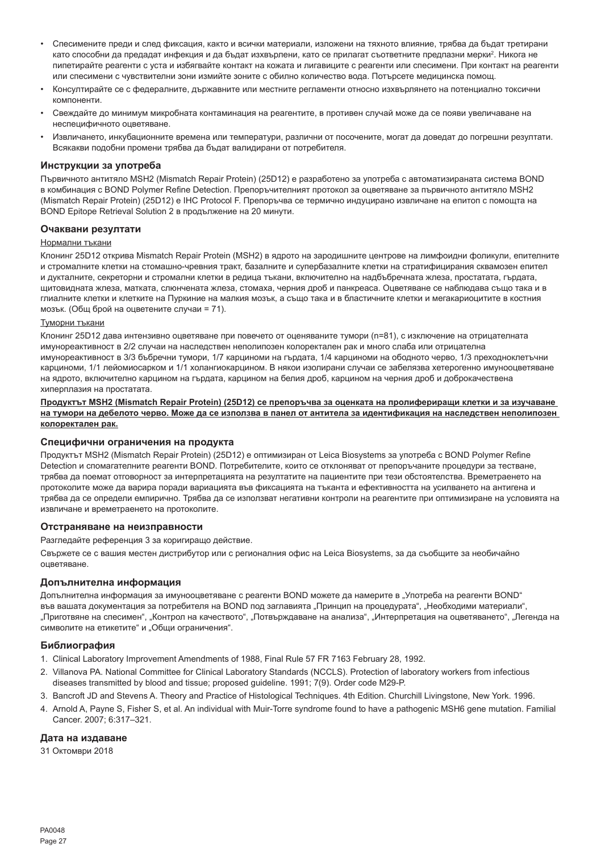- Спесимените преди и след фиксация, както и всички материали, изложени на тяхното влияние, трябва да бъдат третирани като способни да предадат инфекция и да бъдат изхвърлени, като се прилагат съответните предпазни мерки<sup>2</sup>. Никога не пипетирайте реагенти с уста и избягвайте контакт на кожата и лигавиците с реагенти или спесимени. При контакт на реагенти или спесимени с чувствителни зони измийте зоните с обилно количество вода. Потърсете медицинска помощ.
- Консултирайте се с федералните, държавните или местните регламенти относно изхвърлянето на потенциално токсични компоненти.
- Свеждайте до минимум микробната контаминация на реагентите, в противен случай може да се появи увеличаване на неспецифичното оцветяване.
- Извличането, инкубационните времена или температури, различни от посочените, могат да доведат до погрешни резултати. Всякакви подобни промени трябва да бъдат валидирани от потребителя.

#### **Инструкции за употреба**

Първичното антитяло MSH2 (Mismatch Repair Protein) (25D12) е разработено за употреба с автоматизираната система BOND в комбинация с BOND Polymer Refine Detection. Препоръчителният протокол за оцветяване за първичното антитяло MSH2 (Mismatch Repair Protein) (25D12) е IHC Protocol F. Препоръчва се термично индуцирано извличане на епитоп с помощта на BOND Epitope Retrieval Solution 2 в продължение на 20 минути.

#### **Очаквани резултати**

#### Нормални тъкани

Клонинг 25D12 открива Mismatch Repair Protein (MSH2) в ядрото на зародишните центрове на лимфоидни фоликули, епителните и стромалните клетки на стомашно-чревния тракт, базалните и супербазалните клетки на стратифицирания сквамозен епител и дукталните, секреторни и стромални клетки в редица тъкани, включително на надбъбречната жлеза, простатата, гърдата, щитовидната жлеза, матката, слюнчената жлеза, стомаха, черния дроб и панкреаса. Оцветяване се наблюдава също така и в глиалните клетки и клетките на Пуркиние на малкия мозък, а също така и в бластичните клетки и мегакариоцитите в костния мозък. (Общ брой на оцветените случаи = 71).

#### Туморни тъкани

Клонинг 25D12 дава интензивно оцветяване при повечето от оценяваните тумори (n=81), с изключение на отрицателната имунореактивност в 2/2 случаи на наследствен неполипозен колоректален рак и много слаба или отрицателна имунореактивност в 3/3 бъбречни тумори, 1/7 карциноми на гърдата, 1/4 карциноми на ободното черво, 1/3 преходноклетъчни карциноми, 1/1 лейомиосарком и 1/1 холангиокарцином. В някои изолирани случаи се забелязва хетерогенно имунооцветяване на ядрото, включително карцином на гърдата, карцином на белия дроб, карцином на черния дроб и доброкачествена хиперплазия на простатата.

#### **Продуктът MSH2 (Mismatch Repair Protein) (25D12) се препоръчва за оценката на пролифериращи клетки и за изучаване на тумори на дебелото черво. Може да се използва в панел от антитела за идентификация на наследствен неполипозен колоректален рак.**

#### **Специфични ограничения на продукта**

Продуктът MSH2 (Mismatch Repair Protein) (25D12) е оптимизиран от Leica Biosystems за употреба с BOND Polymer Refine Detection и спомагателните реагенти BOND. Потребителите, които се отклоняват от препоръчаните процедури за тестване, трябва да поемат отговорност за интерпретацията на резултатите на пациентите при тези обстоятелства. Времетраенето на протоколите може да варира поради вариацията във фиксацията на тъканта и ефективността на усилването на антигена и трябва да се определи емпирично. Трябва да се използват негативни контроли на реагентите при оптимизиране на условията на извличане и времетраенето на протоколите.

#### **Отстраняване на неизправности**

Разгледайте референция 3 за коригиращо действие.

Свържете се с вашия местен дистрибутор или с регионалния офис на Leica Biosystems, за да съобщите за необичайно оцветяване.

#### **Допълнителна информация**

Допълнителна информация за имунооцветяване с реагенти BOND можете да намерите в "Употреба на реагенти BOND" във вашата документация за потребителя на BOND под заглавията "Принцип на процедурата", "Необходими материали", "Приготвяне на спесимен", "Контрол на качеството", "Потвърждаване на анализа", "Интерпретация на оцветяването", "Легенда на символите на етикетите" и "Общи ограничения".

#### **Библиография**

- 1. Clinical Laboratory Improvement Amendments of 1988, Final Rule 57 FR 7163 February 28, 1992.
- 2. Villanova PA. National Committee for Clinical Laboratory Standards (NCCLS). Protection of laboratory workers from infectious diseases transmitted by blood and tissue; proposed guideline. 1991; 7(9). Order code M29-P.
- 3. Bancroft JD and Stevens A. Theory and Practice of Histological Techniques. 4th Edition. Churchill Livingstone, New York. 1996.
- 4. Arnold A, Payne S, Fisher S, et al. An individual with Muir-Torre syndrome found to have a pathogenic MSH6 gene mutation. Familial Cancer. 2007; 6:317–321.

#### **Дата на издаване**

31 Октомври 2018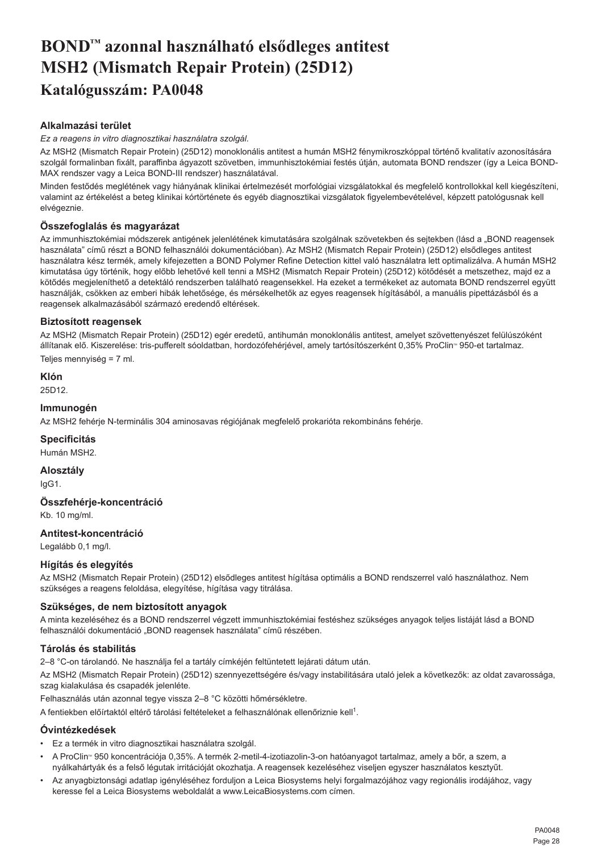# <span id="page-28-0"></span>**BOND™ azonnal használható elsődleges antitest MSH2 (Mismatch Repair Protein) (25D12) Katalógusszám: PA0048**

# **Alkalmazási terület**

*Ez a reagens in vitro diagnosztikai használatra szolgál.*

Az MSH2 (Mismatch Repair Protein) (25D12) monoklonális antitest a humán MSH2 fénymikroszkóppal történő kvalitatív azonosítására szolgál formalinban fixált, paraffinba ágyazott szövetben, immunhisztokémiai festés útján, automata BOND rendszer (így a Leica BOND-MAX rendszer vagy a Leica BOND-III rendszer) használatával.

Minden festődés meglétének vagy hiányának klinikai értelmezését morfológiai vizsgálatokkal és megfelelő kontrollokkal kell kiegészíteni, valamint az értékelést a beteg klinikai kórtörténete és egyéb diagnosztikai vizsgálatok figyelembevételével, képzett patológusnak kell elvégeznie.

# **Összefoglalás és magyarázat**

Az immunhisztokémiai módszerek antigének jelenlétének kimutatására szolgálnak szövetekben és sejtekben (lásd a "BOND reagensek használata" című részt a BOND felhasználói dokumentációban). Az MSH2 (Mismatch Repair Protein) (25D12) elsődleges antitest használatra kész termék, amely kifejezetten a BOND Polymer Refine Detection kittel való használatra lett optimalizálva. A humán MSH2 kimutatása úgy történik, hogy előbb lehetővé kell tenni a MSH2 (Mismatch Repair Protein) (25D12) kötődését a metszethez, majd ez a kötődés megjeleníthető a detektáló rendszerben található reagensekkel. Ha ezeket a termékeket az automata BOND rendszerrel együtt használják, csökken az emberi hibák lehetősége, és mérsékelhetők az egyes reagensek hígításából, a manuális pipettázásból és a reagensek alkalmazásából származó eredendő eltérések.

# **Biztosított reagensek**

Az MSH2 (Mismatch Repair Protein) (25D12) egér eredetű, antihumán monoklonális antitest, amelyet szövettenyészet felülúszóként állítanak elő. Kiszerelése: tris-pufferelt sóoldatban, hordozófehérjével, amely tartósítószerként 0,35% ProClin<sup>®</sup> 950-et tartalmaz. Teljes mennyiség = 7 ml.

**Klón** 25D12.

# **Immunogén**

Az MSH2 fehérje N-terminális 304 aminosavas régiójának megfelelő prokarióta rekombináns fehérje.

**Specificitás**

Humán MSH2.

**Alosztály** IgG1.

# **Összfehérje-koncentráció**

Kb. 10 mg/ml.

# **Antitest-koncentráció**

Legalább 0,1 mg/l.

# **Hígítás és elegyítés**

Az MSH2 (Mismatch Repair Protein) (25D12) elsődleges antitest hígítása optimális a BOND rendszerrel való használathoz. Nem szükséges a reagens feloldása, elegyítése, hígítása vagy titrálása.

# **Szükséges, de nem biztosított anyagok**

A minta kezeléséhez és a BOND rendszerrel végzett immunhisztokémiai festéshez szükséges anyagok teljes listáját lásd a BOND felhasználói dokumentáció "BOND reagensek használata" című részében.

# **Tárolás és stabilitás**

2–8 °C-on tárolandó. Ne használja fel a tartály címkéjén feltüntetett lejárati dátum után.

Az MSH2 (Mismatch Repair Protein) (25D12) szennyezettségére és/vagy instabilitására utaló jelek a következők: az oldat zavarossága, szag kialakulása és csapadék jelenléte.

Felhasználás után azonnal tegye vissza 2–8 °C közötti hőmérsékletre.

A fentiekben előírtaktól eltérő tárolási feltételeket a felhasználónak ellenőriznie kell<sup>1</sup>.

# **Óvintézkedések**

- Ez a termék in vitro diagnosztikai használatra szolgál.
- A ProClin<sup>®</sup> 950 koncentrációja 0,35%. A termék 2-metil-4-izotiazolin-3-on hatóanyagot tartalmaz, amely a bőr, a szem, a nyálkahártyák és a felső légutak irritációját okozhatja. A reagensek kezeléséhez viseljen egyszer használatos kesztyűt.
- Az anyagbiztonsági adatlap igényléséhez forduljon a Leica Biosystems helyi forgalmazójához vagy regionális irodájához, vagy keresse fel a Leica Biosystems weboldalát a www.LeicaBiosystems.com címen.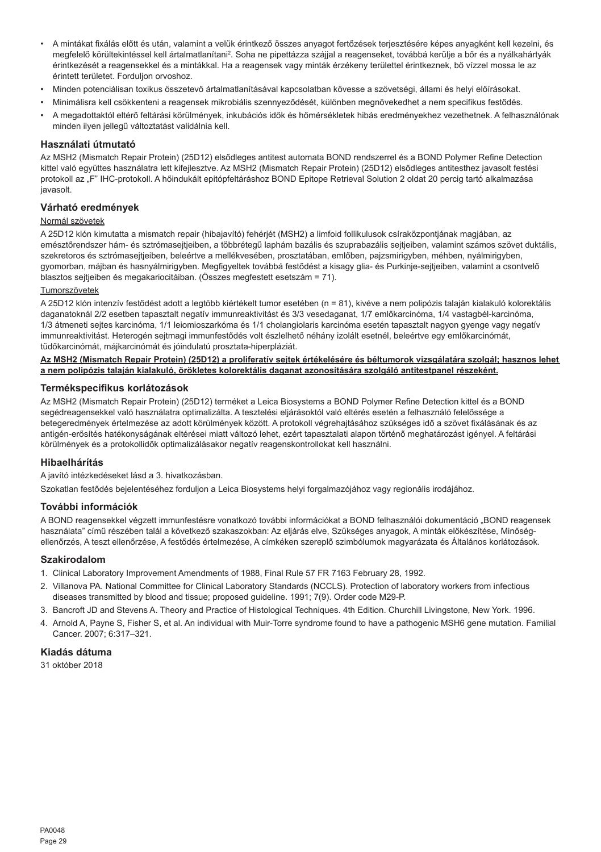- A mintákat fixálás előtt és után, valamint a velük érintkező összes anyagot fertőzések terjesztésére képes anyagként kell kezelni, és megfelelő körültekintéssel kell ártalmatlanítani<sup>2</sup>. Soha ne pipettázza szájjal a reagenseket, továbbá kerülje a bőr és a nyálkahártyák érintkezését a reagensekkel és a mintákkal. Ha a reagensek vagy minták érzékeny területtel érintkeznek, bő vízzel mossa le az érintett területet. Forduljon orvoshoz.
- Minden potenciálisan toxikus összetevő ártalmatlanításával kapcsolatban kövesse a szövetségi, állami és helyi előírásokat.
- Minimálisra kell csökkenteni a reagensek mikrobiális szennyeződését, különben megnövekedhet a nem specifikus festődés.
- A megadottaktól eltérő feltárási körülmények, inkubációs idők és hőmérsékletek hibás eredményekhez vezethetnek. A felhasználónak minden ilyen jellegű változtatást validálnia kell.

#### **Használati útmutató**

Az MSH2 (Mismatch Repair Protein) (25D12) elsődleges antitest automata BOND rendszerrel és a BOND Polymer Refine Detection kittel való együttes használatra lett kifejlesztve. Az MSH2 (Mismatch Repair Protein) (25D12) elsődleges antitesthez javasolt festési protokoll az "F" IHC-protokoll. A hőindukált epitópfeltáráshoz BOND Epitope Retrieval Solution 2 oldat 20 percig tartó alkalmazása javasolt.

#### **Várható eredmények**

#### Normál szövetek

A 25D12 klón kimutatta a mismatch repair (hibajavító) fehérjét (MSH2) a limfoid follikulusok csíraközpontjának magjában, az emésztőrendszer hám- és sztrómasejtjeiben, a többrétegű laphám bazális és szuprabazális sejtjeiben, valamint számos szövet duktális, szekretoros és sztrómasejtjeiben, beleértve a mellékvesében, prosztatában, emlőben, pajzsmirigyben, méhben, nyálmirigyben, gyomorban, májban és hasnyálmirigyben. Megfigyeltek továbbá festődést a kisagy glia- és Purkinje-sejtjeiben, valamint a csontvelő blasztos sejtjeiben és megakariocitáiban. (Összes megfestett esetszám = 71).

#### Tumorszövetek

A 25D12 klón intenzív festődést adott a legtöbb kiértékelt tumor esetében (n = 81), kivéve a nem polipózis talaján kialakuló kolorektális daganatoknál 2/2 esetben tapasztalt negatív immunreaktivitást és 3/3 vesedaganat, 1/7 emlőkarcinóma, 1/4 vastagbél-karcinóma, 1/3 átmeneti sejtes karcinóma, 1/1 leiomioszarkóma és 1/1 cholangiolaris karcinóma esetén tapasztalt nagyon gyenge vagy negatív immunreaktivitást. Heterogén sejtmagi immunfestődés volt észlelhető néhány izolált esetnél, beleértve egy emlőkarcinómát, tüdőkarcinómát, májkarcinómát és jóindulatú prosztata-hiperpláziát.

#### **Az MSH2 (Mismatch Repair Protein) (25D12) a proliferatív sejtek értékelésére és béltumorok vizsgálatára szolgál; hasznos lehet a nem polipózis talaján kialakuló, örökletes kolorektális daganat azonosítására szolgáló antitestpanel részeként.**

#### **Termékspecifikus korlátozások**

Az MSH2 (Mismatch Repair Protein) (25D12) terméket a Leica Biosystems a BOND Polymer Refine Detection kittel és a BOND segédreagensekkel való használatra optimalizálta. A tesztelési eljárásoktól való eltérés esetén a felhasználó felelőssége a betegeredmények értelmezése az adott körülmények között. A protokoll végrehajtásához szükséges idő a szövet fixálásának és az antigén-erősítés hatékonyságának eltérései miatt változó lehet, ezért tapasztalati alapon történő meghatározást igényel. A feltárási körülmények és a protokollidők optimalizálásakor negatív reagenskontrollokat kell használni.

#### **Hibaelhárítás**

A javító intézkedéseket lásd a 3. hivatkozásban.

Szokatlan festődés bejelentéséhez forduljon a Leica Biosystems helyi forgalmazójához vagy regionális irodájához.

#### **További információk**

A BOND reagensekkel végzett immunfestésre vonatkozó további információkat a BOND felhasználói dokumentáció "BOND reagensek használata" című részében talál a következő szakaszokban: Az eljárás elve, Szükséges anyagok, A minták előkészítése, Minőségellenőrzés, A teszt ellenőrzése, A festődés értelmezése, A címkéken szereplő szimbólumok magyarázata és Általános korlátozások.

#### **Szakirodalom**

- 1. Clinical Laboratory Improvement Amendments of 1988, Final Rule 57 FR 7163 February 28, 1992.
- 2. Villanova PA. National Committee for Clinical Laboratory Standards (NCCLS). Protection of laboratory workers from infectious diseases transmitted by blood and tissue; proposed guideline. 1991; 7(9). Order code M29-P.
- 3. Bancroft JD and Stevens A. Theory and Practice of Histological Techniques. 4th Edition. Churchill Livingstone, New York. 1996.
- 4. Arnold A, Payne S, Fisher S, et al. An individual with Muir-Torre syndrome found to have a pathogenic MSH6 gene mutation. Familial Cancer. 2007; 6:317–321.

# **Kiadás dátuma**

31 október 2018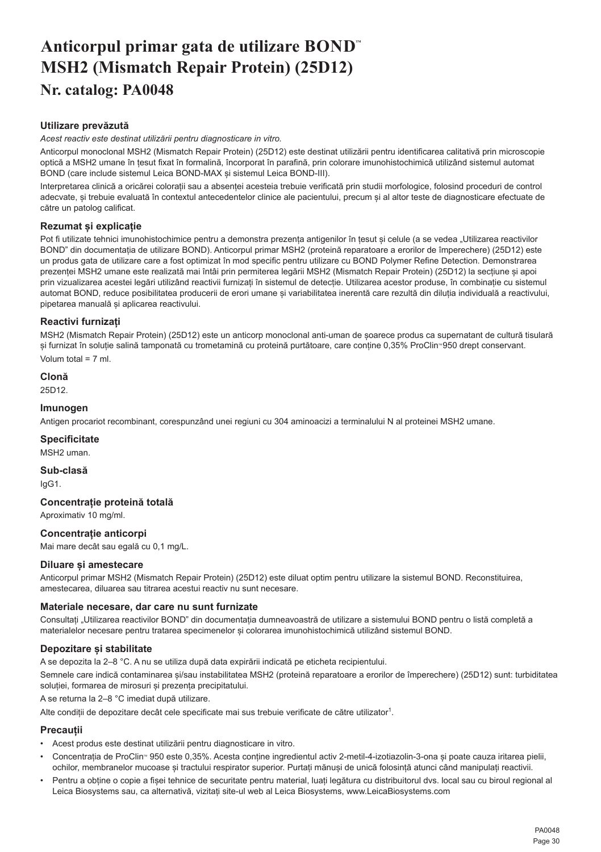# <span id="page-30-0"></span>**Anticorpul primar gata de utilizare BOND™ MSH2 (Mismatch Repair Protein) (25D12) Nr. catalog: PA0048**

# **Utilizare prevăzută**

*Acest reactiv este destinat utilizării pentru diagnosticare in vitro.*

Anticorpul monoclonal MSH2 (Mismatch Repair Protein) (25D12) este destinat utilizării pentru identificarea calitativă prin microscopie optică a MSH2 umane în țesut fixat în formalină, încorporat în parafină, prin colorare imunohistochimică utilizând sistemul automat BOND (care include sistemul Leica BOND-MAX și sistemul Leica BOND-III).

Interpretarea clinică a oricărei colorații sau a absenței acesteia trebuie verificată prin studii morfologice, folosind proceduri de control adecvate, și trebuie evaluată în contextul antecedentelor clinice ale pacientului, precum și al altor teste de diagnosticare efectuate de către un patolog calificat.

# **Rezumat și explicație**

Pot fi utilizate tehnici imunohistochimice pentru a demonstra prezenta antigenilor în tesut și celule (a se vedea "Utilizarea reactivilor BOND" din documentația de utilizare BOND). Anticorpul primar MSH2 (proteină reparatoare a erorilor de împerechere) (25D12) este un produs gata de utilizare care a fost optimizat în mod specific pentru utilizare cu BOND Polymer Refine Detection. Demonstrarea prezenței MSH2 umane este realizată mai întâi prin permiterea legării MSH2 (Mismatch Repair Protein) (25D12) la secțiune și apoi prin vizualizarea acestei legări utilizând reactivii furnizați în sistemul de detecție. Utilizarea acestor produse, în combinație cu sistemul automat BOND, reduce posibilitatea producerii de erori umane și variabilitatea inerentă care rezultă din diluția individuală a reactivului, pipetarea manuală și aplicarea reactivului.

# **Reactivi furnizați**

MSH2 (Mismatch Repair Protein) (25D12) este un anticorp monoclonal anti-uman de șoarece produs ca supernatant de cultură tisulară si furnizat în soluție salină tamponată cu trometamină cu proteină purtătoare, care conține 0,35% ProClin<sup>®</sup> 950 drept conservant. Volum total = 7 ml.

**Clonă**

# 25D12.

#### **Imunogen**

Antigen procariot recombinant, corespunzând unei regiuni cu 304 aminoacizi a terminalului N al proteinei MSH2 umane.

#### **Specificitate**

MSH2 uman.

**Sub-clasă** IgG1.

# **Concentrație proteină totală**

Aproximativ 10 mg/ml.

# **Concentrație anticorpi**

Mai mare decât sau egală cu 0,1 mg/L.

#### **Diluare și amestecare**

Anticorpul primar MSH2 (Mismatch Repair Protein) (25D12) este diluat optim pentru utilizare la sistemul BOND. Reconstituirea, amestecarea, diluarea sau titrarea acestui reactiv nu sunt necesare.

#### **Materiale necesare, dar care nu sunt furnizate**

Consultați I Itilizarea reactivilor BOND" din documentația dumneavoastră de utilizare a sistemului BOND pentru o listă completă a materialelor necesare pentru tratarea specimenelor și colorarea imunohistochimică utilizând sistemul BOND.

# **Depozitare și stabilitate**

A se depozita la 2–8 °C. A nu se utiliza după data expirării indicată pe eticheta recipientului.

Semnele care indică contaminarea și/sau instabilitatea MSH2 (proteină reparatoare a erorilor de împerechere) (25D12) sunt: turbiditatea soluției, formarea de mirosuri și prezența precipitatului.

A se returna la 2–8 °C imediat după utilizare.

Alte condiții de depozitare decât cele specificate mai sus trebuie verificate de către utilizator<sup>1</sup>.

# **Precauții**

- Acest produs este destinat utilizării pentru diagnosticare in vitro.
- Concentratia de ProClin<sup>®</sup> 950 este 0,35%. Acesta contine ingredientul activ 2-metil-4-izotiazolin-3-ona și poate cauza iritarea pielii, ochilor, membranelor mucoase și tractului respirator superior. Purtați mănuși de unică folosință atunci când manipulați reactivii.
- Pentru a obține o copie a fișei tehnice de securitate pentru material, luați legătura cu distribuitorul dvs. local sau cu biroul regional al Leica Biosystems sau, ca alternativă, vizitați site-ul web al Leica Biosystems, www.LeicaBiosystems.com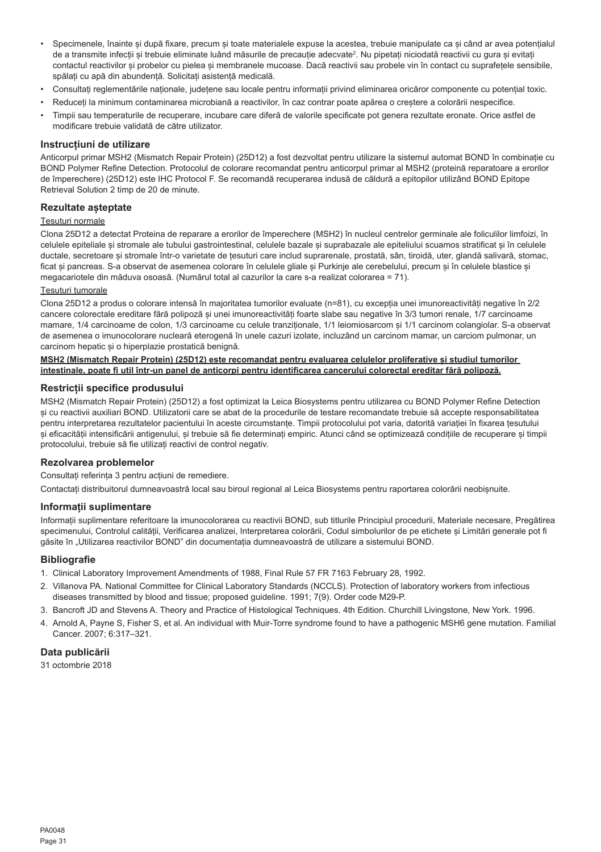- Specimenele, înainte și după fixare, precum și toate materialele expuse la acestea, trebuie manipulate ca și când ar avea potențialul de a transmite infecții și trebuie eliminate luând măsurile de precauție adecvate<sup>2</sup> . Nu pipetați niciodată reactivii cu gura și evitați contactul reactivilor și probelor cu pielea și membranele mucoase. Dacă reactivii sau probele vin în contact cu suprafețele sensibile, spălați cu apă din abundență. Solicitați asistență medicală.
- Consultați reglementările naționale, județene sau locale pentru informații privind eliminarea oricăror componente cu potențial toxic.
- Reduceți la minimum contaminarea microbiană a reactivilor, în caz contrar poate apărea o creștere a colorării nespecifice.
- Timpii sau temperaturile de recuperare, incubare care diferă de valorile specificate pot genera rezultate eronate. Orice astfel de modificare trebuie validată de către utilizator.

#### **Instrucțiuni de utilizare**

Anticorpul primar MSH2 (Mismatch Repair Protein) (25D12) a fost dezvoltat pentru utilizare la sistemul automat BOND în combinație cu BOND Polymer Refine Detection. Protocolul de colorare recomandat pentru anticorpul primar al MSH2 (proteină reparatoare a erorilor de împerechere) (25D12) este IHC Protocol F. Se recomandă recuperarea indusă de căldură a epitopilor utilizând BOND Epitope Retrieval Solution 2 timp de 20 de minute.

#### **Rezultate așteptate**

#### Țesuturi normale

Clona 25D12 a detectat Proteina de reparare a erorilor de împerechere (MSH2) în nucleul centrelor germinale ale foliculilor limfoizi, în celulele epiteliale și stromale ale tubului gastrointestinal, celulele bazale și suprabazale ale epiteliului scuamos stratificat și în celulele ductale, secretoare și stromale într-o varietate de tesuturi care includ suprarenale, prostată, sân, tiroidă, uter, glandă salivară, stomac, ficat și pancreas. S-a observat de asemenea colorare în celulele gliale și Purkinje ale cerebelului, precum și în celulele blastice și megacariotele din măduva osoasă. (Numărul total al cazurilor la care s-a realizat colorarea = 71).

#### Țesuturi tumorale

Clona 25D12 a produs o colorare intensă în majoritatea tumorilor evaluate (n=81), cu excepția unei imunoreactivități negative în 2/2 cancere colorectale ereditare fără polipoză și unei imunoreactivități foarte slabe sau negative în 3/3 tumori renale, 1/7 carcinoame mamare, 1/4 carcinoame de colon, 1/3 carcinoame cu celule tranziționale, 1/1 leiomiosarcom și 1/1 carcinom colangiolar. S-a observat de asemenea o imunocolorare nucleară eterogenă în unele cazuri izolate, incluzând un carcinom mamar, un carciom pulmonar, un carcinom hepatic și o hiperplazie prostatică benignă.

#### **MSH2 (Mismatch Repair Protein) (25D12) este recomandat pentru evaluarea celulelor proliferative și studiul tumorilor intestinale, poate fi util într-un panel de anticorpi pentru identificarea cancerului colorectal ereditar fără polipoză.**

#### **Restricții specifice produsului**

MSH2 (Mismatch Repair Protein) (25D12) a fost optimizat la Leica Biosystems pentru utilizarea cu BOND Polymer Refine Detection și cu reactivii auxiliari BOND. Utilizatorii care se abat de la procedurile de testare recomandate trebuie să accepte responsabilitatea pentru interpretarea rezultatelor pacientului în aceste circumstanțe. Timpii protocolului pot varia, datorită variației în fixarea țesutului și eficacității intensificării antigenului, și trebuie să fie determinați empiric. Atunci când se optimizează condițiile de recuperare și timpii protocolului, trebuie să fie utilizați reactivi de control negativ.

#### **Rezolvarea problemelor**

Consultați referința 3 pentru acțiuni de remediere.

Contactați distribuitorul dumneavoastră local sau biroul regional al Leica Biosystems pentru raportarea colorării neobișnuite.

#### **Informații suplimentare**

Informații suplimentare referitoare la imunocolorarea cu reactivii BOND, sub titlurile Principiul procedurii, Materiale necesare, Pregătirea specimenului, Controlul calității, Verificarea analizei, Interpretarea colorării, Codul simbolurilor de pe etichete și Limitări generale pot fi găsite în "Utilizarea reactivilor BOND" din documentația dumneavoastră de utilizare a sistemului BOND.

#### **Bibliografie**

- 1. Clinical Laboratory Improvement Amendments of 1988, Final Rule 57 FR 7163 February 28, 1992.
- 2. Villanova PA. National Committee for Clinical Laboratory Standards (NCCLS). Protection of laboratory workers from infectious diseases transmitted by blood and tissue; proposed guideline. 1991; 7(9). Order code M29-P.
- 3. Bancroft JD and Stevens A. Theory and Practice of Histological Techniques. 4th Edition. Churchill Livingstone, New York. 1996.
- 4. Arnold A, Payne S, Fisher S, et al. An individual with Muir-Torre syndrome found to have a pathogenic MSH6 gene mutation. Familial Cancer. 2007; 6:317–321.

#### **Data publicării**

31 octombrie 2018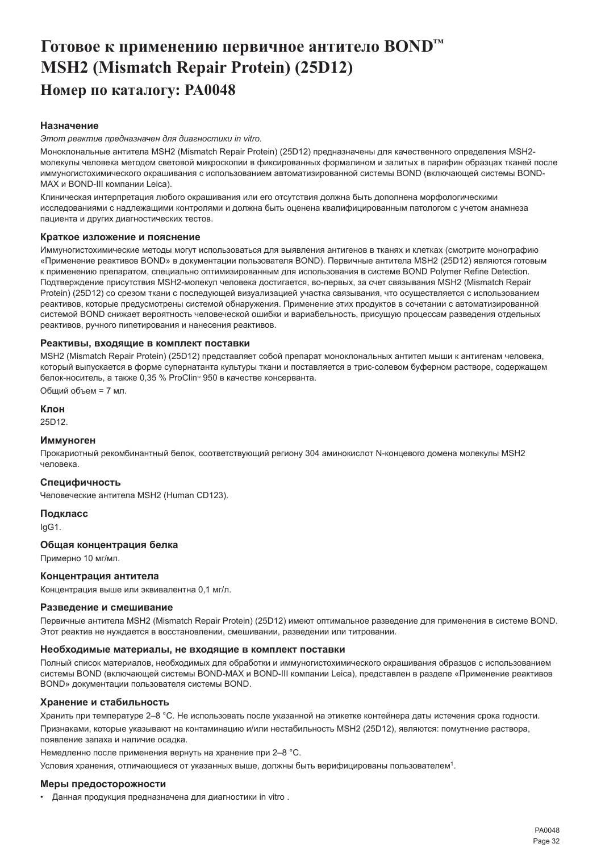# <span id="page-32-0"></span>**Готовое к применению первичное антитело BOND™ MSH2 (Mismatch Repair Protein) (25D12) Номер по каталогу: PA0048**

# **Назначение**

*Этот реактив предназначен для диагностики in vitro.*

Моноклональные антитела MSH2 (Mismatch Repair Protein) (25D12) предназначены для качественного определения MSH2 молекулы человека методом световой микроскопии в фиксированных формалином и залитых в парафин образцах тканей после иммуногистохимического окрашивания с использованием автоматизированной системы BOND (включающей системы BOND-MAX и BOND-III компании Leica).

Клиническая интерпретация любого окрашивания или его отсутствия должна быть дополнена морфологическими исследованиями с надлежащими контролями и должна быть оценена квалифицированным патологом с учетом анамнеза пациента и других диагностических тестов.

#### **Краткое изложение и пояснение**

Иммуногистохимические методы могут использоваться для выявления антигенов в тканях и клетках (смотрите монографию «Применение реактивов BOND» в документации пользователя BOND). Первичные антитела MSH2 (25D12) являются готовым к применению препаратом, специально оптимизированным для использования в системе BOND Polymer Refine Detection. Подтверждение присутствия MSH2-молекул человека достигается, во-первых, за счет связывания MSH2 (Mismatch Repair Protein) (25D12) со срезом ткани с последующей визуализацией участка связывания, что осуществляется с использованием реактивов, которые предусмотрены системой обнаружения. Применение этих продуктов в сочетании с автоматизированной системой BOND снижает вероятность человеческой ошибки и вариабельность, присущую процессам разведения отдельных реактивов, ручного пипетирования и нанесения реактивов.

#### **Реактивы, входящие в комплект поставки**

MSH2 (Mismatch Repair Protein) (25D12) представляет собой препарат моноклональных антител мыши к антигенам человека, который выпускается в форме супернатанта культуры ткани и поставляется в трис-солевом буферном растворе, содержащем белок-носитель, а также  $0.35$  % ProClin<sup>®</sup> 950 в качестве консерванта.

Общий объем = 7 мл.

**Клон** 25D12.

#### **Иммуноген**

Прокариотный рекомбинантный белок, соответствующий региону 304 аминокислот N-концевого домена молекулы MSH2 человека.

#### **Специфичность**

Человеческие антитела MSH2 (Human CD123).

**Подкласс** IgG1.

#### **Общая концентрация белка**

Примерно 10 мг/мл.

#### **Концентрация антитела**

Концентрация выше или эквивалентна 0,1 мг/л.

#### **Разведение и смешивание**

Первичные антитела MSH2 (Mismatch Repair Protein) (25D12) имеют оптимальное разведение для применения в системе BOND. Этот реактив не нуждается в восстановлении, смешивании, разведении или титровании.

#### **Необходимые материалы, не входящие в комплект поставки**

Полный список материалов, необходимых для обработки и иммуногистохимического окрашивания образцов с использованием системы BOND (включающей системы BOND-MAX и BOND-III компании Leica), представлен в разделе «Применение реактивов BOND» документации пользователя системы BOND.

#### **Хранение и стабильность**

Хранить при температуре 2–8 °C. Не использовать после указанной на этикетке контейнера даты истечения срока годности. Признаками, которые указывают на контаминацию и/или нестабильность MSH2 (25D12), являются: помутнение раствора, появление запаха и наличие осадка.

Немедленно после применения вернуть на хранение при 2–8 °C.

Условия хранения, отличающиеся от указанных выше, должны быть верифицированы пользователем<sup>1</sup>.

#### **Меры предосторожности**

• Данная продукция предназначена для диагностики in vitro .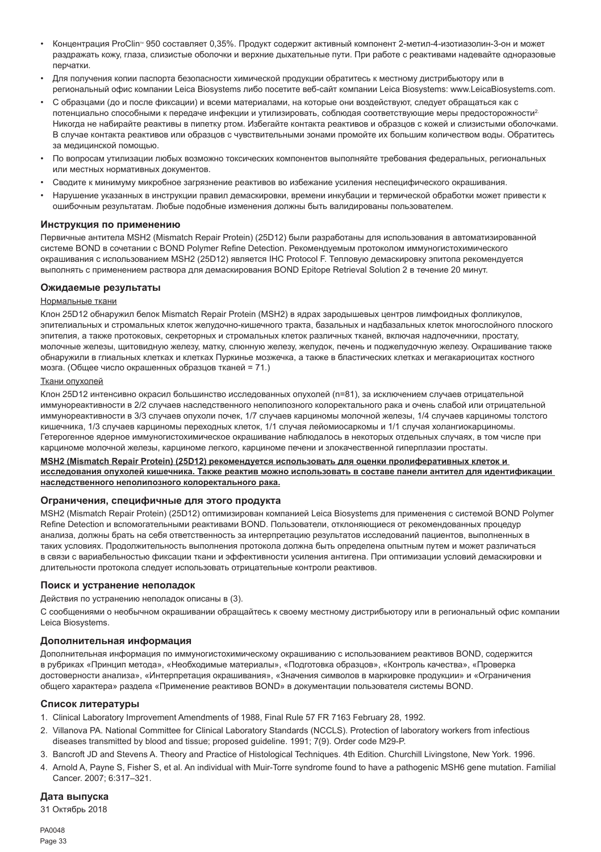- Концентрация ProClinTM 950 составляет 0,35%. Продукт содержит активный компонент 2-метил-4-изотиазолин-3-он и может раздражать кожу, глаза, слизистые оболочки и верхние дыхательные пути. При работе с реактивами надевайте одноразовые перчатки.
- Для получения копии паспорта безопасности химической продукции обратитесь к местному дистрибьютору или в региональный офис компании Leica Biosystems либо посетите веб-сайт компании Leica Biosystems: www.LeicaBiosystems.com.
- С образцами (до и после фиксации) и всеми материалами, на которые они воздействуют, следует обращаться как с потенциально способными к передаче инфекции и утилизировать, соблюдая соответствующие меры предосторожности2. Никогда не набирайте реактивы в пипетку ртом. Избегайте контакта реактивов и образцов с кожей и слизистыми оболочками. В случае контакта реактивов или образцов с чувствительными зонами промойте их большим количеством воды. Обратитесь за медицинской помощью.
- По вопросам утилизации любых возможно токсических компонентов выполняйте требования федеральных, региональных или местных нормативных документов.
- Сводите к минимуму микробное загрязнение реактивов во избежание усиления неспецифического окрашивания.
- Нарушение указанных в инструкции правил демаскировки, времени инкубации и термической обработки может привести к ошибочным результатам. Любые подобные изменения должны быть валидированы пользователем.

#### **Инструкция по применению**

Первичные антитела MSH2 (Mismatch Repair Protein) (25D12) были разработаны для использования в автоматизированной системе BOND в сочетании с BOND Polymer Refine Detection. Рекомендуемым протоколом иммуногистохимического окрашивания с использованием MSH2 (25D12) является IHC Protocol F. Тепловую демаскировку эпитопа рекомендуется выполнять с применением раствора для демаскирования BOND Epitope Retrieval Solution 2 в течение 20 минут.

#### **Ожидаемые результаты**

#### Нормальные ткани

Клон 25D12 обнаружил белок Mismatch Repair Protein (MSH2) в ядрах зародышевых центров лимфоидных фолликулов, эпителиальных и стромальных клеток желудочно-кишечного тракта, базальных и надбазальных клеток многослойного плоского эпителия, а также протоковых, секреторных и стромальных клеток различных тканей, включая надпочечники, простату, молочные железы, щитовидную железу, матку, слюнную железу, желудок, печень и поджелудочную железу. Окрашивание также обнаружили в глиальных клетках и клетках Пуркинье мозжечка, а также в бластических клетках и мегакариоцитах костного мозга. (Общее число окрашенных образцов тканей = 71.)

#### Ткани опухолей

Клон 25D12 интенсивно окрасил большинство исследованных опухолей (n=81), за исключением случаев отрицательной иммунореактивности в 2/2 случаев наследственного неполипозного колоректального рака и очень слабой или отрицательной иммунореактивности в 3/3 случаев опухоли почек, 1/7 случаев карциномы молочной железы, 1/4 случаев карциномы толстого кишечника, 1/3 случаев карциномы переходных клеток, 1/1 случая лейомиосаркомы и 1/1 случая холангиокарциномы. Гетерогенное ядерное иммуногистохимическое окрашивание наблюдалось в некоторых отдельных случаях, в том числе при карциноме молочной железы, карциноме легкого, карциноме печени и злокачественной гиперплазии простаты.

**MSH2 (Mismatch Repair Protein) (25D12) рекомендуется использовать для оценки пролиферативных клеток и исследования опухолей кишечника. Также реактив можно использовать в составе панели антител для идентификации наследственного неполипозного колоректального рака.**

#### **Ограничения, специфичные для этого продукта**

MSH2 (Mismatch Repair Protein) (25D12) оптимизирован компанией Leica Biosystems для применения с системой BOND Polymer Refine Detection и вспомогательными реактивами BOND. Пользователи, отклоняющиеся от рекомендованных процедур анализа, должны брать на себя ответственность за интерпретацию результатов исследований пациентов, выполненных в таких условиях. Продолжительность выполнения протокола должна быть определена опытным путем и может различаться в связи с вариабельностью фиксации ткани и эффективности усиления антигена. При оптимизации условий демаскировки и длительности протокола следует использовать отрицательные контроли реактивов.

#### **Поиск и устранение неполадок**

Действия по устранению неполадок описаны в (3).

С сообщениями о необычном окрашивании обращайтесь к своему местному дистрибьютору или в региональный офис компании Leica Biosystems.

#### **Дополнительная информация**

Дополнительная информация по иммуногистохимическому окрашиванию с использованием реактивов BOND, содержится в рубриках «Принцип метода», «Необходимые материалы», «Подготовка образцов», «Контроль качества», «Проверка достоверности анализа», «Интерпретация окрашивания», «Значения символов в маркировке продукции» и «Ограничения общего характера» раздела «Применение реактивов BOND» в документации пользователя системы BOND.

#### **Список литературы**

- 1. Clinical Laboratory Improvement Amendments of 1988, Final Rule 57 FR 7163 February 28, 1992.
- 2. Villanova PA. National Committee for Clinical Laboratory Standards (NCCLS). Protection of laboratory workers from infectious diseases transmitted by blood and tissue; proposed guideline. 1991; 7(9). Order code M29-P.
- 3. Bancroft JD and Stevens A. Theory and Practice of Histological Techniques. 4th Edition. Churchill Livingstone, New York. 1996.
- 4. Arnold A, Payne S, Fisher S, et al. An individual with Muir-Torre syndrome found to have a pathogenic MSH6 gene mutation. Familial Cancer. 2007; 6:317–321.

# **Дата выпуска**

31 Октябрь 2018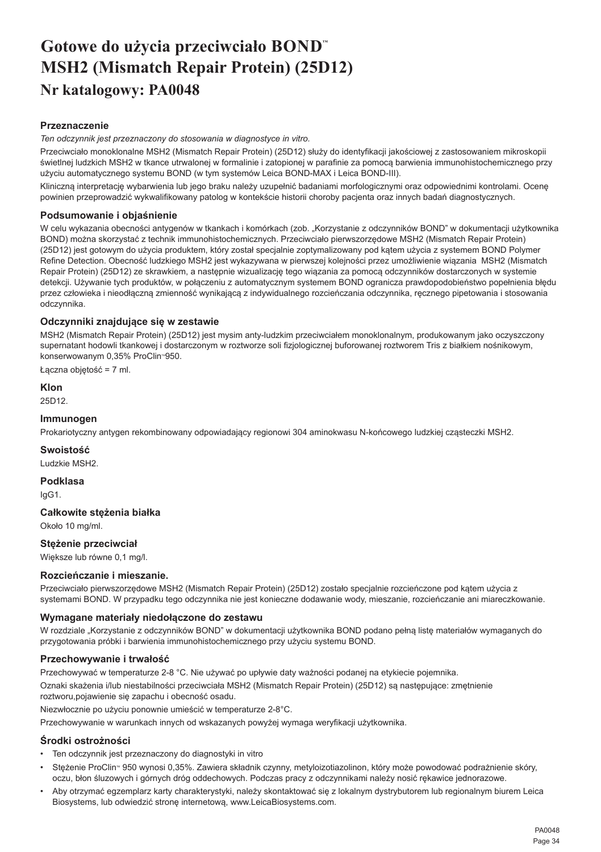# <span id="page-34-0"></span>**Gotowe do użycia przeciwciało BOND™ MSH2 (Mismatch Repair Protein) (25D12) Nr katalogowy: PA0048**

# **Przeznaczenie**

*Ten odczynnik jest przeznaczony do stosowania w diagnostyce in vitro.*

Przeciwciało monoklonalne MSH2 (Mismatch Repair Protein) (25D12) służy do identyfikacji jakościowej z zastosowaniem mikroskopii świetlnej ludzkich MSH2 w tkance utrwalonej w formalinie i zatopionej w parafinie za pomocą barwienia immunohistochemicznego przy użyciu automatycznego systemu BOND (w tym systemów Leica BOND-MAX i Leica BOND-III).

Kliniczną interpretację wybarwienia lub jego braku należy uzupełnić badaniami morfologicznymi oraz odpowiednimi kontrolami. Ocenę powinien przeprowadzić wykwalifikowany patolog w kontekście historii choroby pacjenta oraz innych badań diagnostycznych.

# **Podsumowanie i objaśnienie**

W celu wykazania obecności antygenów w tkankach i komórkach (zob. "Korzystanie z odczynników BOND" w dokumentacji użytkownika BOND) można skorzystać z technik immunohistochemicznych. Przeciwciało pierwszorzędowe MSH2 (Mismatch Repair Protein) (25D12) jest gotowym do użycia produktem, który został specjalnie zoptymalizowany pod kątem użycia z systemem BOND Polymer Refine Detection. Obecność ludzkiego MSH2 jest wykazywana w pierwszej kolejności przez umożliwienie wiązania MSH2 (Mismatch Repair Protein) (25D12) ze skrawkiem, a następnie wizualizację tego wiązania za pomocą odczynników dostarczonych w systemie detekcji. Używanie tych produktów, w połączeniu z automatycznym systemem BOND ogranicza prawdopodobieństwo popełnienia błędu przez człowieka i nieodłączną zmienność wynikającą z indywidualnego rozcieńczania odczynnika, ręcznego pipetowania i stosowania odczynnika.

# **Odczynniki znajdujące się w zestawie**

MSH2 (Mismatch Repair Protein) (25D12) jest mysim anty-ludzkim przeciwciałem monoklonalnym, produkowanym jako oczyszczony supernatant hodowli tkankowej i dostarczonym w roztworze soli fizjologicznej buforowanej roztworem Tris z białkiem nośnikowym, konserwowanym 0,35% ProClin<sup>®</sup>950.

Łączna objętość = 7 ml.

**Klon** 25D12.

# **Immunogen**

Prokariotyczny antygen rekombinowany odpowiadający regionowi 304 aminokwasu N-końcowego ludzkiej cząsteczki MSH2.

# **Swoistość**

Ludzkie MSH2.

**Podklasa** IgG1.

# **Całkowite stężenia białka**

Około 10 mg/ml.

# **Stężenie przeciwciał**

Większe lub równe 0,1 mg/l.

# **Rozcieńczanie i mieszanie.**

Przeciwciało pierwszorzędowe MSH2 (Mismatch Repair Protein) (25D12) zostało specjalnie rozcieńczone pod kątem użycia z systemami BOND. W przypadku tego odczynnika nie jest konieczne dodawanie wody, mieszanie, rozcieńczanie ani miareczkowanie.

# **Wymagane materiały niedołączone do zestawu**

W rozdziale "Korzystanie z odczynników BOND" w dokumentacji użytkownika BOND podano pełna liste materiałów wymaganych do przygotowania próbki i barwienia immunohistochemicznego przy użyciu systemu BOND.

# **Przechowywanie i trwałość**

Przechowywać w temperaturze 2-8 °C. Nie używać po upływie daty ważności podanej na etykiecie pojemnika. Oznaki skażenia i/lub niestabilności przeciwciała MSH2 (Mismatch Repair Protein) (25D12) są następujące: zmętnienie roztworu,pojawienie się zapachu i obecność osadu.

Niezwłocznie po użyciu ponownie umieścić w temperaturze 2-8°C.

Przechowywanie w warunkach innych od wskazanych powyżej wymaga weryfikacji użytkownika.

# **Środki ostrożności**

- Ten odczynnik jest przeznaczony do diagnostyki in vitro
- Stężenie ProClin<sup>®</sup> 950 wynosi 0,35%. Zawiera składnik czynny, metyloizotiazolinon, który może powodować podrażnienie skóry, oczu, błon śluzowych i górnych dróg oddechowych. Podczas pracy z odczynnikami należy nosić rękawice jednorazowe.
- Aby otrzymać egzemplarz karty charakterystyki, należy skontaktować się z lokalnym dystrybutorem lub regionalnym biurem Leica Biosystems, lub odwiedzić stronę internetową, www.LeicaBiosystems.com.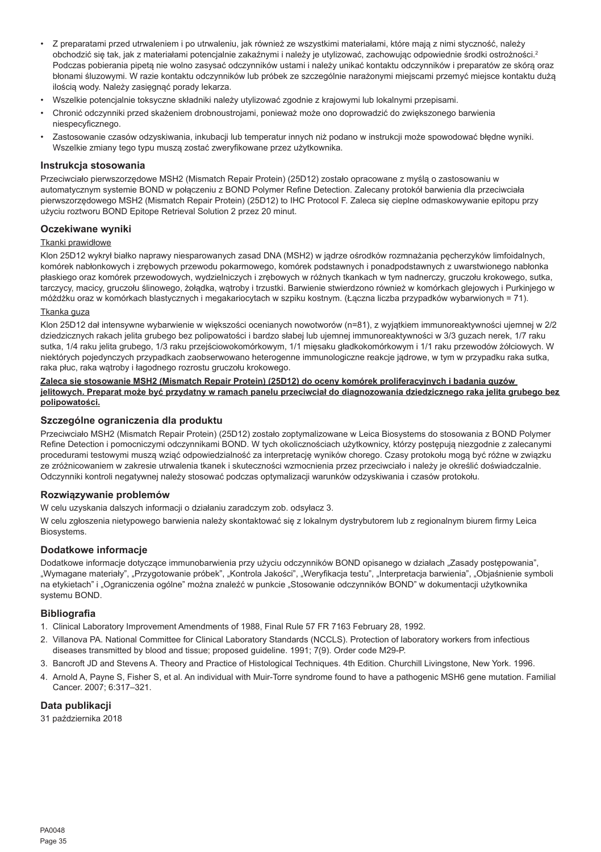- Z preparatami przed utrwaleniem i po utrwaleniu, jak również ze wszystkimi materiałami, które mają z nimi styczność, należy obchodzić się tak, jak z materiałami potencjalnie zakaźnymi i należy je utylizować, zachowując odpowiednie środki ostrożności.<sup>2</sup> Podczas pobierania pipetą nie wolno zasysać odczynników ustami i należy unikać kontaktu odczynników i preparatów ze skórą oraz błonami śluzowymi. W razie kontaktu odczynników lub próbek ze szczególnie narażonymi miejscami przemyć miejsce kontaktu dużą ilością wody. Należy zasięgnąć porady lekarza.
- Wszelkie potencjalnie toksyczne składniki należy utylizować zgodnie z krajowymi lub lokalnymi przepisami.
- Chronić odczynniki przed skażeniem drobnoustrojami, ponieważ może ono doprowadzić do zwiększonego barwienia niespecyficznego.
- Zastosowanie czasów odzyskiwania, inkubacji lub temperatur innych niż podano w instrukcji może spowodować błędne wyniki. Wszelkie zmiany tego typu muszą zostać zweryfikowane przez użytkownika.

#### **Instrukcja stosowania**

Przeciwciało pierwszorzędowe MSH2 (Mismatch Repair Protein) (25D12) zostało opracowane z myślą o zastosowaniu w automatycznym systemie BOND w połączeniu z BOND Polymer Refine Detection. Zalecany protokół barwienia dla przeciwciała pierwszorzędowego MSH2 (Mismatch Repair Protein) (25D12) to IHC Protocol F. Zaleca się cieplne odmaskowywanie epitopu przy użyciu roztworu BOND Epitope Retrieval Solution 2 przez 20 minut.

#### **Oczekiwane wyniki**

#### Tkanki prawidłowe

Klon 25D12 wykrył białko naprawy niesparowanych zasad DNA (MSH2) w jądrze ośrodków rozmnażania pęcherzyków limfoidalnych, komórek nabłonkowych i zrębowych przewodu pokarmowego, komórek podstawnych i ponadpodstawnych z uwarstwionego nabłonka płaskiego oraz komórek przewodowych, wydzielniczych i zrębowych w różnych tkankach w tym nadnerczy, gruczołu krokowego, sutka, tarczycy, macicy, gruczołu ślinowego, żołądka, wątroby i trzustki. Barwienie stwierdzono również w komórkach glejowych i Purkinjego w móżdżku oraz w komórkach blastycznych i megakariocytach w szpiku kostnym. (Łączna liczba przypadków wybarwionych = 71).

#### Tkanka guza

Klon 25D12 dał intensywne wybarwienie w większości ocenianych nowotworów (n=81), z wyjątkiem immunoreaktywności ujemnej w 2/2 dziedzicznych rakach jelita grubego bez polipowatości i bardzo słabej lub ujemnej immunoreaktywności w 3/3 guzach nerek, 1/7 raku sutka, 1/4 raku jelita grubego, 1/3 raku przejściowokomórkowym, 1/1 mięsaku gładkokomórkowym i 1/1 raku przewodów żółciowych. W niektórych pojedynczych przypadkach zaobserwowano heterogenne immunologiczne reakcje jądrowe, w tym w przypadku raka sutka, raka płuc, raka wątroby i łagodnego rozrostu gruczołu krokowego.

#### **Zaleca się stosowanie MSH2 (Mismatch Repair Protein) (25D12) do oceny komórek proliferacyjnych i badania guzów jelitowych. Preparat może być przydatny w ramach panelu przeciwciał do diagnozowania dziedzicznego raka jelita grubego bez polipowatości.**

# **Szczególne ograniczenia dla produktu**

Przeciwciało MSH2 (Mismatch Repair Protein) (25D12) zostało zoptymalizowane w Leica Biosystems do stosowania z BOND Polymer Refine Detection i pomocniczymi odczynnikami BOND. W tych okolicznościach użytkownicy, którzy postępują niezgodnie z zalecanymi procedurami testowymi muszą wziąć odpowiedzialność za interpretację wyników chorego. Czasy protokołu mogą być różne w związku ze zróżnicowaniem w zakresie utrwalenia tkanek i skuteczności wzmocnienia przez przeciwciało i należy je określić doświadczalnie. Odczynniki kontroli negatywnej należy stosować podczas optymalizacji warunków odzyskiwania i czasów protokołu.

#### **Rozwiązywanie problemów**

W celu uzyskania dalszych informacji o działaniu zaradczym zob. odsyłacz 3.

W celu zgłoszenia nietypowego barwienia należy skontaktować się z lokalnym dystrybutorem lub z regionalnym biurem firmy Leica Biosystems.

#### **Dodatkowe informacje**

Dodatkowe informacje dotyczące immunobarwienia przy użyciu odczynników BOND opisanego w działach "Zasady postępowania", "Wymagane materiały", "Przygotowanie próbek", "Kontrola Jakości", "Weryfikacja testu", "Interpretacja barwienia", "Objaśnienie symboli na etykietach" i "Ograniczenia ogólne" można znaleźć w punkcie "Stosowanie odczynników BOND" w dokumentacji użytkownika systemu BOND.

# **Bibliografia**

- 1. Clinical Laboratory Improvement Amendments of 1988, Final Rule 57 FR 7163 February 28, 1992.
- 2. Villanova PA. National Committee for Clinical Laboratory Standards (NCCLS). Protection of laboratory workers from infectious diseases transmitted by blood and tissue; proposed guideline. 1991; 7(9). Order code M29-P.
- 3. Bancroft JD and Stevens A. Theory and Practice of Histological Techniques. 4th Edition. Churchill Livingstone, New York. 1996.
- 4. Arnold A, Payne S, Fisher S, et al. An individual with Muir-Torre syndrome found to have a pathogenic MSH6 gene mutation. Familial Cancer. 2007; 6:317–321.

# **Data publikacji**

31 października 2018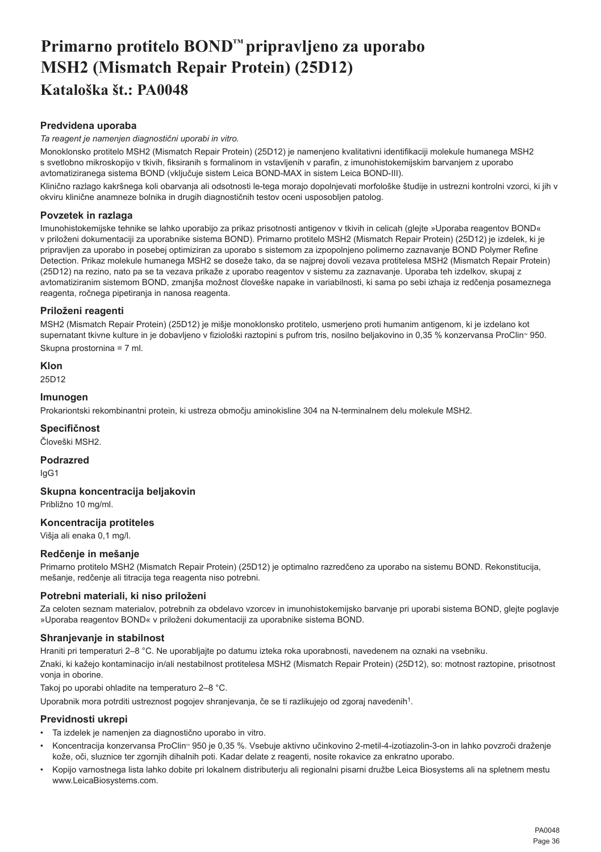# <span id="page-36-0"></span>**Primarno protitelo BOND™ pripravljeno za uporabo MSH2 (Mismatch Repair Protein) (25D12) Kataloška št.: PA0048**

# **Predvidena uporaba**

*Ta reagent je namenjen diagnostični uporabi in vitro.*

Monoklonsko protitelo MSH2 (Mismatch Repair Protein) (25D12) je namenjeno kvalitativni identifikaciji molekule humanega MSH2 s svetlobno mikroskopijo v tkivih, fiksiranih s formalinom in vstavljenih v parafin, z imunohistokemijskim barvanjem z uporabo avtomatiziranega sistema BOND (vključuje sistem Leica BOND-MAX in sistem Leica BOND-III).

Klinično razlago kakršnega koli obarvanja ali odsotnosti le-tega morajo dopolnjevati morfološke študije in ustrezni kontrolni vzorci, ki jih v okviru klinične anamneze bolnika in drugih diagnostičnih testov oceni usposobljen patolog.

# **Povzetek in razlaga**

Imunohistokemijske tehnike se lahko uporabijo za prikaz prisotnosti antigenov v tkivih in celicah (glejte »Uporaba reagentov BOND« v priloženi dokumentaciji za uporabnike sistema BOND). Primarno protitelo MSH2 (Mismatch Repair Protein) (25D12) je izdelek, ki je pripravljen za uporabo in posebej optimiziran za uporabo s sistemom za izpopolnjeno polimerno zaznavanje BOND Polymer Refine Detection. Prikaz molekule humanega MSH2 se doseže tako, da se najprej dovoli vezava protitelesa MSH2 (Mismatch Repair Protein) (25D12) na rezino, nato pa se ta vezava prikaže z uporabo reagentov v sistemu za zaznavanje. Uporaba teh izdelkov, skupaj z avtomatiziranim sistemom BOND, zmanjša možnost človeške napake in variabilnosti, ki sama po sebi izhaja iz redčenja posameznega reagenta, ročnega pipetiranja in nanosa reagenta.

# **Priloženi reagenti**

MSH2 (Mismatch Repair Protein) (25D12) je mišje monoklonsko protitelo, usmerjeno proti humanim antigenom, ki je izdelano kot supernatant tkivne kulture in je dobavljeno v fiziološki raztopini s pufrom tris, nosilno beljakovino in 0,35 % konzervansa ProClin<sup>®</sup> 950. Skupna prostornina = 7 ml.

**Klon**

25D12

# **Imunogen**

Prokariontski rekombinantni protein, ki ustreza območju aminokisline 304 na N-terminalnem delu molekule MSH2.

# **Specifičnost**

Človeški MSH2.

**Podrazred**

IgG1

**Skupna koncentracija beljakovin**

Približno 10 mg/ml.

# **Koncentracija protiteles**

Višja ali enaka 0,1 mg/l.

# **Redčenje in mešanje**

Primarno protitelo MSH2 (Mismatch Repair Protein) (25D12) je optimalno razredčeno za uporabo na sistemu BOND. Rekonstitucija, mešanje, redčenje ali titracija tega reagenta niso potrebni.

# **Potrebni materiali, ki niso priloženi**

Za celoten seznam materialov, potrebnih za obdelavo vzorcev in imunohistokemijsko barvanje pri uporabi sistema BOND, glejte poglavje »Uporaba reagentov BOND« v priloženi dokumentaciji za uporabnike sistema BOND.

# **Shranjevanje in stabilnost**

Hraniti pri temperaturi 2–8 °C. Ne uporabljajte po datumu izteka roka uporabnosti, navedenem na oznaki na vsebniku. Znaki, ki kažejo kontaminacijo in/ali nestabilnost protitelesa MSH2 (Mismatch Repair Protein) (25D12), so: motnost raztopine, prisotnost vonja in oborine.

Takoj po uporabi ohladite na temperaturo 2–8 °C.

Uporabnik mora potrditi ustreznost pogojev shranjevanja, če se ti razlikujejo od zgoraj navedenih<sup>1</sup>.

# **Previdnosti ukrepi**

- Ta izdelek je namenjen za diagnostično uporabo in vitro.
- Koncentracija konzervansa ProClin<sup>®</sup> 950 je 0,35 %. Vsebuje aktivno učinkovino 2-metil-4-izotiazolin-3-on in lahko povzroči draženje kože, oči, sluznice ter zgornjih dihalnih poti. Kadar delate z reagenti, nosite rokavice za enkratno uporabo.
- Kopijo varnostnega lista lahko dobite pri lokalnem distributerju ali regionalni pisarni družbe Leica Biosystems ali na spletnem mestu www.LeicaBiosystems.com.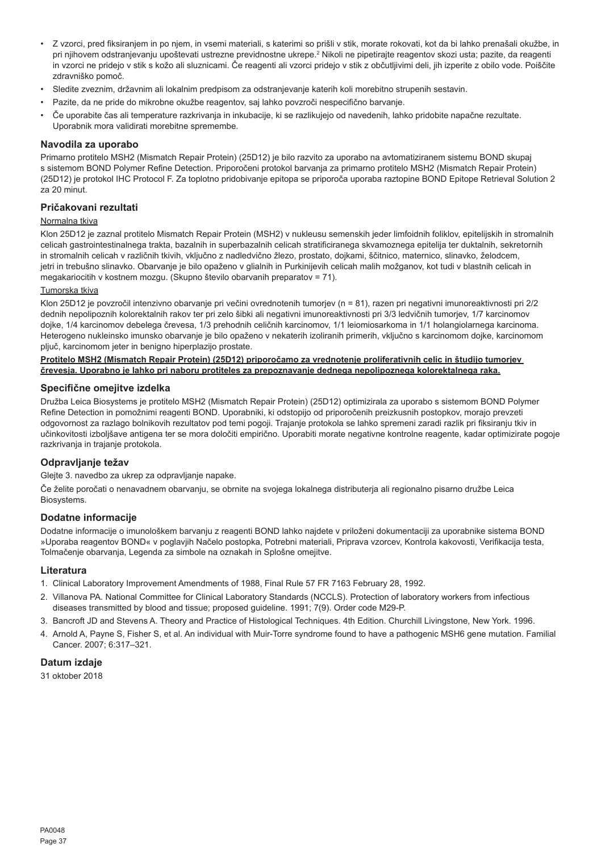- Z vzorci, pred fiksiranjem in po njem, in vsemi materiali, s katerimi so prišli v stik, morate rokovati, kot da bi lahko prenašali okužbe, in pri njihovem odstranjevanju upoštevati ustrezne previdnostne ukrepe.<sup>z</sup> Nikoli ne pipetirajte reagentov skozi usta; pazite, da reagenti in vzorci ne pridejo v stik s kožo ali sluznicami. Če reagenti ali vzorci pridejo v stik z občutljivimi deli, jih izperite z obilo vode. Poiščite zdravniško pomoč.
- Sledite zveznim, državnim ali lokalnim predpisom za odstranjevanje katerih koli morebitno strupenih sestavin.
- Pazite, da ne pride do mikrobne okužbe reagentov, saj lahko povzroči nespecifično barvanje.
- Če uporabite čas ali temperature razkrivanja in inkubacije, ki se razlikujejo od navedenih, lahko pridobite napačne rezultate. Uporabnik mora validirati morebitne spremembe.

#### **Navodila za uporabo**

Primarno protitelo MSH2 (Mismatch Repair Protein) (25D12) je bilo razvito za uporabo na avtomatiziranem sistemu BOND skupaj s sistemom BOND Polymer Refine Detection. Priporočeni protokol barvanja za primarno protitelo MSH2 (Mismatch Repair Protein) (25D12) je protokol IHC Protocol F. Za toplotno pridobivanje epitopa se priporoča uporaba raztopine BOND Epitope Retrieval Solution 2 za 20 minut.

# **Pričakovani rezultati**

# Normalna tkiva

Klon 25D12 je zaznal protitelo Mismatch Repair Protein (MSH2) v nukleusu semenskih jeder limfoidnih foliklov, epitelijskih in stromalnih celicah gastrointestinalnega trakta, bazalnih in superbazalnih celicah stratificiranega skvamoznega epitelija ter duktalnih, sekretornih in stromalnih celicah v različnih tkivih, vključno z nadledvično žlezo, prostato, dojkami, ščitnico, maternico, slinavko, želodcem, jetri in trebušno slinavko. Obarvanje je bilo opaženo v glialnih in Purkinijevih celicah malih možganov, kot tudi v blastnih celicah in megakariocitih v kostnem mozgu. (Skupno število obarvanih preparatov = 71).

#### Tumorska tkiva

Klon 25D12 je povzročil intenzivno obarvanje pri večini ovrednotenih tumorjev (n = 81), razen pri negativni imunoreaktivnosti pri 2/2 dednih nepolipoznih kolorektalnih rakov ter pri zelo šibki ali negativni imunoreaktivnosti pri 3/3 ledvičnih tumorjev, 1/7 karcinomov dojke, 1/4 karcinomov debelega črevesa, 1/3 prehodnih celičnih karcinomov, 1/1 leiomiosarkoma in 1/1 holangiolarnega karcinoma. Heterogeno nukleinsko imunsko obarvanje je bilo opaženo v nekaterih izoliranih primerih, vključno s karcinomom dojke, karcinomom pljuč, karcinomom jeter in benigno hiperplazijo prostate.

#### **Protitelo MSH2 (Mismatch Repair Protein) (25D12) priporočamo za vrednotenje proliferativnih celic in študijo tumorjev črevesja. Uporabno je lahko pri naboru protiteles za prepoznavanje dednega nepolipoznega kolorektalnega raka.**

#### **Specifične omejitve izdelka**

Družba Leica Biosystems je protitelo MSH2 (Mismatch Repair Protein) (25D12) optimizirala za uporabo s sistemom BOND Polymer Refine Detection in pomožnimi reagenti BOND. Uporabniki, ki odstopijo od priporočenih preizkusnih postopkov, morajo prevzeti odgovornost za razlago bolnikovih rezultatov pod temi pogoji. Trajanje protokola se lahko spremeni zaradi razlik pri fiksiranju tkiv in učinkovitosti izboljšave antigena ter se mora določiti empirično. Uporabiti morate negativne kontrolne reagente, kadar optimizirate pogoje razkrivanja in trajanje protokola.

#### **Odpravljanje težav**

Glejte 3. navedbo za ukrep za odpravljanje napake.

Če želite poročati o nenavadnem obarvanju, se obrnite na svojega lokalnega distributerja ali regionalno pisarno družbe Leica Biosystems.

#### **Dodatne informacije**

Dodatne informacije o imunološkem barvanju z reagenti BOND lahko najdete v priloženi dokumentaciji za uporabnike sistema BOND »Uporaba reagentov BOND« v poglavjih Načelo postopka, Potrebni materiali, Priprava vzorcev, Kontrola kakovosti, Verifikacija testa, Tolmačenje obarvanja, Legenda za simbole na oznakah in Splošne omejitve.

#### **Literatura**

- 1. Clinical Laboratory Improvement Amendments of 1988, Final Rule 57 FR 7163 February 28, 1992.
- 2. Villanova PA. National Committee for Clinical Laboratory Standards (NCCLS). Protection of laboratory workers from infectious diseases transmitted by blood and tissue; proposed guideline. 1991; 7(9). Order code M29-P.
- 3. Bancroft JD and Stevens A. Theory and Practice of Histological Techniques. 4th Edition. Churchill Livingstone, New York. 1996.
- 4. Arnold A, Payne S, Fisher S, et al. An individual with Muir-Torre syndrome found to have a pathogenic MSH6 gene mutation. Familial Cancer. 2007; 6:317–321.

#### **Datum izdaje**

31 oktober 2018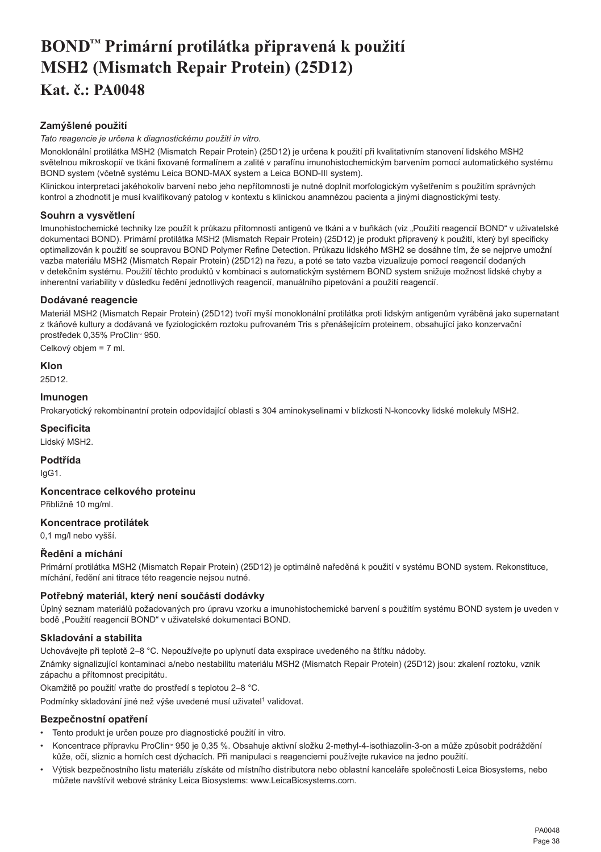# <span id="page-38-0"></span>**BOND™ Primární protilátka připravená k použití MSH2 (Mismatch Repair Protein) (25D12) Kat. č.: PA0048**

# **Zamýšlené použití**

*Tato reagencie je určena k diagnostickému použití in vitro.*

Monoklonální protilátka MSH2 (Mismatch Repair Protein) (25D12) je určena k použití při kvalitativním stanovení lidského MSH2 světelnou mikroskopií ve tkáni fixované formalínem a zalité v parafínu imunohistochemickým barvením pomocí automatického systému BOND system (včetně systému Leica BOND-MAX system a Leica BOND-III system).

Klinickou interpretaci jakéhokoliv barvení nebo jeho nepřítomnosti je nutné doplnit morfologickým vyšetřením s použitím správných kontrol a zhodnotit je musí kvalifikovaný patolog v kontextu s klinickou anamnézou pacienta a jinými diagnostickými testy.

# **Souhrn a vysvětlení**

Imunohistochemické techniky lze použít k průkazu přítomnosti antigenů ve tkáni a v buňkách (viz "Použití reagencií BOND" v uživatelské dokumentaci BOND). Primární protilátka MSH2 (Mismatch Repair Protein) (25D12) je produkt připravený k použití, který byl specificky optimalizován k použití se soupravou BOND Polymer Refine Detection. Průkazu lidského MSH2 se dosáhne tím, že se nejprve umožní vazba materiálu MSH2 (Mismatch Repair Protein) (25D12) na řezu, a poté se tato vazba vizualizuje pomocí reagencií dodaných v detekčním systému. Použití těchto produktů v kombinaci s automatickým systémem BOND system snižuje možnost lidské chyby a inherentní variability v důsledku ředění jednotlivých reagencií, manuálního pipetování a použití reagencií.

# **Dodávané reagencie**

Materiál MSH2 (Mismatch Repair Protein) (25D12) tvoří myší monoklonální protilátka proti lidským antigenům vyráběná jako supernatant z tkáňové kultury a dodávaná ve fyziologickém roztoku pufrovaném Tris s přenášejícím proteinem, obsahující jako konzervační prostředek 0,35% ProClin™ 950.

Celkový objem = 7 ml.

# **Klon**

25D12.

# **Imunogen**

Prokaryotický rekombinantní protein odpovídající oblasti s 304 aminokyselinami v blízkosti N-koncovky lidské molekuly MSH2.

# **Specificita**

Lidský MSH2.

**Podtřída**

IgG1.

**Koncentrace celkového proteinu**

Přibližně 10 mg/ml.

# **Koncentrace protilátek**

0,1 mg/l nebo vyšší.

# **Ředění a míchání**

Primární protilátka MSH2 (Mismatch Repair Protein) (25D12) je optimálně naředěná k použití v systému BOND system. Rekonstituce, míchání, ředění ani titrace této reagencie nejsou nutné.

# **Potřebný materiál, který není součástí dodávky**

Úplný seznam materiálů požadovaných pro úpravu vzorku a imunohistochemické barvení s použitím systému BOND system je uveden v bodě "Použití reagencií BOND" v uživatelské dokumentaci BOND.

# **Skladování a stabilita**

Uchovávejte při teplotě 2–8 °C. Nepoužívejte po uplynutí data exspirace uvedeného na štítku nádoby.

Známky signalizující kontaminaci a/nebo nestabilitu materiálu MSH2 (Mismatch Repair Protein) (25D12) jsou: zkalení roztoku, vznik zápachu a přítomnost precipitátu.

Okamžitě po použití vraťte do prostředí s teplotou 2–8 °C.

Podmínky skladování jiné než výše uvedené musí uživatel<sup>1</sup> validovat.

# **Bezpečnostní opatření**

- Tento produkt je určen pouze pro diagnostické použití in vitro.
- Koncentrace přípravku ProClin<sup>™</sup> 950 je 0,35 %. Obsahuje aktivní složku 2-methyl-4-isothiazolin-3-on a může způsobit podráždění kůže, očí, sliznic a horních cest dýchacích. Při manipulaci s reagenciemi používejte rukavice na jedno použití.
- Výtisk bezpečnostního listu materiálu získáte od místního distributora nebo oblastní kanceláře společnosti Leica Biosystems, nebo můžete navštívit webové stránky Leica Biosystems: www.LeicaBiosystems.com.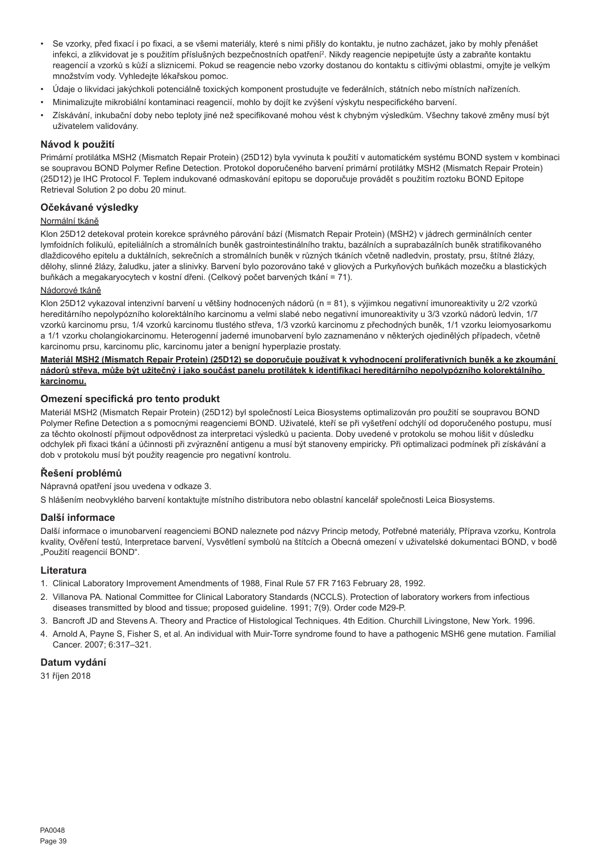- Se vzorky, před fixací i po fixaci, a se všemi materiály, které s nimi přišly do kontaktu, je nutno zacházet, jako by mohly přenášet infekci, a zlikvidovat je s použitím příslušných bezpečnostních opatření<sup>2</sup> . Nikdy reagencie nepipetujte ústy a zabraňte kontaktu reagencií a vzorků s kůží a sliznicemi. Pokud se reagencie nebo vzorky dostanou do kontaktu s citlivými oblastmi, omyjte je velkým množstvím vody. Vyhledejte lékařskou pomoc.
- Údaje o likvidaci jakýchkoli potenciálně toxických komponent prostudujte ve federálních, státních nebo místních nařízeních.
- Minimalizujte mikrobiální kontaminaci reagencií, mohlo by dojít ke zvýšení výskytu nespecifického barvení.
- Získávání, inkubační doby nebo teploty jiné než specifikované mohou vést k chybným výsledkům. Všechny takové změny musí být uživatelem validovány.

#### **Návod k použití**

Primární protilátka MSH2 (Mismatch Repair Protein) (25D12) byla vyvinuta k použití v automatickém systému BOND system v kombinaci se soupravou BOND Polymer Refine Detection. Protokol doporučeného barvení primární protilátky MSH2 (Mismatch Repair Protein) (25D12) je IHC Protocol F. Teplem indukované odmaskování epitopu se doporučuje provádět s použitím roztoku BOND Epitope Retrieval Solution 2 po dobu 20 minut.

# **Očekávané výsledky**

#### Normální tkáně

Klon 25D12 detekoval protein korekce správného párování bází (Mismatch Repair Protein) (MSH2) v jádrech germinálních center lymfoidních folikulů, epiteliálních a stromálních buněk gastrointestinálního traktu, bazálních a suprabazálních buněk stratifikovaného dlaždicového epitelu a duktálních, sekrečních a stromálních buněk v různých tkáních včetně nadledvin, prostaty, prsu, štítné žlázy, dělohy, slinné žlázy, žaludku, jater a slinivky. Barvení bylo pozorováno také v gliových a Purkyňových buňkách mozečku a blastických buňkách a megakaryocytech v kostní dřeni. (Celkový počet barvených tkání = 71).

#### Nádorové tkáně

Klon 25D12 vykazoval intenzivní barvení u většiny hodnocených nádorů (n = 81), s výjimkou negativní imunoreaktivity u 2/2 vzorků hereditárního nepolypózního kolorektálního karcinomu a velmi slabé nebo negativní imunoreaktivity u 3/3 vzorků nádorů ledvin, 1/7 vzorků karcinomu prsu, 1/4 vzorků karcinomu tlustého střeva, 1/3 vzorků karcinomu z přechodných buněk, 1/1 vzorku leiomyosarkomu a 1/1 vzorku cholangiokarcinomu. Heterogenní jaderné imunobarvení bylo zaznamenáno v některých ojedinělých případech, včetně karcinomu prsu, karcinomu plic, karcinomu jater a benigní hyperplazie prostaty.

#### **Materiál MSH2 (Mismatch Repair Protein) (25D12) se doporučuje používat k vyhodnocení proliferativních buněk a ke zkoumání nádorů střeva, může být užitečný i jako součást panelu protilátek k identifikaci hereditárního nepolypózního kolorektálního karcinomu.**

#### **Omezení specifická pro tento produkt**

Materiál MSH2 (Mismatch Repair Protein) (25D12) byl společností Leica Biosystems optimalizován pro použití se soupravou BOND Polymer Refine Detection a s pomocnými reagenciemi BOND. Uživatelé, kteří se při vyšetření odchýlí od doporučeného postupu, musí za těchto okolností přijmout odpovědnost za interpretaci výsledků u pacienta. Doby uvedené v protokolu se mohou lišit v důsledku odchylek při fixaci tkání a účinnosti při zvýraznění antigenu a musí být stanoveny empiricky. Při optimalizaci podmínek při získávání a dob v protokolu musí být použity reagencie pro negativní kontrolu.

# **Řešení problémů**

Nápravná opatření jsou uvedena v odkaze 3.

S hlášením neobvyklého barvení kontaktuite místního distributora nebo oblastní kancelář společnosti Leica Biosystems.

#### **Další informace**

Další informace o imunobarvení reagenciemi BOND naleznete pod názvy Princip metody, Potřebné materiály, Příprava vzorku, Kontrola kvality, Ověření testů, Interpretace barvení, Vysvětlení symbolů na štítcích a Obecná omezení v uživatelské dokumentaci BOND, v bodě "Použití reagencií BOND".

#### **Literatura**

- 1. Clinical Laboratory Improvement Amendments of 1988, Final Rule 57 FR 7163 February 28, 1992.
- 2. Villanova PA. National Committee for Clinical Laboratory Standards (NCCLS). Protection of laboratory workers from infectious diseases transmitted by blood and tissue; proposed guideline. 1991; 7(9). Order code M29-P.
- 3. Bancroft JD and Stevens A. Theory and Practice of Histological Techniques. 4th Edition. Churchill Livingstone, New York. 1996.
- 4. Arnold A, Payne S, Fisher S, et al. An individual with Muir-Torre syndrome found to have a pathogenic MSH6 gene mutation. Familial Cancer. 2007; 6:317–321.

# **Datum vydání**

31 říjen 2018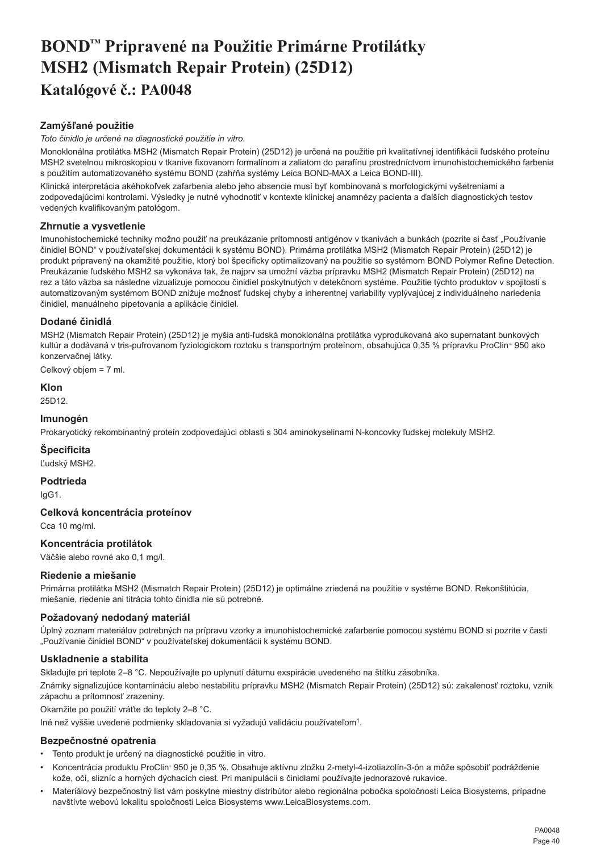# <span id="page-40-0"></span>**BOND™ Pripravené na Použitie Primárne Protilátky MSH2 (Mismatch Repair Protein) (25D12) Katalógové č.: PA0048**

# **Zamýšľané použitie**

*Toto činidlo je určené na diagnostické použitie in vitro.*

Monoklonálna protilátka MSH2 (Mismatch Repair Protein) (25D12) je určená na použitie pri kvalitatívnej identifikácii ľudského proteínu MSH2 svetelnou mikroskopiou v tkanive fixovanom formalínom a zaliatom do parafínu prostredníctvom imunohistochemického farbenia s použitím automatizovaného systému BOND (zahŕňa systémy Leica BOND-MAX a Leica BOND-III).

Klinická interpretácia akéhokoľvek zafarbenia alebo jeho absencie musí byť kombinovaná s morfologickými vyšetreniami a zodpovedajúcimi kontrolami. Výsledky je nutné vyhodnotiť v kontexte klinickej anamnézy pacienta a ďalších diagnostických testov vedených kvalifikovaným patológom.

# **Zhrnutie a vysvetlenie**

Imunohistochemické techniky možno použiť na preukázanie prítomnosti antigénov v tkanivách a bunkách (pozrite si časť "Používanie činidiel BOND" v používateľskej dokumentácii k systému BOND). Primárna protilátka MSH2 (Mismatch Repair Protein) (25D12) je produkt pripravený na okamžité použitie, ktorý bol špecificky optimalizovaný na použitie so systémom BOND Polymer Refine Detection. Preukázanie ľudského MSH2 sa vykonáva tak, že najprv sa umožní väzba prípravku MSH2 (Mismatch Repair Protein) (25D12) na rez a táto väzba sa následne vizualizuje pomocou činidiel poskytnutých v detekčnom systéme. Použitie týchto produktov v spojitosti s automatizovaným systémom BOND znižuje možnosť ľudskej chyby a inherentnej variability vyplývajúcej z individuálneho nariedenia činidiel, manuálneho pipetovania a aplikácie činidiel.

# **Dodané činidlá**

MSH2 (Mismatch Repair Protein) (25D12) je myšia anti-ľudská monoklonálna protilátka vyprodukovaná ako supernatant bunkových kultúr a dodávaná v tris-pufrovanom fyziologickom roztoku s transportným proteínom, obsahujúca 0,35 % prípravku ProClin<sup>®</sup> 950 ako konzervačnej látky.

Celkový objem = 7 ml.

# **Klon**

25D12.

# **Imunogén**

Prokaryotický rekombinantný proteín zodpovedajúci oblasti s 304 aminokyselinami N-koncovky ľudskej molekuly MSH2.

# **Špecificita**

Ľudský MSH2.

# **Podtrieda**

IgG1.

# **Celková koncentrácia proteínov**

Cca 10 mg/ml.

# **Koncentrácia protilátok**

Väčšie alebo rovné ako 0,1 mg/l.

# **Riedenie a miešanie**

Primárna protilátka MSH2 (Mismatch Repair Protein) (25D12) je optimálne zriedená na použitie v systéme BOND. Rekonštitúcia, miešanie, riedenie ani titrácia tohto činidla nie sú potrebné.

#### **Požadovaný nedodaný materiál**

Úplný zoznam materiálov potrebných na prípravu vzorky a imunohistochemické zafarbenie pomocou systému BOND si pozrite v časti "Používanie činidiel BOND" v používateľskej dokumentácii k systému BOND.

# **Uskladnenie a stabilita**

Skladujte pri teplote 2–8 °C. Nepoužívajte po uplynutí dátumu exspirácie uvedeného na štítku zásobníka.

Známky signalizujúce kontamináciu alebo nestabilitu prípravku MSH2 (Mismatch Repair Protein) (25D12) sú: zakalenosť roztoku, vznik zápachu a prítomnosť zrazeniny.

Okamžite po použití vráťte do teploty 2–8 °C.

Iné než vyššie uvedené podmienky skladovania si vyžadujú validáciu používateľom<sup>1</sup>.

#### **Bezpečnostné opatrenia**

- Tento produkt je určený na diagnostické použitie in vitro.
- Koncentrácia produktu ProClin™ 950 je 0,35 %. Obsahuje aktívnu zložku 2-metyl-4-izotiazolín-3-ón a môže spôsobiť podráždenie kože, očí, slizníc a horných dýchacích ciest. Pri manipulácii s činidlami používajte jednorazové rukavice.
- Materiálový bezpečnostný list vám poskytne miestny distribútor alebo regionálna pobočka spoločnosti Leica Biosystems, prípadne navštívte webovú lokalitu spoločnosti Leica Biosystems www.LeicaBiosystems.com.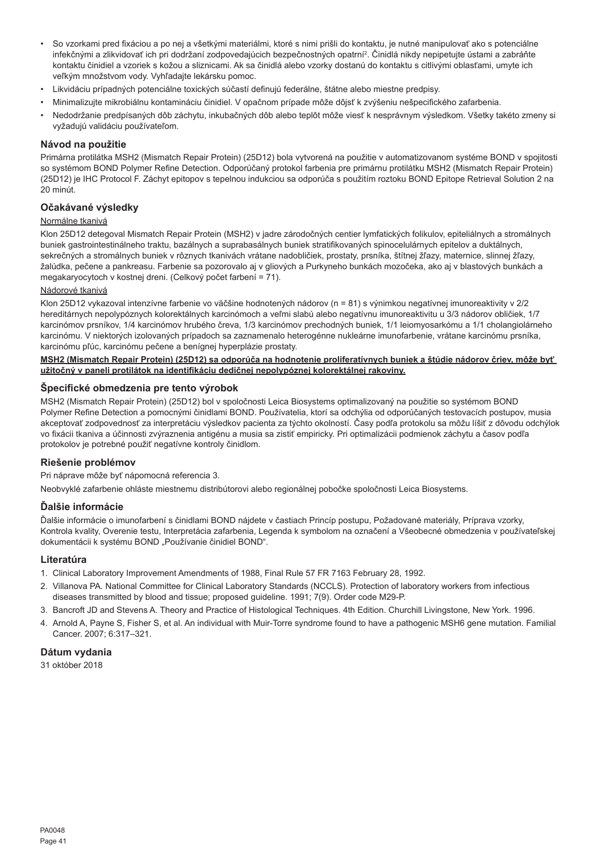- So vzorkami pred fixáciou a po nej a všetkými materiálmi, ktoré s nimi prišli do kontaktu, je nutné manipulovať ako s potenciálne infekčnými a zlikvidovať ich pri dodržaní zodpovedajúcich bezpečnostných opatrní<sup>2</sup> . Činidlá nikdy nepipetujte ústami a zabráňte kontaktu činidiel a vzoriek s kožou a sliznicami. Ak sa činidlá alebo vzorky dostanú do kontaktu s citlivými oblasťami, umyte ich veľkým množstvom vody. Vyhľadajte lekársku pomoc.
- Likvidáciu prípadných potenciálne toxických súčastí definujú federálne, štátne alebo miestne predpisy.
- Minimalizujte mikrobiálnu kontamináciu činidiel. V opačnom prípade môže dôjsť k zvýšeniu nešpecifického zafarbenia.
- Nedodržanie predpísaných dôb záchytu, inkubačných dôb alebo teplôt môže viesť k nesprávnym výsledkom. Všetky takéto zmeny si vyžadujú validáciu používateľom.

#### **Návod na použitie**

Primárna protilátka MSH2 (Mismatch Repair Protein) (25D12) bola vytvorená na použitie v automatizovanom systéme BOND v spojitosti so systémom BOND Polymer Refine Detection. Odporúčaný protokol farbenia pre primárnu protilátku MSH2 (Mismatch Repair Protein) (25D12) je IHC Protocol F. Záchyt epitopov s tepelnou indukciou sa odporúča s použitím roztoku BOND Epitope Retrieval Solution 2 na 20 minút.

# **Očakávané výsledky**

#### Normálne tkanivá

Klon 25D12 detegoval Mismatch Repair Protein (MSH2) v jadre zárodočných centier lymfatických folikulov, epiteliálnych a stromálnych buniek gastrointestinálneho traktu, bazálnych a suprabasálnych buniek stratifikovaných spinocelulárnych epitelov a duktálnych, sekrečných a stromálnych buniek v rôznych tkanivách vrátane nadobličiek, prostaty, prsníka, štítnej žľazy, maternice, slinnej žľazy, žalúdka, pečene a pankreasu. Farbenie sa pozorovalo aj v gliových a Purkyneho bunkách mozočeka, ako aj v blastových bunkách a megakaryocytoch v kostnej dreni. (Celkový počet farbení = 71).

#### Nádorové tkanivá

Klon 25D12 vykazoval intenzívne farbenie vo väčšine hodnotených nádorov (n = 81) s výnimkou negatívnej imunoreaktivity v 2/2 hereditárnych nepolypóznych kolorektálnych karcinómoch a veľmi slabú alebo negatívnu imunoreaktivitu u 3/3 nádorov obličiek, 1/7 karcinómov prsníkov, 1/4 karcinómov hrubého čreva, 1/3 karcinómov prechodných buniek, 1/1 leiomyosarkómu a 1/1 cholangiolárneho karcinómu. V niektorých izolovaných prípadoch sa zaznamenalo heterogénne nukleárne imunofarbenie, vrátane karcinómu prsníka, karcinómu pľúc, karcinómu pečene a benígnej hyperplázie prostaty.

#### **MSH2 (Mismatch Repair Protein) (25D12) sa odporúča na hodnotenie proliferatívnych buniek a štúdie nádorov čriev, môže byť užitočný v paneli protilátok na identifikáciu dedičnej nepolypóznej kolorektálnej rakoviny.**

#### **Špecifické obmedzenia pre tento výrobok**

MSH2 (Mismatch Repair Protein) (25D12) bol v spoločnosti Leica Biosystems optimalizovaný na použitie so systémom BOND Polymer Refine Detection a pomocnými činidlami BOND. Používatelia, ktorí sa odchýlia od odporúčaných testovacích postupov, musia akceptovať zodpovednosť za interpretáciu výsledkov pacienta za týchto okolností. Časy podľa protokolu sa môžu líšiť z dôvodu odchýlok vo fixácii tkaniva a účinnosti zvýraznenia antigénu a musia sa zistiť empiricky. Pri optimalizácii podmienok záchytu a časov podľa protokolov je potrebné použiť negatívne kontroly činidlom.

#### **Riešenie problémov**

Pri náprave môže byť nápomocná referencia 3.

Neobvyklé zafarbenie ohláste miestnemu distribútorovi alebo regionálnej pobočke spoločnosti Leica Biosystems.

#### **Ďalšie informácie**

Ďalšie informácie o imunofarbení s činidlami BOND nájdete v častiach Princíp postupu, Požadované materiály, Príprava vzorky, Kontrola kvality, Overenie testu, Interpretácia zafarbenia, Legenda k symbolom na označení a Všeobecné obmedzenia v používateľskej dokumentácii k systému BOND "Používanie činidiel BOND".

#### **Literatúra**

- 1. Clinical Laboratory Improvement Amendments of 1988, Final Rule 57 FR 7163 February 28, 1992.
- 2. Villanova PA. National Committee for Clinical Laboratory Standards (NCCLS). Protection of laboratory workers from infectious diseases transmitted by blood and tissue; proposed guideline. 1991; 7(9). Order code M29-P.
- 3. Bancroft JD and Stevens A. Theory and Practice of Histological Techniques. 4th Edition. Churchill Livingstone, New York. 1996.
- 4. Arnold A, Payne S, Fisher S, et al. An individual with Muir-Torre syndrome found to have a pathogenic MSH6 gene mutation. Familial Cancer. 2007; 6:317–321.

#### **Dátum vydania**

31 október 2018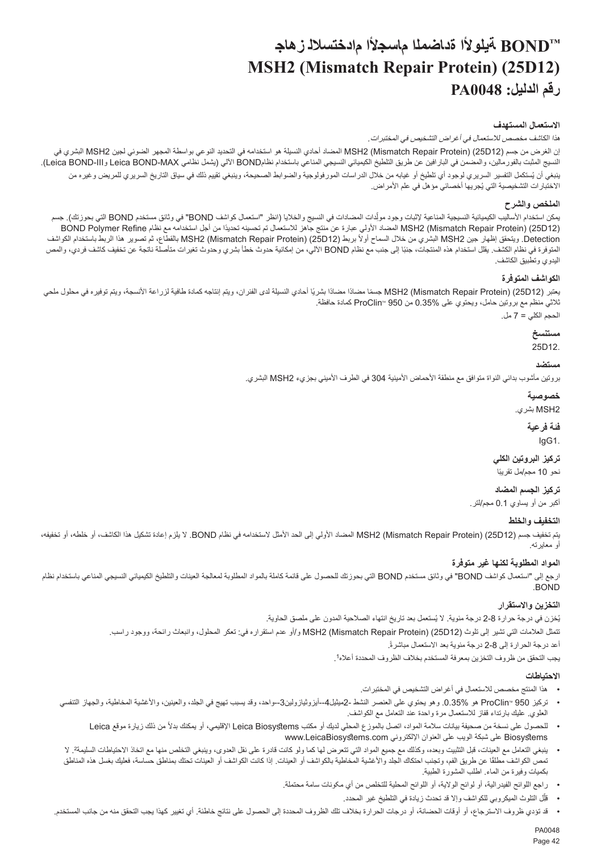# **TMBOND ةيلوألا ةداضملا ماسجألا مادختسالل زهاج MSH2 (Mismatch Repair Protein) (25D12) رقم الدليل: 0048PA**

# **االستعمال المستهدف**

هذا الكاشف مخصص لالستعمال في أغراض التشخيص في المختبرات*.*

<span id="page-42-0"></span>إن الغرض من جسم (12D25) (Protein Repair Mismatch (2MSH المضاد أحادي النسيلة هو استخدامه في التحديد النوعي بواسطة المجهر الضوئي لجين 2MSH البشري في النسيج المثبت بالفورمالين، والمضمن في البارافين عن طريق التلطيخ الكيميائي النسيجي المناعي باستخدام نظامBOND اآللي )يشمل نظامي MAX-BOND Leica وIII-BOND Leica).

بنغي ان يُستكمل التفسير السريري لوجود اي تلطيخ او غيابه من خلال الدراسات المورفولوجية والضوابط الصحيحة، وينبغي تقييم ذلك في سياق التاريخ السريري للمريض وغيره من الاختبار ات التشخيصية التي يُجريها اخصـائي مؤهل في علم الأمر اض.

# **الملخص والشرح**

بمكن استخدام الاساليب الكيميائية النسيجية المناعية لإثبات وجد مولدات المضدات في النسيج والخلايا (انظر "استعمال كواشف BOND" في وثائق مستخدم BOND التي بحوزتك). جسم ֧֦֧֖֖֖֖֖֖֧֧֧֚֚֚֚֚֚֚֚֚֚֚֚֬֝֝֓֝֬֝֓֞֓֞֬֓֓֞֡֓֓֞֓֡֡֬֓֓֞֡֡֡֬֓֓֞֬֓֞֡֡֬֓֞֬ (12D25) (Protein Repair Mismatch (2MSH ً المضاد األولي عبارة عن منتج جاهز لالستعمال تم تحسينه تحديدا من أجل استخدامه مع نظام Refine Polymer BOND Detection. ويتحقق إظهار جين MSH2 البشري من خلال السماح أولأ بربط (125D12) (Mismatch Repair Protein بالقطاع، ثم تصوير هذا الربط باستخدام الكواشف المتوفرة في نظام الكشف. يقلل استخدام هذه المنتجات، جنبًا إلى جنب مع نظام BOND الألي، من إمكانية حدوث بغيرات متأصلة ناتجة عن تخفيف كاشف فردي، والمص اليدوي وتطبيق الكاشف.

# **الكواشف المتوفرة**

بعتبر (12D2) MSH2 (Mismatch Repair Protein) جسمًا مضادًا مضادًا بشريًا لحادي النسيلة لدى الفئران، ويتم إنتاجه كمادة طافية لزراعة الأنسجة، ويتم توفيره في محلول ملحي ثالثي منظم مع بروتين حامل، ويحتوي على 0.35% من 950 ProClinTM كمادة حافظة. الحجم الكلي = 7 مل.

> **مستنسخ** 25D12.

# **مستضد**

بروتين مأشوب بدائي النواة متوافق مع منطقة الأحماض الأمينية 304 في الطرف الأميني بجزيء MSH2 البشري.

**خصوصية**

2MSH بشري.

**فئة فرعية** IgG1.

# **تركيز البروتين الكلي**

نحو 10 مجم/مل تقريبًا

# **تركيز الجسم المضاد**

أكبر من أو يساوي 0.1 مجم/لتر.

# **التخفيف والخلط**

يتم تخفيف جسم (12D25) (Protein Repair Mismatch (2MSH المضاد األولي إلى الحد األمثل الستخدامه في نظام BOND. ال يلزم إعادة تشكيل هذا الكاشف، أو خلطه، أو تخفيفه، أو معايرته.

# **المواد المطلوبة لكنها غير متوفرة**

ارجع إلى "استعمال كواشف BOND "في وثائق مستخدم BOND التي بحوزتك للحصول على قائمة كاملة بالمواد المطلوبة لمعالجة العينات والتلطيخ الكيميائي النسيجي المناعي باستخدام نظام .BOND

# **التخزين واالستقرار**

بُغزن في درجة حرارة 8-2 درجة مئوية. لا يُستعمل بعد تاريخ انتهاء الصلاحية المدون على ملصق الحاوية. تتمثل العالمات التي تشير إلى تلوث (12D25) (Protein Repair Mismatch (2MSH و/أو عدم استقراره في: تعكر المحلول، وانبعاث رائحة، ووجود راسب. .ً أعد درجة الحرارة إلى 2-8 درجة مئوية بعد االستعمال مباشرة

. يجب التحقق من ظروف التخزين بمعرفة المستخدم بخالف الظروف المحددة أعاله<sup>1</sup>

# **االحتياطات**

- •هذا المنتج مخصص لالستعمال في أغراض التشخيص في المختبرات.
- تركيز ProClin'" 950 هو 35%.0. وهو يحتوي على العنصر النشط -2ميثيل4--أيزوثيازولين3--واحد، وقد يسبب تهيج في الجلد، والعينين، والأغشية المخاطية، والجهاز التنفسي العلوي. عليك بارتداء قفاز لالستعمال مرة واحدة عند التعامل مع الكواشف.
	- للحصول على نسخة من صحيفة بيانات سلامة المواد، اتصل بالموزع المحلي لديك أو مكتب Leica Biosystems الإقليمي، أو يمكنك بدلاً من ذلك زيارة موقع Leica Biosystems على شبكة الويب على العنوان اإللكتروني com.LeicaBiosystems.www
- $\ddot{\phantom{1}}$ ينبغي التعامل مع العينات، قبل التثبيت وبعده، وكذلك مع جميع المواد التي تتعرض لها كما تما العدوى، وينبغي التخلص منها مع اتخاذ الاحتياطات السليمة2. لا نص الكواشف مطلقًا عن طريق الفم، وتجنب احتكاك الجلد والأغشية المخاطية بالكواشف، و العينات إلى المراس المن الحالف حساسة، فعليك بغسل هذه المناطق بكميات وفيرة من الماء. اطلب المشورة الطبية.
	- •راجع اللوائح الفیدرالیة، أو لوائح الوالية، أو اللوائح المحلیة للتخلص من أي مکونات سامة محتملة.  $\,$ 
		- قلِّل التلوث الميكروبي للكواشف وإلا قد تحدث زيادة في التلطيخ غير المحدد.
- •قد تؤدي ظروف االسترجاع، أو أوقات الحضانة، أو درجات الحرارة بخالف تلك الظروف المحددة إلى الحصول على نتائج خاطئة. أي تغيير كهذا يجب التحقق منه من جانب المستخدم.

PA0048 Page 42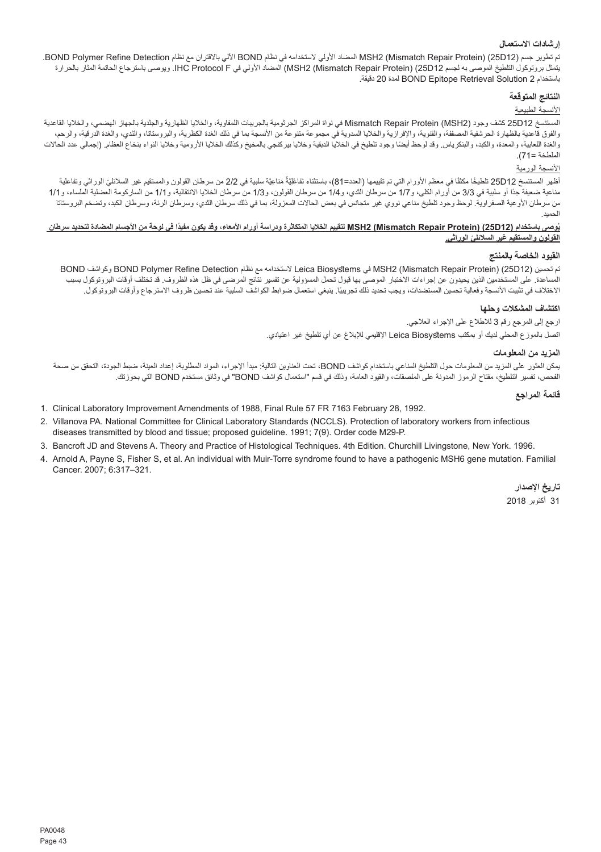# **إرشادات االستعمال**

تم تطوير جسم (12D25) (Protein Repair Mismatch (2MSH المضاد األولي الستخدامه في نظام BOND اآللي باالقتران مع نظام Detection Refine Polymer BOND. يتمثل بروتوكول التلطيخ الموصى به لجسم 12D25) (Protein Repair Mismatch (2MSH )المضاد األولي في F Protocol IHC. ويوصى باسترجاع الحاتمة المثار بالحرارة .دقيقة 20 لمدة BOND Epitope Retrieval Solution 2 باستخدام

#### **النتائج المتوقعة**

# األنسجة الطبيعية

المستنسخ 12D25 كشف وجود (2MSH (Protein Repair Mismatch في نواة المراكز الجرثومية بالجريبات اللمفاوية، والخاليا الظهارية والجلدية بالجهاز الهضمي، والخاليا القاعدية والفوق قاعدية بالظهارة الحرشفية المصففة، والقنوية، والإفرازية والخلايا السدوية في مجموعة متنوعة متن الشرقة التطفية والبروستاتا، والثدي، والغدة الدرقية، والرحم، والغدة اللعابية، والمعدة، والكديس وقد لوحظ أيضا وجود تلطيخ في الخليا الدبقية وخالي وحلال المحليا الذوراسية وخلايا النواء بنخاع العظام. (إجمالي عدد الحالات الملطخة =71(.

# األنسجة الورمية

ٌاظهر المستنسخ 25D12 تلطيخا مكثفا في معظم الأورام القي تم تقييمها (الحد=81)، باستثناء تَفاعَلِيَّة مَناعِيَّة مسلبية في 2/2 من سرطان القولون والمستقيم غير السلائلي الوراثي وتفاعلية مناعية ضعيفة جدًا أو سلبية في 3/3 من أورام الكلي، و1/7 من سرطان الغولون، و1/3 من سرطان الخلايا الانتقالية، و1/1 من الساركومة العضلية الملساء، و1/1 من سرطان الأرعية الصفراوية. لوحظ وجود تلطيخ مناعي نووي غير متجانس في سرطان المعزولة، بما في ذلك سرطان الثدي، وسرطان الرئة، وسرطان الكبد، وتضخم البروستاتا الحميد.

#### **ُوصى باستخدام (12D25) (Protein Repair Mismatch (2MSH ً لتقييم الخاليا المتكاثرة ودراسة أورام األمعاء، وقد يكون مفيدا في لوحة من األجسام المضادة لتحديد سرطان ي ّ القولون والمستقيم غير السالئلي الوراثي.**

#### **القيود الخاصة بالمنتج**

BOND وكواشف BOND Polymer Refine Detection نظام مع الستخدامه Leica Biosystems في MSH2 (Mismatch Repair Protein) (25D12) تحسين تم المساعدة. على المستخدمين الذين يحيدون عن إجراءات الاختبار الموصوع باقبول تحمل المسؤولية عن تفسير نتائج المرضى في ظل هذه الظروف. قد تختلف أوقات البروتوكول بسبب الاختلاف في تثبيت الانسجة وفعالية تحسين المستضدات، ويجب تحديد ذلك تجريبيًا. ينبغي استعمال ضرابط الكواشف السلبية عند تحسين ظروف الاسترجاع واوقات البروتوكول.

#### **اكتشاف المشكالت وحلها**

ارجع إلى المرجع رقم 3 لالطالع على اإلجراء العالجي.

اتصل بالموزع المحلي لديك أو بمكتب Biosystems Leica اإلقليمي لإلبالغ عن أي تلطيخ غير اعتيادي.

#### **المزيد من المعلومات**

يمكن العثور على المزيد من المعلومات حول التلطيخ المناعي باستخدام كواشف BOND، تحت العناوين التالية: مبدأ اإلجراء، المواد المطلوبة، إعداد العينة، ضبط الجودة، التحقق من صحة الفحص، تفسير التلطيخ، مفتاح الرموز المدونة على الملصقات، والقيود العامة، وذلك في قسم "استعمال كواشف BOND "في وثائق مستخدم BOND التي بحوزتك.

**قائمة المراجع**

- 1. Clinical Laboratory Improvement Amendments of 1988, Final Rule 57 FR 7163 February 28, 1992.
- 2. Villanova PA. National Committee for Clinical Laboratory Standards (NCCLS). Protection of laboratory workers from infectious diseases transmitted by blood and tissue; proposed guideline. 1991; 7(9). Order code M29-P.
- 3. Bancroft JD and Stevens A. Theory and Practice of Histological Techniques. 4th Edition. Churchill Livingstone, New York. 1996.
- 4. Arnold A, Payne S, Fisher S, et al. An individual with Muir-Torre syndrome found to have a pathogenic MSH6 gene mutation. Familial Cancer. 2007; 6:317–321.

**تاريخ اإلصدار** 31 أكتوبر 2018